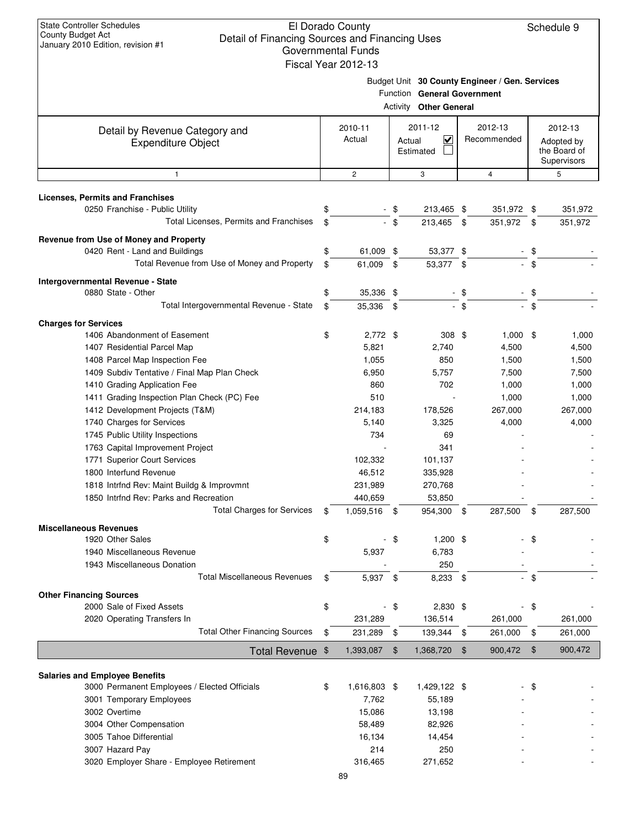Schedule 9

|                                                             | Governmental Funds<br>Fiscal Year 2012-13 |        |                                                              |                |                                                |                |                                           |
|-------------------------------------------------------------|-------------------------------------------|--------|--------------------------------------------------------------|----------------|------------------------------------------------|----------------|-------------------------------------------|
|                                                             |                                           |        | Function General Government<br><b>Activity Other General</b> |                | Budget Unit 30 County Engineer / Gen. Services |                |                                           |
| Detail by Revenue Category and                              | 2010-11                                   |        | 2011-12                                                      |                | 2012-13                                        |                | 2012-13                                   |
| <b>Expenditure Object</b>                                   | Actual                                    | Actual | $\overline{\mathsf{v}}$<br>Estimated                         | Recommended    |                                                |                | Adopted by<br>the Board of<br>Supervisors |
| $\mathbf{1}$                                                | $\overline{2}$                            |        | 3                                                            |                | $\overline{4}$                                 |                | 5                                         |
| <b>Licenses, Permits and Franchises</b>                     |                                           |        |                                                              |                |                                                |                |                                           |
| 0250 Franchise - Public Utility                             | \$                                        | - \$   | 213,465 \$                                                   |                | 351,972 \$                                     |                | 351,972                                   |
| Total Licenses, Permits and Franchises                      | \$                                        | - \$   | 213,465                                                      | \$             | 351,972                                        | \$             | 351,972                                   |
| Revenue from Use of Money and Property                      |                                           |        |                                                              |                |                                                |                |                                           |
| 0420 Rent - Land and Buildings                              | \$<br>61,009 \$                           |        | 53,377 \$                                                    |                |                                                | \$             |                                           |
| Total Revenue from Use of Money and Property                | \$<br>61,009                              | \$     | 53,377 \$                                                    |                |                                                | \$             |                                           |
|                                                             |                                           |        |                                                              |                |                                                |                |                                           |
| Intergovernmental Revenue - State<br>0880 State - Other     | \$<br>35,336 \$                           |        |                                                              | $-$ \$         |                                                | $-$ \$         |                                           |
| Total Intergovernmental Revenue - State                     | \$<br>35,336 \$                           |        |                                                              | $-$ \$         |                                                | $-$ \$         |                                           |
|                                                             |                                           |        |                                                              |                |                                                |                |                                           |
| <b>Charges for Services</b>                                 |                                           |        |                                                              |                |                                                |                |                                           |
| 1406 Abandonment of Easement<br>1407 Residential Parcel Map | \$<br>$2,772$ \$                          |        | 308 <sup>°</sup>                                             |                | $1,000$ \$                                     |                | 1,000                                     |
| 1408 Parcel Map Inspection Fee                              | 5,821<br>1,055                            |        | 2,740<br>850                                                 |                | 4,500<br>1,500                                 |                | 4,500<br>1,500                            |
| 1409 Subdiv Tentative / Final Map Plan Check                | 6,950                                     |        | 5,757                                                        |                | 7,500                                          |                | 7,500                                     |
| 1410 Grading Application Fee                                | 860                                       |        | 702                                                          |                | 1,000                                          |                | 1,000                                     |
| 1411 Grading Inspection Plan Check (PC) Fee                 | 510                                       |        |                                                              |                | 1,000                                          |                | 1,000                                     |
| 1412 Development Projects (T&M)                             | 214,183                                   |        | 178,526                                                      |                | 267,000                                        |                | 267,000                                   |
| 1740 Charges for Services                                   | 5,140                                     |        | 3,325                                                        |                | 4,000                                          |                | 4,000                                     |
| 1745 Public Utility Inspections                             | 734                                       |        | 69                                                           |                |                                                |                |                                           |
| 1763 Capital Improvement Project                            |                                           |        | 341                                                          |                |                                                |                |                                           |
| 1771 Superior Court Services                                | 102,332                                   |        | 101,137                                                      |                |                                                |                |                                           |
| 1800 Interfund Revenue                                      | 46,512                                    |        | 335,928                                                      |                |                                                |                |                                           |
| 1818 Intrfnd Rev: Maint Buildg & Improvmnt                  | 231,989                                   |        | 270,768                                                      |                |                                                |                |                                           |
| 1850 Intrfnd Rev: Parks and Recreation                      | 440,659                                   |        | 53,850                                                       |                |                                                |                |                                           |
| <b>Total Charges for Services</b>                           | \$<br>1,059,516 \$                        |        | 954,300                                                      | \$             | 287,500                                        | \$             | 287,500                                   |
| <b>Miscellaneous Revenues</b>                               |                                           |        |                                                              |                |                                                |                |                                           |
| 1920 Other Sales                                            | \$                                        | - \$   | $1,200$ \$                                                   |                |                                                | \$             |                                           |
| 1940 Miscellaneous Revenue                                  | 5,937                                     |        | 6,783                                                        |                |                                                |                |                                           |
| 1943 Miscellaneous Donation                                 |                                           |        | 250                                                          |                |                                                |                |                                           |
| <b>Total Miscellaneous Revenues</b>                         | \$<br>5,937 \$                            |        | 8,233 \$                                                     |                |                                                | - \$           |                                           |
| <b>Other Financing Sources</b>                              |                                           |        |                                                              |                |                                                |                |                                           |
| 2000 Sale of Fixed Assets                                   | \$                                        | $-$ \$ | 2,830 \$                                                     |                |                                                | - \$           |                                           |
| 2020 Operating Transfers In                                 | 231,289                                   |        | 136,514                                                      |                | 261,000                                        |                | 261,000                                   |
| <b>Total Other Financing Sources</b>                        | \$<br>231,289                             | \$     | 139,344 \$                                                   |                | 261,000                                        | \$             | 261,000                                   |
| Total Revenue \$                                            | 1,393,087                                 | \$     | 1,368,720                                                    | $\mathfrak{F}$ | 900,472                                        | $\mathfrak{F}$ | 900,472                                   |
|                                                             |                                           |        |                                                              |                |                                                |                |                                           |
| <b>Salaries and Employee Benefits</b>                       |                                           |        |                                                              |                |                                                |                |                                           |
| 3000 Permanent Employees / Elected Officials                | \$<br>1,616,803 \$                        |        | 1,429,122 \$                                                 |                |                                                | - \$           |                                           |
| 3001 Temporary Employees                                    | 7,762                                     |        | 55,189                                                       |                |                                                |                |                                           |
| 3002 Overtime                                               | 15,086                                    |        | 13,198                                                       |                |                                                |                |                                           |
| 3004 Other Compensation                                     | 58,489                                    |        | 82,926                                                       |                |                                                |                |                                           |
| 3005 Tahoe Differential                                     | 16,134                                    |        | 14,454                                                       |                |                                                |                |                                           |
| 3007 Hazard Pay                                             | 214                                       |        | 250                                                          |                |                                                |                |                                           |
| 3020 Employer Share - Employee Retirement                   | 316,465                                   |        | 271,652                                                      |                |                                                |                |                                           |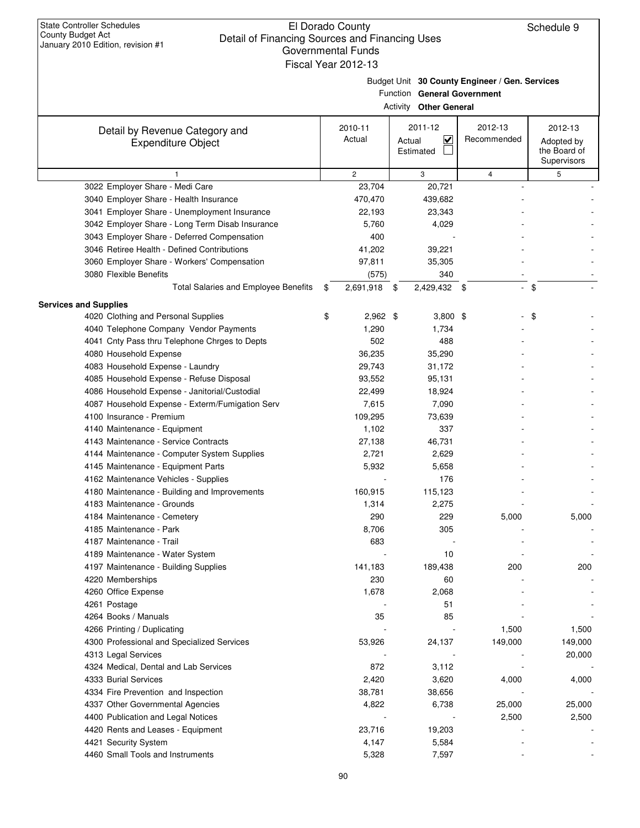| Budget Unit 30 County Engineer / Gen. Services |
|------------------------------------------------|
|                                                |

Function **General Government**

|                                                 | <b>Activity Other General</b> |                          |                |                                           |
|-------------------------------------------------|-------------------------------|--------------------------|----------------|-------------------------------------------|
| Detail by Revenue Category and                  | 2010-11                       | 2011-12                  | 2012-13        | 2012-13                                   |
| <b>Expenditure Object</b>                       | Actual                        | K<br>Actual<br>Estimated | Recommended    | Adopted by<br>the Board of<br>Supervisors |
| 1                                               | $\overline{2}$                | 3                        | 4              | 5                                         |
| 3022 Employer Share - Medi Care                 | 23,704                        | 20,721                   |                |                                           |
| 3040 Employer Share - Health Insurance          | 470,470                       | 439,682                  |                |                                           |
| 3041 Employer Share - Unemployment Insurance    | 22,193                        | 23,343                   |                |                                           |
| 3042 Employer Share - Long Term Disab Insurance | 5,760                         | 4,029                    |                |                                           |
| 3043 Employer Share - Deferred Compensation     | 400                           |                          |                |                                           |
| 3046 Retiree Health - Defined Contributions     | 41,202                        | 39,221                   |                |                                           |
| 3060 Employer Share - Workers' Compensation     | 97,811                        | 35,305                   |                |                                           |
| 3080 Flexible Benefits                          | (575)                         | 340                      |                |                                           |
| Total Salaries and Employee Benefits            | \$<br>2,691,918               | \$<br>2,429,432 \$       | $\blacksquare$ | \$                                        |
| <b>Services and Supplies</b>                    |                               |                          |                |                                           |
| 4020 Clothing and Personal Supplies             | \$<br>$2,962$ \$              | $3,800$ \$               |                | \$                                        |
| 4040 Telephone Company Vendor Payments          | 1,290                         | 1,734                    |                |                                           |
| 4041 Cnty Pass thru Telephone Chrges to Depts   | 502                           | 488                      |                |                                           |
| 4080 Household Expense                          | 36,235                        | 35,290                   |                |                                           |
| 4083 Household Expense - Laundry                | 29,743                        | 31,172                   |                |                                           |
| 4085 Household Expense - Refuse Disposal        | 93,552                        | 95,131                   |                |                                           |
| 4086 Household Expense - Janitorial/Custodial   | 22,499                        | 18,924                   |                |                                           |
| 4087 Household Expense - Exterm/Fumigation Serv | 7,615                         | 7,090                    |                |                                           |
| 4100 Insurance - Premium                        | 109,295                       | 73,639                   |                |                                           |
| 4140 Maintenance - Equipment                    | 1,102                         | 337                      |                |                                           |
| 4143 Maintenance - Service Contracts            | 27,138                        | 46,731                   |                |                                           |
| 4144 Maintenance - Computer System Supplies     | 2,721                         | 2,629                    |                |                                           |
| 4145 Maintenance - Equipment Parts              | 5,932                         | 5,658                    |                |                                           |
| 4162 Maintenance Vehicles - Supplies            |                               | 176                      |                |                                           |
| 4180 Maintenance - Building and Improvements    | 160,915                       | 115,123                  |                |                                           |
| 4183 Maintenance - Grounds                      | 1,314                         | 2,275                    |                |                                           |
| 4184 Maintenance - Cemetery                     | 290                           | 229                      | 5,000          | 5,000                                     |
| 4185 Maintenance - Park                         | 8,706                         | 305                      |                |                                           |
| 4187 Maintenance - Trail                        | 683                           |                          |                |                                           |
| 4189 Maintenance - Water System                 |                               | 10                       |                |                                           |
| 4197 Maintenance - Building Supplies            | 141,183                       | 189,438                  | 200            | 200                                       |
| 4220 Memberships                                | 230                           | 60                       |                |                                           |
| 4260 Office Expense                             | 1,678                         | 2,068                    |                |                                           |
| 4261 Postage                                    |                               | 51                       |                |                                           |
| 4264 Books / Manuals                            | 35                            | 85                       |                |                                           |
| 4266 Printing / Duplicating                     |                               |                          | 1,500          | 1,500                                     |
| 4300 Professional and Specialized Services      | 53,926                        | 24,137                   | 149,000        | 149,000                                   |
| 4313 Legal Services                             |                               |                          |                | 20,000                                    |
| 4324 Medical, Dental and Lab Services           | 872                           | 3,112                    |                |                                           |
| 4333 Burial Services                            | 2,420                         | 3,620                    | 4,000          | 4,000                                     |
| 4334 Fire Prevention and Inspection             | 38,781                        | 38,656                   |                |                                           |
| 4337 Other Governmental Agencies                | 4,822                         | 6,738                    | 25,000         | 25,000                                    |
| 4400 Publication and Legal Notices              |                               |                          | 2,500          | 2,500                                     |
| 4420 Rents and Leases - Equipment               | 23,716                        | 19,203                   |                |                                           |
| 4421 Security System                            | 4,147                         | 5,584                    |                |                                           |
| 4460 Small Tools and Instruments                | 5,328                         | 7,597                    |                |                                           |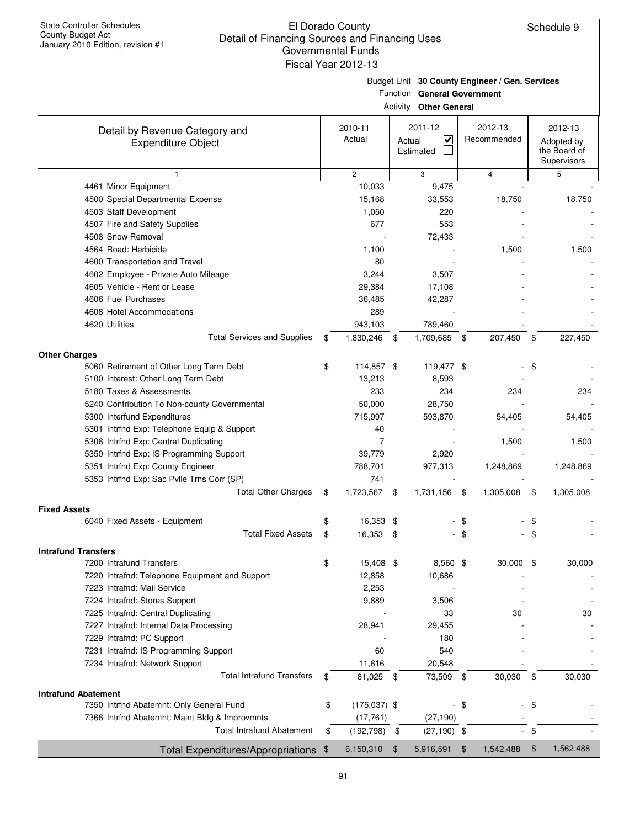|                                                |               | GUVUNNIULIILAI LUNUS<br>Fiscal Year 2012-13 |      |                                                |               |                |                |                             |
|------------------------------------------------|---------------|---------------------------------------------|------|------------------------------------------------|---------------|----------------|----------------|-----------------------------|
|                                                |               |                                             |      | Budget Unit 30 County Engineer / Gen. Services |               |                |                |                             |
|                                                |               |                                             |      | Function General Government                    |               |                |                |                             |
|                                                |               |                                             |      | <b>Activity Other General</b>                  |               |                |                |                             |
| Detail by Revenue Category and                 |               | 2010-11                                     |      | 2011-12                                        |               | 2012-13        |                | 2012-13                     |
| <b>Expenditure Object</b>                      |               | Actual                                      |      | $\checkmark$<br>Actual                         |               | Recommended    |                | Adopted by                  |
|                                                |               |                                             |      | Estimated                                      |               |                |                | the Board of<br>Supervisors |
| 1                                              |               | $\overline{2}$                              |      | 3                                              |               | $\overline{4}$ |                | 5                           |
| 4461 Minor Equipment                           |               | 10,033                                      |      | 9,475                                          |               |                |                |                             |
| 4500 Special Departmental Expense              |               | 15,168                                      |      | 33,553                                         |               | 18,750         |                | 18,750                      |
| 4503 Staff Development                         |               | 1,050                                       |      | 220                                            |               |                |                |                             |
| 4507 Fire and Safety Supplies                  |               | 677                                         |      | 553                                            |               |                |                |                             |
| 4508 Snow Removal                              |               |                                             |      | 72,433                                         |               |                |                |                             |
| 4564 Road: Herbicide                           |               | 1,100                                       |      |                                                |               | 1,500          |                | 1,500                       |
| 4600 Transportation and Travel                 |               | 80                                          |      |                                                |               |                |                |                             |
| 4602 Employee - Private Auto Mileage           |               | 3,244                                       |      | 3,507                                          |               |                |                |                             |
| 4605 Vehicle - Rent or Lease                   |               | 29,384                                      |      | 17,108                                         |               |                |                |                             |
| 4606 Fuel Purchases                            |               | 36,485                                      |      | 42,287                                         |               |                |                |                             |
| 4608 Hotel Accommodations                      |               | 289                                         |      |                                                |               |                |                |                             |
| 4620 Utilities                                 |               | 943,103                                     |      | 789,460                                        |               |                |                |                             |
| <b>Total Services and Supplies</b>             | \$            | 1,830,246                                   | - \$ | 1,709,685                                      | - \$          | 207,450        | \$             | 227,450                     |
| <b>Other Charges</b>                           |               |                                             |      |                                                |               |                |                |                             |
| 5060 Retirement of Other Long Term Debt        | \$            | 114,857 \$                                  |      | 119,477 \$                                     |               |                | \$             |                             |
| 5100 Interest: Other Long Term Debt            |               | 13,213                                      |      | 8,593                                          |               |                |                |                             |
| 5180 Taxes & Assessments                       |               | 233                                         |      | 234                                            |               | 234            |                | 234                         |
| 5240 Contribution To Non-county Governmental   |               | 50,000                                      |      | 28,750                                         |               |                |                |                             |
| 5300 Interfund Expenditures                    |               | 715,997                                     |      | 593,870                                        |               | 54,405         |                | 54,405                      |
| 5301 Intrfnd Exp: Telephone Equip & Support    |               | 40                                          |      |                                                |               |                |                |                             |
| 5306 Intrfnd Exp: Central Duplicating          |               | $\overline{7}$                              |      |                                                |               | 1,500          |                | 1,500                       |
| 5350 Intrfnd Exp: IS Programming Support       |               | 39,779                                      |      | 2,920                                          |               |                |                |                             |
| 5351 Intrfnd Exp: County Engineer              |               | 788,701                                     |      | 977,313                                        |               | 1,248,869      |                | 1,248,869                   |
| 5353 Intrfnd Exp: Sac Pvlle Trns Corr (SP)     |               | 741                                         |      |                                                |               |                |                |                             |
| <b>Total Other Charges</b>                     | \$            | 1,723,567                                   | \$   | 1,731,156                                      | \$            | 1,305,008      | \$             | 1,305,008                   |
| <b>Fixed Assets</b>                            |               |                                             |      |                                                |               |                |                |                             |
| 6040 Fixed Assets - Equipment                  |               | 16,353                                      | ደ    |                                                |               |                |                |                             |
| <b>Total Fixed Assets</b>                      | \$            | 16,353 \$                                   |      |                                                | \$            |                | \$             |                             |
| <b>Intrafund Transfers</b>                     |               |                                             |      |                                                |               |                |                |                             |
| 7200 Intrafund Transfers                       | \$            | 15,408 \$                                   |      | 8,560 \$                                       |               | $30,000$ \$    |                | 30,000                      |
| 7220 Intrafnd: Telephone Equipment and Support |               | 12,858                                      |      | 10,686                                         |               |                |                |                             |
| 7223 Intrafnd: Mail Service                    |               | 2,253                                       |      |                                                |               |                |                |                             |
| 7224 Intrafnd: Stores Support                  |               | 9,889                                       |      | 3,506                                          |               |                |                |                             |
| 7225 Intrafnd: Central Duplicating             |               |                                             |      | 33                                             |               | 30             |                | 30                          |
| 7227 Intrafnd: Internal Data Processing        |               | 28,941                                      |      | 29,455                                         |               |                |                |                             |
| 7229 Intrafnd: PC Support                      |               |                                             |      | 180                                            |               |                |                |                             |
| 7231 Intrafnd: IS Programming Support          |               | 60                                          |      | 540                                            |               |                |                |                             |
| 7234 Intrafnd: Network Support                 |               | 11,616                                      |      | 20,548                                         |               |                |                |                             |
| <b>Total Intrafund Transfers</b>               | \$            | 81,025 \$                                   |      | 73,509 \$                                      |               | 30,030         | \$             | 30,030                      |
| <b>Intrafund Abatement</b>                     |               |                                             |      |                                                |               |                |                |                             |
| 7350 Intrfnd Abatemnt: Only General Fund       | \$            | $(175,037)$ \$                              |      |                                                | -\$           |                | \$             |                             |
| 7366 Intrfnd Abatemnt: Maint Bldg & Improvmnts |               | (17, 761)                                   |      | (27, 190)                                      |               |                |                |                             |
| <b>Total Intrafund Abatement</b>               | \$            | (192, 798)                                  | \$   | $(27, 190)$ \$                                 |               |                | \$             |                             |
| <b>Total Expenditures/Appropriations</b>       | $\frac{1}{2}$ | 6,150,310                                   | \$   | 5,916,591                                      | $\sqrt[6]{3}$ | 1,542,488      | $\mathfrak{F}$ | 1,562,488                   |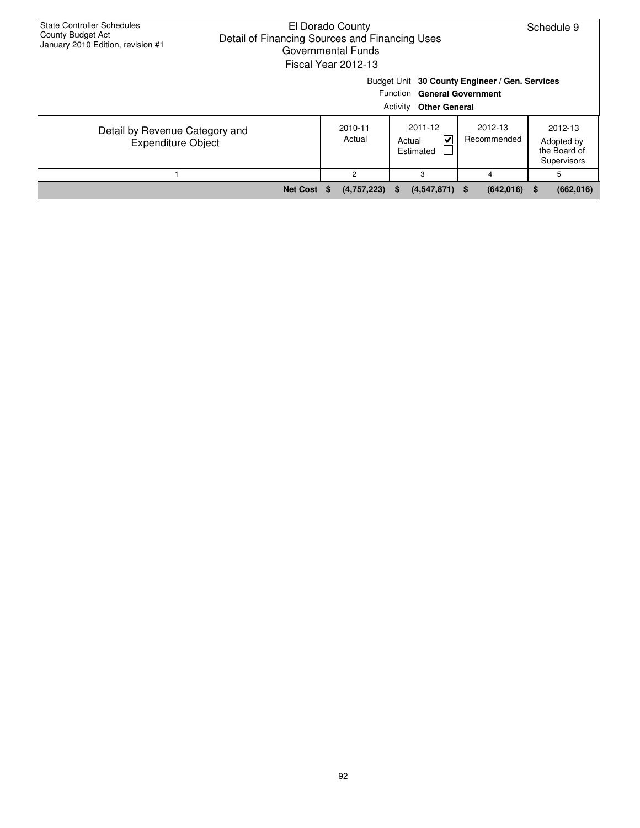| <b>State Controller Schedules</b><br>County Budget Act<br>January 2010 Edition, revision #1                    | El Dorado County<br>Schedule 9<br>Detail of Financing Sources and Financing Uses<br>Governmental Funds<br>Fiscal Year 2012-13 |                     |                                     |                        |                                                      |  |  |  |  |  |  |
|----------------------------------------------------------------------------------------------------------------|-------------------------------------------------------------------------------------------------------------------------------|---------------------|-------------------------------------|------------------------|------------------------------------------------------|--|--|--|--|--|--|
| Budget Unit 30 County Engineer / Gen. Services<br>Function General Government<br><b>Activity Other General</b> |                                                                                                                               |                     |                                     |                        |                                                      |  |  |  |  |  |  |
| Detail by Revenue Category and<br><b>Expenditure Object</b>                                                    |                                                                                                                               | 2010-11<br>Actual   | 2011-12<br>V<br>Actual<br>Estimated | 2012-13<br>Recommended | 2012-13<br>Adopted by<br>the Board of<br>Supervisors |  |  |  |  |  |  |
|                                                                                                                |                                                                                                                               | 2                   | 3                                   | 4                      | 5                                                    |  |  |  |  |  |  |
|                                                                                                                | <b>Net Cost</b>                                                                                                               | (4,757,223)<br>- 35 | $(4,547,871)$ \$<br>- 56            | (642, 016)             | (662, 016)<br>\$.                                    |  |  |  |  |  |  |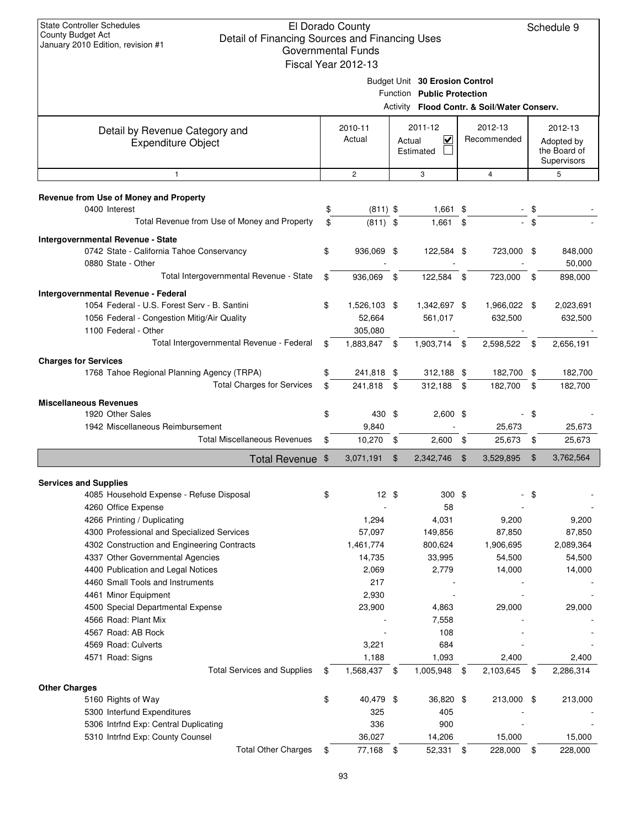Schedule 9

| January ZUTU Edition, revision # i                          | Governmental Funds<br>Fiscal Year 2012-13 |        |                                                              |      |                                             |                |                                                      |
|-------------------------------------------------------------|-------------------------------------------|--------|--------------------------------------------------------------|------|---------------------------------------------|----------------|------------------------------------------------------|
|                                                             |                                           |        | Budget Unit 30 Erosion Control<br>Function Public Protection |      |                                             |                |                                                      |
|                                                             |                                           |        |                                                              |      | Activity Flood Contr. & Soil/Water Conserv. |                |                                                      |
| Detail by Revenue Category and<br><b>Expenditure Object</b> | 2010-11<br>Actual                         | Actual | 2011-12<br>$\overline{\mathbf{v}}$<br>Estimated              |      | 2012-13<br>Recommended                      |                | 2012-13<br>Adopted by<br>the Board of<br>Supervisors |
| $\mathbf{1}$                                                | $\overline{c}$                            |        | 3                                                            |      | $\overline{4}$                              |                | 5                                                    |
| Revenue from Use of Money and Property                      |                                           |        |                                                              |      |                                             |                |                                                      |
| 0400 Interest                                               | \$<br>$(811)$ \$                          |        | 1,661 \$                                                     |      |                                             | \$             |                                                      |
| Total Revenue from Use of Money and Property                | \$<br>$(811)$ \$                          |        | 1,661                                                        | \$   |                                             | \$             |                                                      |
| Intergovernmental Revenue - State                           |                                           |        |                                                              |      |                                             |                |                                                      |
| 0742 State - California Tahoe Conservancy                   | \$<br>936,069 \$                          |        | 122,584 \$                                                   |      | 723,000 \$                                  |                | 848,000                                              |
| 0880 State - Other                                          |                                           |        |                                                              |      |                                             |                | 50,000                                               |
| Total Intergovernmental Revenue - State                     | \$<br>936,069 \$                          |        | 122,584 \$                                                   |      | 723,000 \$                                  |                | 898,000                                              |
| Intergovernmental Revenue - Federal                         |                                           |        |                                                              |      |                                             |                |                                                      |
| 1054 Federal - U.S. Forest Serv - B. Santini                | \$<br>1,526,103 \$                        |        | 1,342,697 \$                                                 |      | 1,966,022                                   | -\$            | 2,023,691                                            |
| 1056 Federal - Congestion Mitig/Air Quality                 | 52,664                                    |        | 561,017                                                      |      | 632,500                                     |                | 632,500                                              |
| 1100 Federal - Other                                        | 305,080                                   |        |                                                              |      |                                             |                |                                                      |
| Total Intergovernmental Revenue - Federal                   | \$<br>1,883,847                           | -\$    | 1,903,714                                                    | -\$  | 2,598,522                                   | \$             | 2,656,191                                            |
| <b>Charges for Services</b>                                 |                                           |        |                                                              |      |                                             |                |                                                      |
| 1768 Tahoe Regional Planning Agency (TRPA)                  | \$<br>241,818 \$                          |        | 312,188 \$                                                   |      | 182,700                                     | \$             | 182,700                                              |
| <b>Total Charges for Services</b>                           | \$<br>241,818 \$                          |        | 312,188 \$                                                   |      | 182,700                                     | \$             | 182,700                                              |
| <b>Miscellaneous Revenues</b>                               |                                           |        |                                                              |      |                                             |                |                                                      |
| 1920 Other Sales                                            | \$<br>430 \$                              |        | $2,600$ \$                                                   |      |                                             | \$             |                                                      |
| 1942 Miscellaneous Reimbursement                            | 9,840                                     |        |                                                              |      | 25,673                                      |                | 25,673                                               |
| <b>Total Miscellaneous Revenues</b>                         | \$<br>$10,270$ \$                         |        | 2,600                                                        | - \$ | 25,673                                      | \$             | 25,673                                               |
| Total Revenue \$                                            | 3,071,191                                 | \$     | 2,342,746                                                    | \$   | 3,529,895                                   | $\mathfrak{F}$ | 3,762,564                                            |
| <b>Services and Supplies</b>                                |                                           |        |                                                              |      |                                             |                |                                                      |
| 4085 Household Expense - Refuse Disposal                    | \$<br>$12 \text{ } $$                     |        | 300 <sup>5</sup>                                             |      |                                             | \$             |                                                      |
| 4260 Office Expense                                         |                                           |        | 58                                                           |      |                                             |                |                                                      |
| 4266 Printing / Duplicating                                 | 1,294                                     |        | 4,031                                                        |      | 9,200                                       |                | 9,200                                                |
| 4300 Professional and Specialized Services                  | 57,097                                    |        | 149,856                                                      |      | 87,850                                      |                | 87,850                                               |
| 4302 Construction and Engineering Contracts                 | 1,461,774                                 |        | 800,624                                                      |      | 1,906,695                                   |                | 2,089,364                                            |
| 4337 Other Governmental Agencies                            | 14,735                                    |        | 33,995                                                       |      | 54,500                                      |                | 54,500                                               |
| 4400 Publication and Legal Notices                          | 2,069                                     |        | 2,779                                                        |      | 14,000                                      |                | 14,000                                               |
| 4460 Small Tools and Instruments                            | 217                                       |        |                                                              |      |                                             |                |                                                      |
| 4461 Minor Equipment                                        | 2,930                                     |        |                                                              |      |                                             |                |                                                      |
| 4500 Special Departmental Expense<br>4566 Road: Plant Mix   | 23,900                                    |        | 4,863                                                        |      | 29,000                                      |                | 29,000                                               |
| 4567 Road: AB Rock                                          |                                           |        | 7,558<br>108                                                 |      |                                             |                |                                                      |
| 4569 Road: Culverts                                         | 3,221                                     |        | 684                                                          |      |                                             |                |                                                      |
| 4571 Road: Signs                                            | 1,188                                     |        | 1,093                                                        |      | 2,400                                       |                | 2,400                                                |
| <b>Total Services and Supplies</b>                          | \$<br>1,568,437                           | \$     | 1,005,948                                                    | \$   | 2,103,645                                   | \$             | 2,286,314                                            |
| <b>Other Charges</b>                                        |                                           |        |                                                              |      |                                             |                |                                                      |
| 5160 Rights of Way                                          | \$<br>40,479 \$                           |        | 36,820 \$                                                    |      | 213,000 \$                                  |                | 213,000                                              |
| 5300 Interfund Expenditures                                 | 325                                       |        | 405                                                          |      |                                             |                |                                                      |
| 5306 Intrfnd Exp: Central Duplicating                       | 336                                       |        | 900                                                          |      |                                             |                |                                                      |
| 5310 Intrfnd Exp: County Counsel                            | 36,027                                    |        | 14,206                                                       |      | 15,000                                      |                | 15,000                                               |
| <b>Total Other Charges</b>                                  | \$<br>77,168 \$                           |        | 52,331 \$                                                    |      | 228,000                                     | \$             | 228,000                                              |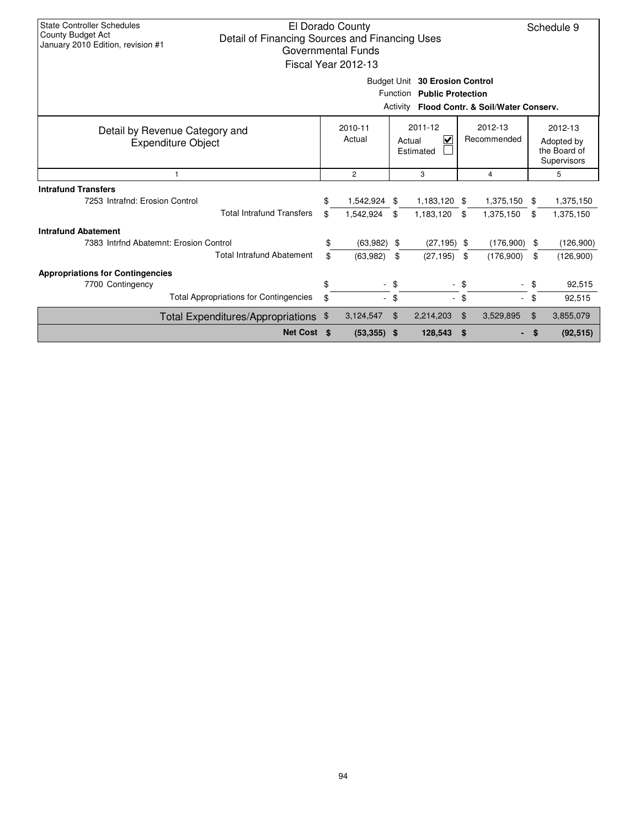| <b>State Controller Schedules</b><br>County Budget Act<br>January 2010 Edition, revision #1 | El Dorado County<br>Schedule 9<br>Detail of Financing Sources and Financing Uses<br>Governmental Funds<br>Fiscal Year 2012-13 |                   |                |                                                           |                |                        |                |                                                      |  |  |  |  |
|---------------------------------------------------------------------------------------------|-------------------------------------------------------------------------------------------------------------------------------|-------------------|----------------|-----------------------------------------------------------|----------------|------------------------|----------------|------------------------------------------------------|--|--|--|--|
|                                                                                             | Budget Unit 30 Erosion Control<br>Function Public Protection                                                                  |                   |                |                                                           |                |                        |                |                                                      |  |  |  |  |
| Activity Flood Contr. & Soil/Water Conserv.                                                 |                                                                                                                               |                   |                |                                                           |                |                        |                |                                                      |  |  |  |  |
| Detail by Revenue Category and<br><b>Expenditure Object</b>                                 |                                                                                                                               | 2010-11<br>Actual |                | 2011-12<br>$\overline{\mathbf{v}}$<br>Actual<br>Estimated |                | 2012-13<br>Recommended |                | 2012-13<br>Adopted by<br>the Board of<br>Supervisors |  |  |  |  |
| $\mathbf{1}$                                                                                |                                                                                                                               | $\overline{2}$    |                | 3                                                         |                | 4                      |                | 5                                                    |  |  |  |  |
| <b>Intrafund Transfers</b>                                                                  |                                                                                                                               |                   |                |                                                           |                |                        |                |                                                      |  |  |  |  |
| 7253 Intrafnd: Erosion Control                                                              | \$                                                                                                                            | 1,542,924         | \$             | 1,183,120                                                 | \$             | 1,375,150              | \$             | 1,375,150                                            |  |  |  |  |
| <b>Total Intrafund Transfers</b>                                                            | \$                                                                                                                            | 1,542,924         | \$             | 1,183,120                                                 | \$             | 1,375,150              | \$             | 1,375,150                                            |  |  |  |  |
| <b>Intrafund Abatement</b>                                                                  |                                                                                                                               |                   |                |                                                           |                |                        |                |                                                      |  |  |  |  |
| 7383 Intrind Abatemnt: Erosion Control                                                      | \$                                                                                                                            | $(63,982)$ \$     |                | $(27, 195)$ \$                                            |                | (176,900)              | \$             | (126,900)                                            |  |  |  |  |
| <b>Total Intrafund Abatement</b>                                                            | \$                                                                                                                            | (63,982)          | \$             | (27, 195)                                                 | \$             | (176,900)              | \$             | (126,900)                                            |  |  |  |  |
| <b>Appropriations for Contingencies</b>                                                     |                                                                                                                               |                   |                |                                                           |                |                        |                |                                                      |  |  |  |  |
| 7700 Contingency                                                                            | \$                                                                                                                            | $\blacksquare$    | \$             |                                                           | \$             |                        | \$             | 92,515                                               |  |  |  |  |
| <b>Total Appropriations for Contingencies</b>                                               | \$                                                                                                                            | $\sim$            | \$             | ÷.                                                        | \$             | $\sim$                 | \$             | 92,515                                               |  |  |  |  |
| <b>Total Expenditures/Appropriations</b>                                                    | $\boldsymbol{\mathsf{\$}}$                                                                                                    | 3,124,547         | $\mathfrak{L}$ | 2,214,203                                                 | $\mathfrak{L}$ | 3,529,895              | $\mathfrak{F}$ | 3,855,079                                            |  |  |  |  |
| Net Cost \$                                                                                 |                                                                                                                               | $(53,355)$ \$     |                | 128,543                                                   | - \$           |                        | \$             | (92, 515)                                            |  |  |  |  |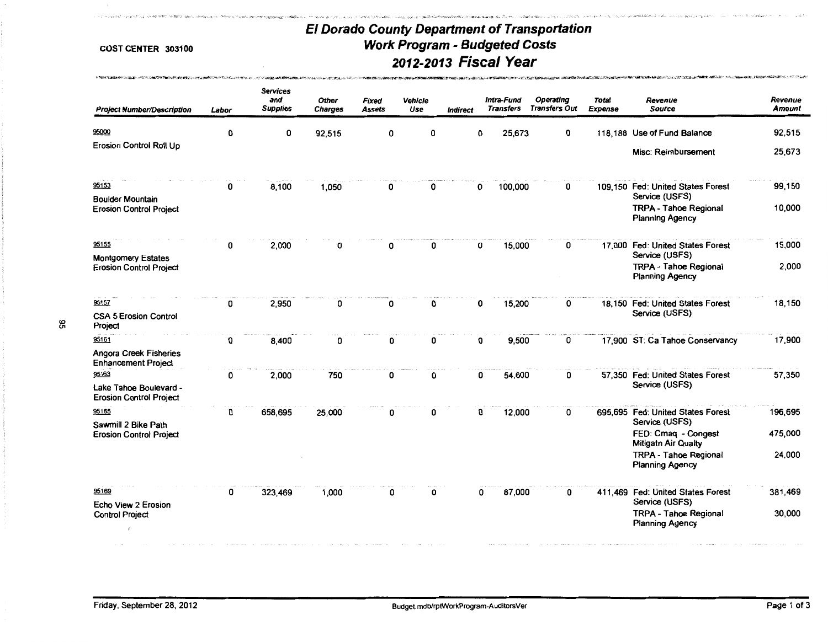了。这个网络,这样的一种人们的人们的人们的人们的一个人们的人们的人们的人们的人们,他们的人们的人们的人们,我们们的人们的人们的人们的人们的人们的人们的人们的人们,他们的人们的人们,我们的人们

*...* "f'f·••" .... .:;,."' ,;!;\,;:>'""<,;..,' .. .,.,, -::''"""<"

,,.,\_.'

| <b>Project Number/Description</b>                                 | Labor | <b>Services</b><br>and<br><b>Supplies</b> | <b>Other</b><br><b>Charges</b> | <b>Fixed</b><br><b>Assets</b> | Vehicle<br>Use | <b>Indirect</b> | Intra-Fund<br><b>Transfers</b> | <b>Operating</b><br><b>Transfers Out</b> | <b>Total</b><br><b>Expense</b> | Revenue<br><b>Source</b>                               | Revenue<br>Amount |
|-------------------------------------------------------------------|-------|-------------------------------------------|--------------------------------|-------------------------------|----------------|-----------------|--------------------------------|------------------------------------------|--------------------------------|--------------------------------------------------------|-------------------|
| 95000                                                             | 0     | 0                                         | 92,515                         | 0                             | O              |                 | 25,673<br>O                    | 0                                        |                                | 118,188 Use of Fund Balance                            | 92,515            |
| Erosion Control Roll Up                                           |       |                                           |                                |                               |                |                 |                                |                                          |                                | <b>Misc: Reimbursement</b>                             | 25,673            |
| 95153                                                             | 0     | 8,100                                     | 1,050                          | 0                             | 0              |                 | 100,000<br>0                   | 0                                        |                                | 109,150 Fed: United States Forest<br>Service (USFS)    | 99,150            |
| <b>Boulder Mountain</b><br><b>Erosion Control Project</b>         |       |                                           |                                |                               |                |                 |                                |                                          |                                | <b>TRPA - Tahoe Regional</b><br><b>Planning Agency</b> | 10,000            |
| 95155                                                             | 0     | 2,000                                     | 0                              | 0                             | 0              |                 | 15,000<br>0                    | 0                                        |                                | 17,000 Fed: United States Forest<br>Service (USFS)     | 15,000            |
| <b>Montgomery Estates</b><br><b>Erosion Control Project</b>       |       |                                           |                                |                               |                |                 |                                |                                          |                                | <b>TRPA - Tahoe Regional</b><br><b>Planning Agency</b> | 2,000             |
| 95157                                                             | 0     | 2,950                                     | 0                              | 0                             | 0              |                 | 15,200<br>0                    | 0                                        |                                | 18,150 Fed: United States Forest                       | 18,150            |
| <b>CSA 5 Erosion Control</b><br>Project                           |       |                                           |                                |                               |                |                 |                                |                                          |                                | Service (USFS)                                         |                   |
| 95161                                                             | 0     | 8,400                                     | 0                              | 0                             | 0              |                 | 9,500<br>0                     | 0                                        |                                | 17,900 ST: Ca Tahoe Conservancy                        | 17,900            |
| <b>Angora Creek Fisheries</b><br><b>Enhancement Project</b>       |       |                                           |                                |                               |                |                 |                                |                                          |                                |                                                        |                   |
| 95163<br>Lake Tahoe Boulevard -<br><b>Erosion Control Project</b> | 0     | 2,000                                     | 750                            | 0                             | 0              |                 | 54,600<br>0                    | 0                                        |                                | 57,350 Fed: United States Forest<br>Service (USFS)     | 57,350            |
| 95165                                                             | 0     | 658,695                                   | 25,000                         | 0                             | O              |                 | 12,000<br>0                    | 0                                        |                                | 695,695 Fed: United States Forest<br>Service (USFS)    | 196,695           |
| Sawmill 2 Bike Path<br><b>Erosion Control Project</b>             |       |                                           |                                |                               |                |                 |                                |                                          |                                | FED: Cmaq - Congest<br>Mitigatn Air Qualty             | 475,000           |
|                                                                   |       |                                           |                                |                               |                |                 |                                |                                          |                                | <b>TRPA - Tahoe Regional</b><br><b>Planning Agency</b> | 24,000            |
| 95169<br>Echo View 2 Erosion                                      | 0     | 323,469                                   | 1,000                          | 0                             | 0              |                 | 87,000<br>0                    | 0                                        |                                | 411,469 Fed: United States Forest<br>Service (USFS)    | 381,469           |
| <b>Control Project</b>                                            |       |                                           |                                |                               |                |                 |                                |                                          |                                | <b>TRPA - Tahoe Regional</b><br><b>Planning Agency</b> | 30,000            |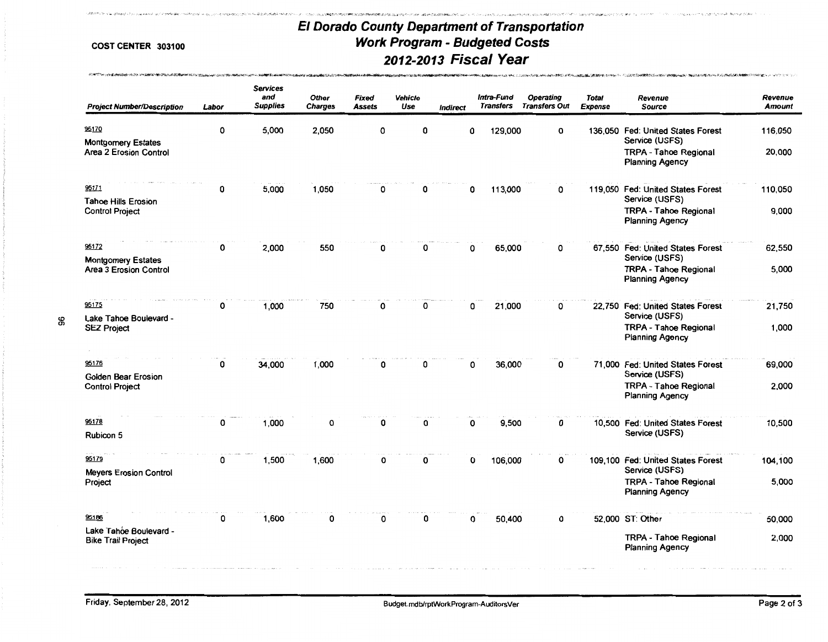whereas and store was but

مسوها الاستحداث للمتحرش ومنتصب والمراشدين

.. . •.• •

|  | COST CENTER 303100 |  |
|--|--------------------|--|
|--|--------------------|--|

| <b>Project Number/Description</b>                    | Labor | <b>Services</b><br>and<br><b>Supplies</b> | <b>Other</b><br><b>Charges</b> | <b>Fixed</b><br>Assets | <b>Vehicle</b><br>Use | <b>Indirect</b> | Intra-Fund<br><b>Transfers</b> |         | Operating<br><b>Transfers Out</b> | <b>Total</b><br><b>Expense</b> | Revenue<br><b>Source</b>                                                 | Revenue<br><b>Amount</b> |
|------------------------------------------------------|-------|-------------------------------------------|--------------------------------|------------------------|-----------------------|-----------------|--------------------------------|---------|-----------------------------------|--------------------------------|--------------------------------------------------------------------------|--------------------------|
| 95170<br><b>Montgomery Estates</b>                   | O     | 5,000                                     | 2,050                          | 0                      | 0                     |                 | O                              | 129,000 | 0                                 |                                | 136,050 Fed: United States Forest<br>Service (USFS)                      | 116,050                  |
| Area 2 Erosion Control                               |       |                                           |                                |                        |                       |                 |                                |         |                                   |                                | <b>TRPA - Tahoe Regional</b><br><b>Planning Agency</b>                   | 20,000                   |
| 95171                                                | 0     | 5,000                                     | 1,050                          | 0                      |                       |                 | 0                              | 113,000 | 0                                 |                                | 119,050 Fed: United States Forest                                        | 110,050                  |
| <b>Tahoe Hills Erosion</b><br><b>Control Project</b> |       |                                           |                                |                        |                       |                 |                                |         |                                   |                                | Service (USFS)<br><b>TRPA - Tahoe Regional</b><br><b>Planning Agency</b> | 9,000                    |
| 95172                                                | 0     | 2,000                                     | 550                            | n                      | 0                     |                 | n                              | 65,000  | 0                                 |                                | 67,550 Fed: United States Forest                                         | 62,550                   |
| <b>Montgomery Estates</b><br>Area 3 Erosion Control  |       |                                           |                                |                        |                       |                 |                                |         |                                   |                                | Service (USFS)<br><b>TRPA - Tahoe Regional</b><br><b>Planning Agency</b> | 5,000                    |
| 95175                                                | 0     | 1,000                                     | 750                            | 0                      | 0                     |                 | 0                              | 21,000  | 0                                 |                                | 22.750 Fed: United States Forest<br>Service (USFS)                       | 21,750                   |
| Lake Tahoe Boulevard -<br><b>SEZ Project</b>         |       |                                           |                                |                        |                       |                 |                                |         |                                   |                                | <b>TRPA - Tahoe Regional</b><br><b>Planning Agency</b>                   | 1,000                    |
| 95176<br><b>Golden Bear Erosion</b>                  | 0     | 34,000                                    | 1,000                          | 0                      | 0                     |                 | 0                              | 36,000  | 0                                 |                                | 71,000 Fed: United States Forest<br>Service (USFS)                       | 69,000                   |
| <b>Control Project</b>                               |       |                                           |                                |                        |                       |                 |                                |         |                                   |                                | <b>TRPA - Tahoe Regional</b><br><b>Planning Agency</b>                   | 2.000                    |
| 95178                                                | 0     | 1,000                                     | O                              | 0                      | 0                     |                 | $\mathbf 0$                    | 9,500   | $\mathbf 0$                       |                                | 10.500 Fed: United States Forest                                         | 10.500                   |
| Rubicon 5                                            |       |                                           |                                |                        |                       |                 |                                |         |                                   |                                | Service (USFS)                                                           |                          |
| 95179                                                | 0     | 1,500                                     | 1,600                          | 0                      | ი                     |                 | $\Omega$                       | 106,000 | 0                                 |                                | 109,100 Fed: United States Forest<br>Service (USFS)                      | 104,100                  |
| <b>Meyers Erosion Control</b><br>Project             |       |                                           |                                |                        |                       |                 |                                |         |                                   |                                | <b>TRPA - Tahoe Regional</b><br><b>Planning Agency</b>                   | 5,000                    |
| 95186                                                | 0     | 1,600                                     | 0                              | O                      | ი                     |                 | 0                              | 50,400  | 0                                 |                                | 52,000 ST: Other                                                         | 50,000                   |
| Lake Tahóe Boulevard -<br><b>Bike Trail Project</b>  |       |                                           |                                |                        |                       |                 |                                |         |                                   |                                | <b>TRPA - Tahoe Regional</b><br><b>Planning Agency</b>                   | 2.000                    |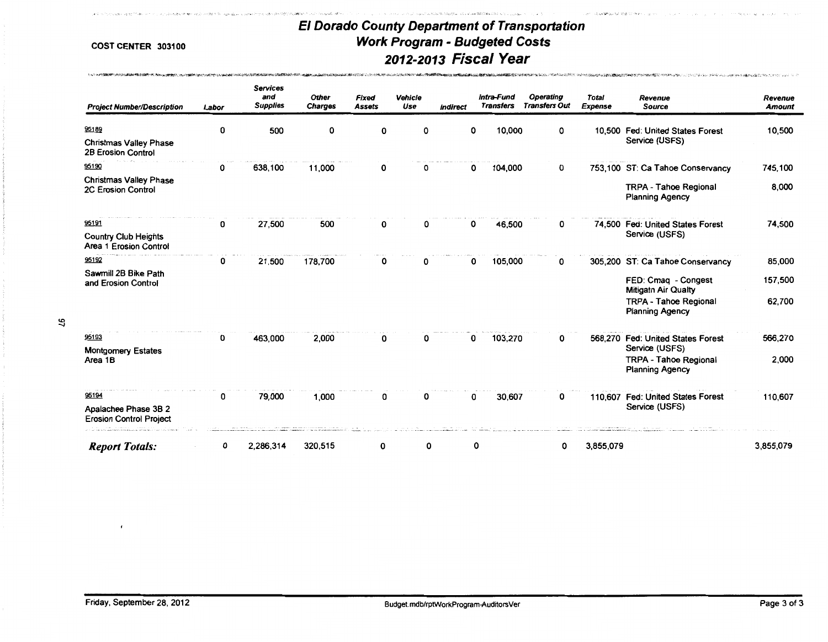$\label{eq:2.1} \nabla_{\mathcal{M}}\cdot\left(\nabla_{\mathcal{M}}\phi\right)^{\ast}\otimes\left(\nabla_{\mathcal{M}}\phi\right)^{\ast}\otimes\left(\nabla_{\mathcal{M}}\phi\right)^{\ast}\otimes\left(\nabla_{\mathcal{M}}\phi\right)^{\ast}\otimes\left(\nabla_{\mathcal{M}}\phi\right)^{\ast}\otimes\left(\nabla_{\mathcal{M}}\phi\right)^{\ast}\otimes\left(\nabla_{\mathcal{M}}\phi\right)^{\ast}\otimes\left(\nabla_{\mathcal{M}}\phi\right)^{\ast}\otimes\left(\nabla_{\mathcal{M}}\$ 

and constitution to stap to over a consti-

**DOMETRI NESSA ETTE PERSONER ETTE TA PERSONER PARTIE DE L'ARCHITECT L'ARCHITECT DE L'ARCHITECT DE L'ARCHITECT D** 

......

.<br>Model of Court of the

.<br>Anno 1970 a China a Suata a Calabara

| <b>Project Number/Description</b>                                   | Labor | <b>Services</b><br>and<br><b>Supplies</b> | <b>Other</b><br><b>Charges</b> | Fixed<br><b>Assets</b> | Vehicle<br>Use | Indirect | Intra-Fund<br><b>Transfers</b> | Operating<br><b>Transfers Out</b> | <b>Total</b><br>Expense | Revenue<br><b>Source</b>                                                                                    | Revenue<br><b>Amount</b> |
|---------------------------------------------------------------------|-------|-------------------------------------------|--------------------------------|------------------------|----------------|----------|--------------------------------|-----------------------------------|-------------------------|-------------------------------------------------------------------------------------------------------------|--------------------------|
| 95189<br><b>Christmas Valley Phase</b><br><b>2B Erosion Control</b> | 0     | 500                                       | 0                              | 0                      | 0              | 0        | 10,000                         | 0                                 |                         | 10,500 Fed: United States Forest<br>Service (USFS)                                                          | 10,500                   |
| 95190                                                               | 0     | 638,100                                   | 11,000                         | 0                      |                | 0        | 104,000                        | 0                                 |                         | 753,100 ST: Ca Tahoe Conservancy                                                                            | 745,100                  |
| <b>Christmas Valley Phase</b><br>2C Erosion Control                 |       |                                           |                                |                        |                |          |                                |                                   |                         | <b>TRPA - Tahoe Regional</b><br><b>Planning Agency</b>                                                      | 8,000                    |
| 95191                                                               | 0     | 27,500                                    | 500                            | 0                      | 0              | 0        | 46,500                         | 0                                 |                         | 74,500 Fed: United States Forest                                                                            | 74,500                   |
| Country Club Heights<br>Area 1 Erosion Control                      |       |                                           |                                |                        |                |          |                                |                                   |                         | Service (USFS)                                                                                              |                          |
| 95192                                                               | 0     | 21,500                                    | 178,700                        | 0                      | 0              | 0        | 105,000                        | 0                                 |                         | 305,200 ST: Ca Tahoe Conservancy                                                                            | 85,000                   |
| Sawmill 2B Bike Path<br>and Erosion Control                         |       |                                           |                                |                        |                |          |                                |                                   |                         | FED: Cmaq - Congest<br><b>Mitigatn Air Qualty</b><br><b>TRPA - Tahoe Regional</b><br><b>Planning Agency</b> | 157,500<br>62,700        |
| 95193                                                               |       |                                           |                                |                        |                |          |                                |                                   |                         |                                                                                                             |                          |
| <b>Montgomery Estates</b>                                           | 0     | 463,000                                   | 2,000                          | 0                      | 0              | 0        | 103,270                        | 0                                 |                         | 568,270 Fed: United States Forest<br>Service (USFS)                                                         | 566,270                  |
| Area 1B                                                             |       |                                           |                                |                        |                |          |                                |                                   |                         | <b>TRPA - Tahoe Regional</b><br><b>Planning Agency</b>                                                      | 2,000                    |
| 95194                                                               | 0     | 79,000                                    | 1,000                          | 0                      | 0              | 0        | 30,607                         | 0                                 |                         | 110,607 Fed: United States Forest                                                                           | 110,607                  |
| Apalachee Phase 3B 2<br><b>Erosion Control Project</b>              |       |                                           |                                |                        |                |          |                                |                                   |                         | Service (USFS)                                                                                              |                          |
| <b>Report Totals:</b>                                               | 0     | 2,286,314                                 | 320,515                        | 0                      | 0              | 0        |                                | 0                                 | 3,855,079               |                                                                                                             | 3,855,079                |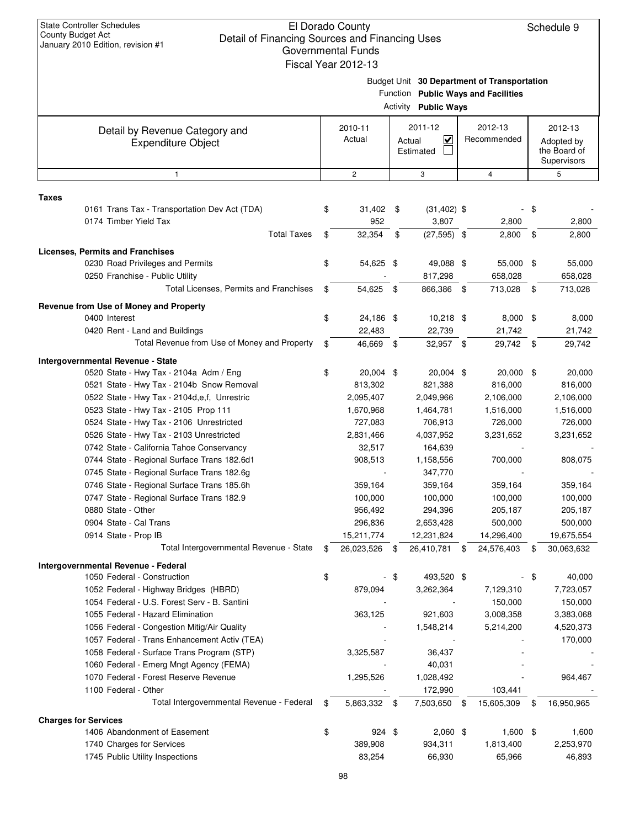Schedule 9

|       | $2010$ Edition, to not on the                 | Governmental Funds      |      |                                   |                                             |      |              |
|-------|-----------------------------------------------|-------------------------|------|-----------------------------------|---------------------------------------------|------|--------------|
|       |                                               | Fiscal Year 2012-13     |      |                                   |                                             |      |              |
|       |                                               |                         |      |                                   | Budget Unit 30 Department of Transportation |      |              |
|       |                                               |                         |      |                                   | Function Public Ways and Facilities         |      |              |
|       |                                               |                         |      | <b>Activity Public Ways</b>       |                                             |      |              |
|       | Detail by Revenue Category and                | 2010-11                 |      | 2011-12                           | 2012-13                                     |      | 2012-13      |
|       | <b>Expenditure Object</b>                     | Actual                  |      | $\overline{\mathbf{v}}$<br>Actual | Recommended                                 |      | Adopted by   |
|       |                                               |                         |      | Estimated                         |                                             |      | the Board of |
|       |                                               |                         |      |                                   |                                             |      | Supervisors  |
|       | $\mathbf{1}$                                  | $\overline{\mathbf{c}}$ |      | 3                                 | 4                                           |      | 5            |
| Taxes |                                               |                         |      |                                   |                                             |      |              |
|       | 0161 Trans Tax - Transportation Dev Act (TDA) | \$<br>$31,402$ \$       |      | $(31, 402)$ \$                    |                                             | - \$ |              |
|       | 0174 Timber Yield Tax                         | 952                     |      | 3,807                             | 2,800                                       |      | 2,800        |
|       | <b>Total Taxes</b>                            | \$<br>32,354            | \$   | $(27,595)$ \$                     | 2,800                                       | \$   | 2,800        |
|       | <b>Licenses, Permits and Franchises</b>       |                         |      |                                   |                                             |      |              |
|       | 0230 Road Privileges and Permits              | \$<br>54,625 \$         |      | 49,088 \$                         | 55,000                                      | \$   | 55,000       |
|       | 0250 Franchise - Public Utility               |                         |      | 817,298                           | 658,028                                     |      | 658,028      |
|       | Total Licenses, Permits and Franchises        | \$<br>54,625            | \$   | 866,386                           | \$<br>713,028                               | \$   | 713,028      |
|       |                                               |                         |      |                                   |                                             |      |              |
|       | Revenue from Use of Money and Property        |                         |      |                                   |                                             |      |              |
|       | 0400 Interest                                 | \$<br>24,186 \$         |      | 10,218 \$                         | $8,000$ \$                                  |      | 8,000        |
|       | 0420 Rent - Land and Buildings                | 22,483                  |      | 22,739                            | 21,742                                      |      | 21,742       |
|       | Total Revenue from Use of Money and Property  | \$<br>46,669 \$         |      | 32,957 \$                         | 29,742 \$                                   |      | 29,742       |
|       | <b>Intergovernmental Revenue - State</b>      |                         |      |                                   |                                             |      |              |
|       | 0520 State - Hwy Tax - 2104a Adm / Eng        | \$<br>20,004 \$         |      | 20,004 \$                         | 20,000 \$                                   |      | 20,000       |
|       | 0521 State - Hwy Tax - 2104b Snow Removal     | 813,302                 |      | 821,388                           | 816,000                                     |      | 816,000      |
|       | 0522 State - Hwy Tax - 2104d, e, f, Unrestric | 2,095,407               |      | 2,049,966                         | 2,106,000                                   |      | 2,106,000    |
|       | 0523 State - Hwy Tax - 2105 Prop 111          | 1,670,968               |      | 1,464,781                         | 1,516,000                                   |      | 1,516,000    |
|       | 0524 State - Hwy Tax - 2106 Unrestricted      | 727,083                 |      | 706,913                           | 726,000                                     |      | 726,000      |
|       | 0526 State - Hwy Tax - 2103 Unrestricted      | 2,831,466               |      | 4,037,952                         | 3,231,652                                   |      | 3,231,652    |
|       | 0742 State - California Tahoe Conservancy     | 32,517                  |      | 164,639                           |                                             |      |              |
|       | 0744 State - Regional Surface Trans 182.6d1   | 908,513                 |      | 1,158,556                         | 700,000                                     |      | 808,075      |
|       | 0745 State - Regional Surface Trans 182.6g    |                         |      | 347,770                           |                                             |      |              |
|       | 0746 State - Regional Surface Trans 185.6h    | 359,164                 |      | 359,164                           | 359,164                                     |      | 359,164      |
|       | 0747 State - Regional Surface Trans 182.9     | 100,000                 |      | 100,000                           | 100,000                                     |      | 100,000      |
|       | 0880 State - Other                            | 956,492                 |      | 294,396                           | 205,187                                     |      | 205,187      |
|       | 0904 State - Cal Trans                        | 296,836                 |      | 2,653,428                         | 500,000                                     |      | 500,000      |
|       | 0914 State - Prop IB                          | 15,211,774              |      | 12,231,824                        | 14,296,400                                  |      | 19,675,554   |
|       | Total Intergovernmental Revenue - State       | \$<br>26,023,526        | - \$ | 26,410,781 \$                     | 24,576,403                                  | \$   | 30,063,632   |
|       | Intergovernmental Revenue - Federal           |                         |      |                                   |                                             |      |              |
|       | 1050 Federal - Construction                   | \$                      | \$   | 493,520 \$                        |                                             | \$   | 40,000       |
|       | 1052 Federal - Highway Bridges (HBRD)         | 879,094                 |      | 3,262,364                         | 7,129,310                                   |      | 7,723,057    |
|       | 1054 Federal - U.S. Forest Serv - B. Santini  |                         |      |                                   | 150,000                                     |      | 150,000      |
|       | 1055 Federal - Hazard Elimination             | 363,125                 |      | 921,603                           | 3,008,358                                   |      | 3,383,068    |
|       | 1056 Federal - Congestion Mitig/Air Quality   |                         |      | 1,548,214                         | 5,214,200                                   |      | 4,520,373    |
|       | 1057 Federal - Trans Enhancement Activ (TEA)  |                         |      |                                   |                                             |      | 170,000      |
|       | 1058 Federal - Surface Trans Program (STP)    | 3,325,587               |      | 36,437                            |                                             |      |              |
|       | 1060 Federal - Emerg Mngt Agency (FEMA)       |                         |      | 40,031                            |                                             |      |              |
|       | 1070 Federal - Forest Reserve Revenue         | 1,295,526               |      | 1,028,492                         |                                             |      | 964,467      |
|       | 1100 Federal - Other                          |                         |      | 172,990                           | 103,441                                     |      |              |
|       | Total Intergovernmental Revenue - Federal     | \$<br>5,863,332         | -\$  | 7,503,650 \$                      | 15,605,309                                  | \$   | 16,950,965   |
|       | <b>Charges for Services</b>                   |                         |      |                                   |                                             |      |              |
|       | 1406 Abandonment of Easement                  | \$<br>924 \$            |      | $2,060$ \$                        | $1,600$ \$                                  |      | 1,600        |
|       | 1740 Charges for Services                     | 389,908                 |      | 934,311                           | 1,813,400                                   |      | 2,253,970    |
|       | 1745 Public Utility Inspections               | 83,254                  |      | 66,930                            | 65,966                                      |      | 46,893       |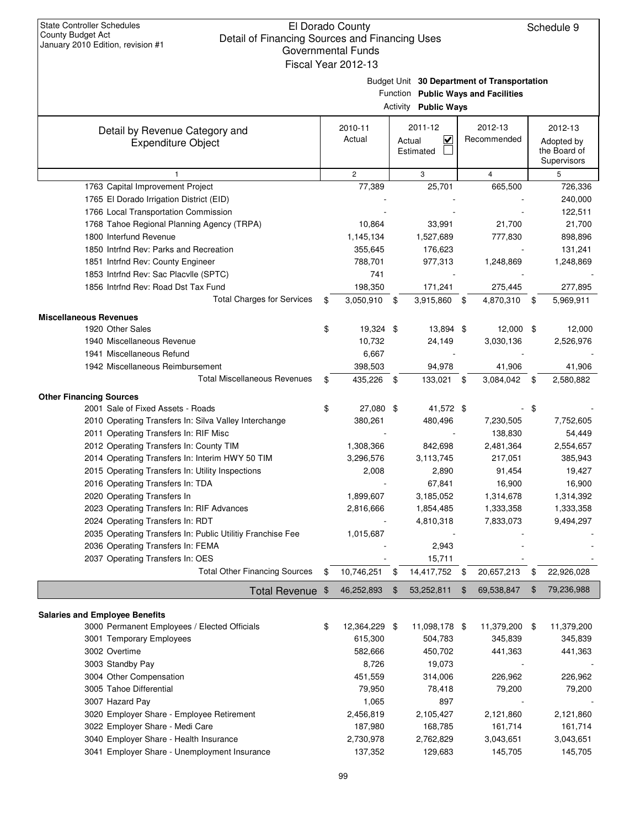|                                                             | Fiscal Year 2012-13                                                                                                  |                                     |                        |                                                      |  |  |  |  |  |  |  |
|-------------------------------------------------------------|----------------------------------------------------------------------------------------------------------------------|-------------------------------------|------------------------|------------------------------------------------------|--|--|--|--|--|--|--|
|                                                             | 30 Department of Transportation<br>Budget Unit<br>Function Public Ways and Facilities<br><b>Activity Public Ways</b> |                                     |                        |                                                      |  |  |  |  |  |  |  |
| Detail by Revenue Category and<br><b>Expenditure Object</b> | 2010-11<br>Actual                                                                                                    | 2011-12<br>V<br>Actual<br>Estimated | 2012-13<br>Recommended | 2012-13<br>Adopted by<br>the Board of<br>Supervisors |  |  |  |  |  |  |  |
|                                                             | $\overline{c}$                                                                                                       | 3                                   | 4                      | 5                                                    |  |  |  |  |  |  |  |
| 1763 Capital Improvement Project                            | 77,389                                                                                                               | 25,701                              | 665,500                | 726,336                                              |  |  |  |  |  |  |  |
| 1765 El Dorado Irrigation District (EID)                    |                                                                                                                      |                                     |                        | 240,000                                              |  |  |  |  |  |  |  |
| 1766 Local Transportation Commission                        |                                                                                                                      |                                     |                        | 122,511                                              |  |  |  |  |  |  |  |
| 1768 Tahoe Regional Planning Agency (TRPA)                  | 10,864                                                                                                               | 33,991                              | 21,700                 | 21,700                                               |  |  |  |  |  |  |  |
| 1800 Interfund Revenue                                      | 1,145,134                                                                                                            | 1,527,689                           | 777,830                | 898,896                                              |  |  |  |  |  |  |  |
| 1850 Intrfnd Rev: Parks and Recreation                      | 355,645                                                                                                              | 176,623                             |                        | 131,241                                              |  |  |  |  |  |  |  |
| 1851 Intrfnd Rev: County Engineer                           | 788,701                                                                                                              | 977,313                             | 1,248,869              | 1,248,869                                            |  |  |  |  |  |  |  |
| 1853 Intrfnd Rev: Sac Placvile (SPTC)                       | 741                                                                                                                  |                                     |                        |                                                      |  |  |  |  |  |  |  |
| 1856 Intrfnd Rev: Road Dst Tax Fund                         | 198,350                                                                                                              | 171,241                             | 275,445                | 277,895                                              |  |  |  |  |  |  |  |
| Total Charges for Services                                  | 3,050,910<br>\$                                                                                                      | \$<br>3,915,860                     | \$<br>4,870,310        | 5,969,911<br>\$                                      |  |  |  |  |  |  |  |
| us Revenues                                                 |                                                                                                                      |                                     |                        |                                                      |  |  |  |  |  |  |  |

| TULAI UHAIYOS IUI UCTINUOS                                 | Ψ  | <b>J,UJU,JIU</b> | $\mathbf{\varphi}$ | $0,0,000$ $\phi$ | 4,010,010       | <u>ບ,ອບອ,ອ⊤⊤</u> |
|------------------------------------------------------------|----|------------------|--------------------|------------------|-----------------|------------------|
| <b>Miscellaneous Revenues</b>                              |    |                  |                    |                  |                 |                  |
| 1920 Other Sales                                           | \$ | 19,324 \$        |                    | 13,894 \$        | 12,000          | \$<br>12,000     |
| 1940 Miscellaneous Revenue                                 |    | 10,732           |                    | 24,149           | 3,030,136       | 2,526,976        |
| 1941 Miscellaneous Refund                                  |    | 6,667            |                    |                  |                 |                  |
| 1942 Miscellaneous Reimbursement                           |    | 398,503          |                    | 94,978           | 41,906          | 41,906           |
| <b>Total Miscellaneous Revenues</b>                        | \$ | 435,226          | -\$                | 133,021          | \$<br>3,084,042 | \$<br>2,580,882  |
| <b>Other Financing Sources</b>                             |    |                  |                    |                  |                 |                  |
| 2001 Sale of Fixed Assets - Roads                          | \$ | 27,080 \$        |                    | 41,572 \$        |                 | \$               |
| 2010 Operating Transfers In: Silva Valley Interchange      |    | 380,261          |                    | 480,496          | 7,230,505       | 7,752,605        |
| 2011 Operating Transfers In: RIF Misc                      |    |                  |                    |                  | 138,830         | 54,449           |
| 2012 Operating Transfers In: County TIM                    |    | 1,308,366        |                    | 842,698          | 2,481,364       | 2,554,657        |
| 2014 Operating Transfers In: Interim HWY 50 TIM            |    | 3,296,576        |                    | 3,113,745        | 217,051         | 385,943          |
| 2015 Operating Transfers In: Utility Inspections           |    | 2,008            |                    | 2,890            | 91,454          | 19,427           |
| 2016 Operating Transfers In: TDA                           |    |                  |                    | 67,841           | 16,900          | 16,900           |
| 2020 Operating Transfers In                                |    | 1,899,607        |                    | 3,185,052        | 1,314,678       | 1,314,392        |
| 2023 Operating Transfers In: RIF Advances                  |    | 2,816,666        |                    | 1,854,485        | 1,333,358       | 1,333,358        |
| 2024 Operating Transfers In: RDT                           |    |                  |                    | 4,810,318        | 7,833,073       | 9,494,297        |
| 2035 Operating Transfers In: Public Utilitiy Franchise Fee |    | 1,015,687        |                    |                  |                 |                  |
| 2036 Operating Transfers In: FEMA                          |    |                  |                    | 2,943            |                 |                  |
| 2037 Operating Transfers In: OES                           |    |                  |                    | 15,711           |                 |                  |
| <b>Total Other Financing Sources</b>                       | \$ | 10,746,251       |                    | 14,417,752       | 20,657,213      | \$<br>22,926,028 |
| Total Revenue \$                                           |    | 46,252,893       | \$.                | 53,252,811       | 69,538,847      | \$<br>79,236,988 |
| <b>Salaries and Employee Benefits</b>                      |    |                  |                    |                  |                 |                  |

| 3000 Permanent Employees / Elected Officials | \$<br>12,364,229 | \$<br>11,098,178 \$ | 11,379,200 | -\$ | 11,379,200 |
|----------------------------------------------|------------------|---------------------|------------|-----|------------|
| 3001 Temporary Employees                     | 615.300          | 504.783             | 345,839    |     | 345,839    |
| 3002 Overtime                                | 582,666          | 450.702             | 441.363    |     | 441,363    |
| 3003 Standby Pay                             | 8.726            | 19,073              |            |     |            |
| 3004 Other Compensation                      | 451,559          | 314.006             | 226.962    |     | 226,962    |
| 3005 Tahoe Differential                      | 79.950           | 78.418              | 79.200     |     | 79.200     |
| 3007 Hazard Pay                              | 1.065            | 897                 |            |     |            |
| 3020 Employer Share - Employee Retirement    | 2,456,819        | 2,105,427           | 2,121,860  |     | 2,121,860  |
| 3022 Employer Share - Medi Care              | 187.980          | 168.785             | 161.714    |     | 161,714    |
| 3040 Employer Share - Health Insurance       | 2,730,978        | 2,762,829           | 3,043,651  |     | 3,043,651  |
| 3041 Employer Share - Unemployment Insurance | 137,352          | 129,683             | 145,705    |     | 145,705    |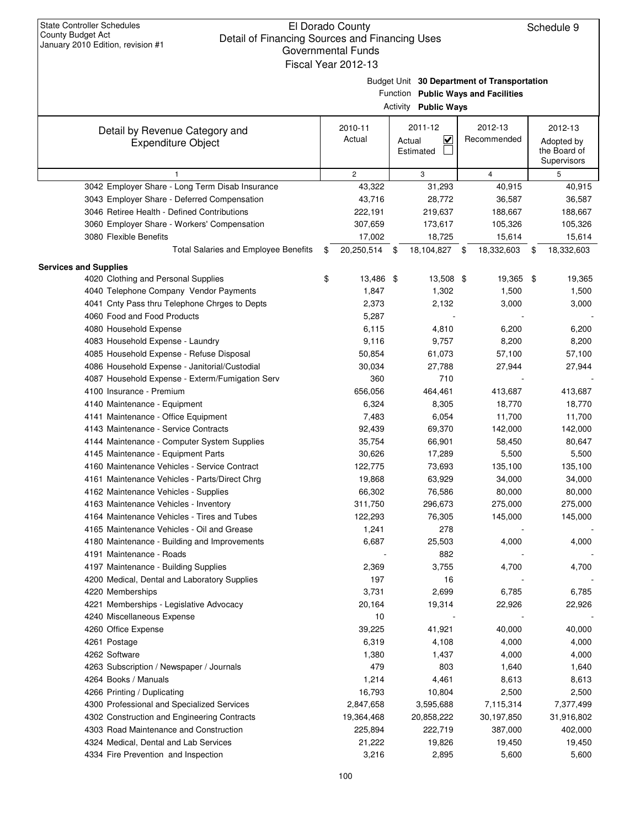|                                                                                    | Fiscal Year 2012-13 |                                   |             |                                                                                    |    |                   |
|------------------------------------------------------------------------------------|---------------------|-----------------------------------|-------------|------------------------------------------------------------------------------------|----|-------------------|
|                                                                                    |                     |                                   |             | Budget Unit 30 Department of Transportation<br>Function Public Ways and Facilities |    |                   |
|                                                                                    |                     | <b>Activity Public Ways</b>       |             |                                                                                    |    |                   |
| Detail by Revenue Category and                                                     | 2010-11             | 2011-12                           |             | 2012-13                                                                            |    | 2012-13           |
| <b>Expenditure Object</b>                                                          | Actual              | $\overline{\mathbf{v}}$<br>Actual | Recommended |                                                                                    |    | Adopted by        |
|                                                                                    |                     | Estimated                         |             |                                                                                    |    | the Board of      |
|                                                                                    |                     |                                   |             |                                                                                    |    | Supervisors       |
| $\mathbf{1}$                                                                       | $\mathbf{2}$        | 3                                 |             | 4                                                                                  |    | 5                 |
| 3042 Employer Share - Long Term Disab Insurance                                    | 43,322              | 31,293                            |             | 40,915                                                                             |    | 40,915            |
| 3043 Employer Share - Deferred Compensation                                        | 43,716              | 28,772                            |             | 36,587                                                                             |    | 36,587            |
| 3046 Retiree Health - Defined Contributions                                        | 222,191             | 219,637                           |             | 188,667                                                                            |    | 188,667           |
| 3060 Employer Share - Workers' Compensation<br>3080 Flexible Benefits              | 307,659<br>17,002   | 173,617                           |             | 105,326                                                                            |    | 105,326<br>15,614 |
| <b>Total Salaries and Employee Benefits</b>                                        | \$<br>20,250,514    | \$<br>18,725<br>18,104,827        | \$          | 15,614                                                                             |    |                   |
|                                                                                    |                     |                                   |             | 18,332,603                                                                         | \$ | 18,332,603        |
| <b>Services and Supplies</b>                                                       |                     |                                   |             |                                                                                    |    |                   |
| 4020 Clothing and Personal Supplies                                                | \$<br>13,486 \$     | 13,508 \$                         |             | 19,365 \$                                                                          |    | 19,365            |
| 4040 Telephone Company Vendor Payments                                             | 1,847               | 1,302                             |             | 1,500                                                                              |    | 1,500             |
| 4041 Cnty Pass thru Telephone Chrges to Depts                                      | 2,373               | 2,132                             |             | 3,000                                                                              |    | 3,000             |
| 4060 Food and Food Products                                                        | 5,287               |                                   |             |                                                                                    |    |                   |
| 4080 Household Expense                                                             | 6,115               | 4,810                             |             | 6,200                                                                              |    | 6,200             |
| 4083 Household Expense - Laundry                                                   | 9,116               | 9,757                             |             | 8,200                                                                              |    | 8,200             |
| 4085 Household Expense - Refuse Disposal                                           | 50,854              | 61,073                            |             | 57,100                                                                             |    | 57,100            |
| 4086 Household Expense - Janitorial/Custodial                                      | 30,034              | 27,788                            |             | 27,944                                                                             |    | 27,944            |
| 4087 Household Expense - Exterm/Fumigation Serv                                    | 360                 | 710                               |             |                                                                                    |    |                   |
| 4100 Insurance - Premium                                                           | 656,056             | 464,461                           |             | 413,687                                                                            |    | 413,687           |
| 4140 Maintenance - Equipment                                                       | 6,324               | 8,305                             |             | 18,770                                                                             |    | 18,770            |
| 4141 Maintenance - Office Equipment                                                | 7,483               | 6,054                             |             | 11,700                                                                             |    | 11,700            |
| 4143 Maintenance - Service Contracts                                               | 92,439              | 69,370                            |             | 142,000                                                                            |    | 142,000           |
| 4144 Maintenance - Computer System Supplies                                        | 35,754<br>30,626    | 66,901                            |             | 58,450<br>5,500                                                                    |    | 80,647            |
| 4145 Maintenance - Equipment Parts<br>4160 Maintenance Vehicles - Service Contract | 122,775             | 17,289<br>73,693                  |             | 135,100                                                                            |    | 5,500<br>135,100  |
| 4161 Maintenance Vehicles - Parts/Direct Chrg                                      | 19,868              | 63,929                            |             | 34,000                                                                             |    | 34,000            |
| 4162 Maintenance Vehicles - Supplies                                               | 66,302              | 76,586                            |             | 80,000                                                                             |    | 80,000            |
| 4163 Maintenance Vehicles - Inventory                                              | 311,750             | 296,673                           |             | 275,000                                                                            |    | 275,000           |
| 4164 Maintenance Vehicles - Tires and Tubes                                        | 122,293             | 76,305                            |             | 145,000                                                                            |    | 145,000           |
| 4165 Maintenance Vehicles - Oil and Grease                                         | 1,241               | 278                               |             |                                                                                    |    |                   |
| 4180 Maintenance - Building and Improvements                                       | 6,687               | 25,503                            |             | 4,000                                                                              |    | 4,000             |
| 4191 Maintenance - Roads                                                           |                     | 882                               |             |                                                                                    |    |                   |
| 4197 Maintenance - Building Supplies                                               | 2,369               | 3,755                             |             | 4,700                                                                              |    | 4,700             |
| 4200 Medical, Dental and Laboratory Supplies                                       | 197                 | 16                                |             |                                                                                    |    |                   |
| 4220 Memberships                                                                   | 3,731               | 2,699                             |             | 6,785                                                                              |    | 6,785             |
| 4221 Memberships - Legislative Advocacy                                            | 20,164              | 19,314                            |             | 22,926                                                                             |    | 22,926            |
| 4240 Miscellaneous Expense                                                         | 10                  |                                   |             |                                                                                    |    |                   |
| 4260 Office Expense                                                                | 39,225              | 41,921                            |             | 40,000                                                                             |    | 40,000            |
| 4261 Postage                                                                       | 6,319               | 4,108                             |             | 4,000                                                                              |    | 4,000             |
| 4262 Software                                                                      | 1,380               | 1,437                             |             | 4,000                                                                              |    | 4,000             |
| 4263 Subscription / Newspaper / Journals                                           | 479                 | 803                               |             | 1,640                                                                              |    | 1,640             |
| 4264 Books / Manuals                                                               | 1,214               | 4,461                             |             | 8,613                                                                              |    | 8,613             |
| 4266 Printing / Duplicating                                                        | 16,793              | 10,804                            |             | 2,500                                                                              |    | 2,500             |
| 4300 Professional and Specialized Services                                         | 2,847,658           | 3,595,688                         |             | 7,115,314                                                                          |    | 7,377,499         |
| 4302 Construction and Engineering Contracts                                        | 19,364,468          | 20,858,222                        |             | 30,197,850                                                                         |    | 31,916,802        |
| 4303 Road Maintenance and Construction                                             | 225,894             | 222,719                           |             | 387,000                                                                            |    | 402,000           |
| 4324 Medical, Dental and Lab Services                                              | 21,222              | 19,826                            |             | 19,450                                                                             |    | 19,450            |
| 4334 Fire Prevention and Inspection                                                | 3,216               | 2,895                             |             | 5,600                                                                              |    | 5,600             |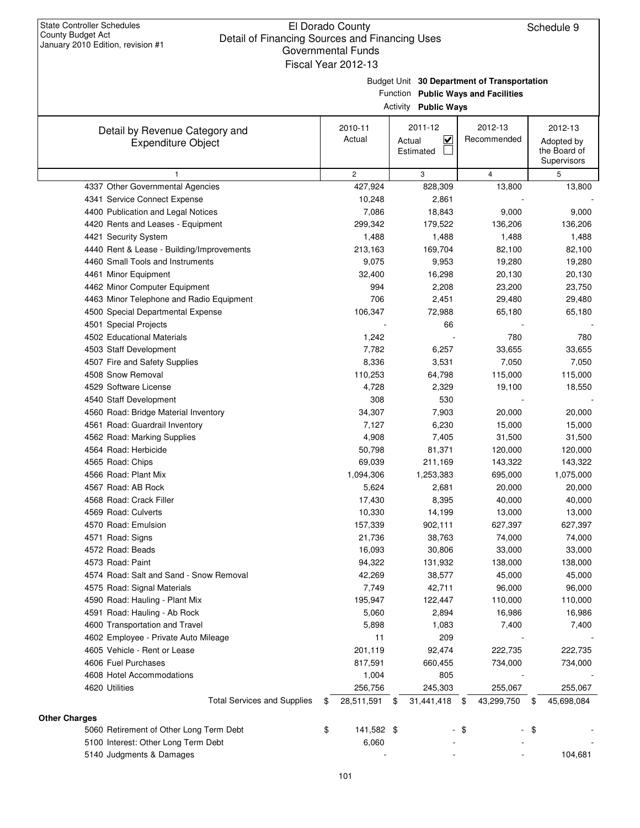# Budget Unit **30 Department of Transportation**

Function **Public Ways and Facilities**

| Activity | <b>Public Ways</b> |
|----------|--------------------|
|----------|--------------------|

| Detail by Revenue Category and                      | 2010-11          | 2011-12                           | 2012-13          | 2012-13          |
|-----------------------------------------------------|------------------|-----------------------------------|------------------|------------------|
| <b>Expenditure Object</b>                           | Actual           | $\overline{\mathbf{v}}$<br>Actual | Recommended      | Adopted by       |
|                                                     |                  | Estimated                         |                  | the Board of     |
|                                                     |                  |                                   |                  | Supervisors      |
| 1                                                   | $\overline{c}$   | 3                                 | $\overline{4}$   | 5                |
| 4337 Other Governmental Agencies                    | 427,924          | 828,309                           | 13,800           | 13,800           |
| 4341 Service Connect Expense                        | 10,248           | 2,861                             |                  |                  |
| 4400 Publication and Legal Notices                  | 7,086            | 18,843                            | 9,000            | 9,000            |
| 4420 Rents and Leases - Equipment                   | 299,342          | 179,522                           | 136,206          | 136,206          |
| 4421 Security System                                | 1,488            | 1,488                             | 1,488            | 1,488            |
| 4440 Rent & Lease - Building/Improvements           | 213,163          | 169,704                           | 82,100           | 82,100           |
| 4460 Small Tools and Instruments                    | 9,075            | 9,953                             | 19,280           | 19,280           |
| 4461 Minor Equipment                                | 32,400           | 16,298                            | 20,130           | 20,130           |
| 4462 Minor Computer Equipment                       | 994              | 2,208                             | 23,200           | 23,750           |
| 4463 Minor Telephone and Radio Equipment            | 706              | 2,451                             | 29,480           | 29,480           |
| 4500 Special Departmental Expense                   | 106,347          | 72,988                            | 65,180           | 65,180           |
| 4501 Special Projects                               |                  | 66                                |                  |                  |
| 4502 Educational Materials                          | 1,242            |                                   | 780              | 780              |
| 4503 Staff Development                              | 7,782            | 6,257                             | 33,655           | 33,655           |
| 4507 Fire and Safety Supplies                       | 8,336            | 3,531                             | 7,050            | 7,050            |
| 4508 Snow Removal                                   | 110,253          | 64,798                            | 115,000          | 115,000          |
| 4529 Software License                               | 4,728            | 2,329                             | 19,100           | 18,550           |
| 4540 Staff Development                              | 308              | 530                               |                  |                  |
| 4560 Road: Bridge Material Inventory                | 34,307           | 7,903                             | 20,000           | 20,000           |
| 4561 Road: Guardrail Inventory                      | 7,127            | 6,230                             | 15,000           | 15,000           |
| 4562 Road: Marking Supplies                         | 4,908            | 7,405                             | 31,500           | 31,500           |
| 4564 Road: Herbicide                                | 50,798           | 81,371                            | 120,000          | 120,000          |
| 4565 Road: Chips                                    | 69,039           | 211,169                           | 143,322          | 143,322          |
| 4566 Road: Plant Mix                                | 1,094,306        | 1,253,383                         | 695,000          | 1,075,000        |
| 4567 Road: AB Rock                                  | 5,624            | 2,681                             | 20,000           | 20,000           |
| 4568 Road: Crack Filler                             | 17,430           | 8,395                             | 40,000           | 40,000           |
| 4569 Road: Culverts                                 | 10,330           | 14,199                            | 13,000           | 13,000           |
| 4570 Road: Emulsion                                 | 157,339          | 902,111                           | 627,397          | 627,397          |
| 4571 Road: Signs                                    | 21,736           | 38,763                            | 74,000           | 74,000           |
| 4572 Road: Beads                                    | 16,093           | 30,806                            | 33,000           | 33,000           |
| 4573 Road: Paint                                    | 94,322           | 131,932                           | 138,000          | 138,000          |
| 4574 Road: Salt and Sand - Snow Removal             | 42,269           | 38,577                            | 45,000           | 45,000           |
| 4575 Road: Signal Materials                         | 7,749            | 42,711                            | 96,000           | 96,000           |
| 4590 Road: Hauling - Plant Mix                      | 195,947          | 122,447                           | 110,000          | 110,000          |
| 4591 Road: Hauling - Ab Rock                        | 5,060            | 2,894                             | 16,986           | 16,986           |
| 4600 Transportation and Travel                      | 5,898            | 1,083                             | 7,400            |                  |
| 4602 Employee - Private Auto Mileage                | 11               | 209                               |                  | 7,400            |
|                                                     |                  |                                   |                  |                  |
| 4605 Vehicle - Rent or Lease<br>4606 Fuel Purchases | 201,119          | 92,474                            | 222,735          | 222,735          |
|                                                     | 817,591          | 660,455                           | 734,000          | 734,000          |
| 4608 Hotel Accommodations                           | 1,004            | 805                               |                  |                  |
| 4620 Utilities                                      | 256,756          | 245,303                           | 255,067          | 255,067          |
| <b>Total Services and Supplies</b>                  | 28,511,591<br>\$ | 31,441,418<br>\$                  | 43,299,750<br>\$ | 45,698,084<br>\$ |
| <b>Other Charges</b>                                |                  |                                   |                  |                  |
| 5060 Retirement of Other Long Term Debt             | \$<br>141,582 \$ |                                   | \$               | - \$             |
| 5100 Interest: Other Long Term Debt                 | 6,060            |                                   |                  |                  |
| 5140 Judgments & Damages                            |                  |                                   |                  | 104,681          |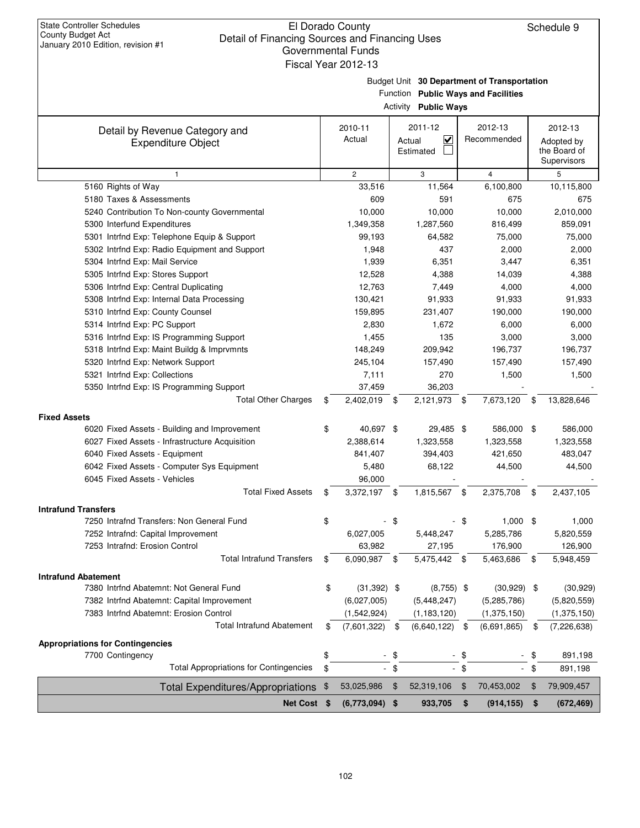|                                                                            |     | uuvtiiliittiitai lulius<br>Fiscal Year 2012-13                                                 |      |                                                |      |                            |    |                                                      |
|----------------------------------------------------------------------------|-----|------------------------------------------------------------------------------------------------|------|------------------------------------------------|------|----------------------------|----|------------------------------------------------------|
|                                                                            |     | Budget Unit 30 Department of Transportation<br>Function Public Ways and Facilities<br>Activity |      |                                                |      |                            |    |                                                      |
| Detail by Revenue Category and<br><b>Expenditure Object</b>                |     | 2010-11<br>Actual                                                                              |      | 2011-12<br>$\checkmark$<br>Actual<br>Estimated |      | 2012-13<br>Recommended     |    | 2012-13<br>Adopted by<br>the Board of<br>Supervisors |
| $\mathbf{1}$                                                               |     | $\mathbf{2}^{\prime}$                                                                          |      | 3                                              |      | $\overline{4}$             |    | 5                                                    |
| 5160 Rights of Way                                                         |     | 33,516                                                                                         |      | 11,564                                         |      | 6,100,800                  |    | 10,115,800                                           |
| 5180 Taxes & Assessments                                                   |     | 609                                                                                            |      | 591                                            |      | 675                        |    | 675                                                  |
| 5240 Contribution To Non-county Governmental                               |     | 10,000                                                                                         |      | 10,000                                         |      | 10,000                     |    | 2,010,000                                            |
| 5300 Interfund Expenditures                                                |     | 1,349,358                                                                                      |      | 1,287,560                                      |      | 816,499                    |    | 859,091                                              |
| 5301 Intrfnd Exp: Telephone Equip & Support                                |     | 99,193                                                                                         |      | 64,582                                         |      | 75,000                     |    | 75,000                                               |
| 5302 Intrfnd Exp: Radio Equipment and Support                              |     | 1,948                                                                                          |      | 437                                            |      | 2,000                      |    | 2,000                                                |
| 5304 Intrfnd Exp: Mail Service                                             |     | 1,939                                                                                          |      | 6,351                                          |      | 3,447                      |    | 6,351                                                |
| 5305 Intrfnd Exp: Stores Support                                           |     | 12,528                                                                                         |      | 4,388                                          |      | 14,039                     |    | 4,388                                                |
| 5306 Intrfnd Exp: Central Duplicating                                      |     | 12,763                                                                                         |      | 7,449                                          |      | 4,000                      |    | 4,000                                                |
| 5308 Intrfnd Exp: Internal Data Processing                                 |     | 130,421                                                                                        |      | 91,933                                         |      | 91,933                     |    | 91,933                                               |
| 5310 Intrfnd Exp: County Counsel                                           |     | 159,895                                                                                        |      | 231,407                                        |      | 190,000                    |    | 190,000                                              |
| 5314 Intrfnd Exp: PC Support                                               |     | 2,830                                                                                          |      | 1,672                                          |      | 6,000                      |    | 6,000                                                |
| 5316 Intrfnd Exp: IS Programming Support                                   |     | 1,455                                                                                          |      | 135                                            |      | 3,000                      |    | 3,000                                                |
| 5318 Intrfnd Exp: Maint Buildg & Imprvmnts                                 |     | 148,249                                                                                        |      | 209,942                                        |      | 196,737                    |    | 196,737                                              |
| 5320 Intrfnd Exp: Network Support                                          |     | 245,104                                                                                        |      | 157,490                                        |      | 157,490                    |    | 157,490                                              |
| 5321 Intrfnd Exp: Collections                                              |     | 7,111                                                                                          |      | 270                                            |      | 1,500                      |    | 1,500                                                |
| 5350 Intrfnd Exp: IS Programming Support                                   |     | 37,459                                                                                         |      | 36,203                                         |      |                            |    |                                                      |
| <b>Total Other Charges</b>                                                 | \$  | 2,402,019 \$                                                                                   |      | 2,121,973                                      | - \$ | 7,673,120                  | \$ | 13,828,646                                           |
| <b>Fixed Assets</b>                                                        |     |                                                                                                |      |                                                |      |                            |    |                                                      |
| 6020 Fixed Assets - Building and Improvement                               | \$  | 40,697 \$                                                                                      |      | 29,485 \$                                      |      | 586,000 \$                 |    | 586,000                                              |
| 6027 Fixed Assets - Infrastructure Acquisition                             |     | 2,388,614                                                                                      |      | 1,323,558                                      |      | 1,323,558                  |    | 1,323,558                                            |
| 6040 Fixed Assets - Equipment                                              |     | 841,407                                                                                        |      | 394,403                                        |      | 421,650                    |    | 483,047                                              |
| 6042 Fixed Assets - Computer Sys Equipment                                 |     | 5,480                                                                                          |      | 68,122                                         |      | 44,500                     |    | 44,500                                               |
| 6045 Fixed Assets - Vehicles                                               |     | 96,000                                                                                         |      |                                                |      |                            |    |                                                      |
| <b>Total Fixed Assets</b>                                                  | \$  | 3,372,197 \$                                                                                   |      | 1,815,567                                      | \$   | 2,375,708                  | \$ | 2,437,105                                            |
| <b>Intrafund Transfers</b>                                                 |     |                                                                                                |      |                                                |      |                            |    |                                                      |
| 7250 Intrafnd Transfers: Non General Fund                                  |     |                                                                                                |      |                                                |      | 1,000                      |    | 1,000                                                |
| 7252 Intrafnd: Capital Improvement                                         |     | 6,027,005                                                                                      |      | 5,448,247                                      |      | 5,285,786                  |    | 5,820,559                                            |
| 7253 Intrafnd: Erosion Control                                             |     | 63,982                                                                                         |      | 27,195                                         |      | 176,900                    |    | 126,900                                              |
| <b>Total Intrafund Transfers</b>                                           | \$  | 6,090,987 \$                                                                                   |      | 5,475,442 \$                                   |      | 5,463,686                  | \$ | 5,948,459                                            |
| <b>Intrafund Abatement</b>                                                 |     |                                                                                                |      |                                                |      |                            |    |                                                      |
| 7380 Intrfnd Abatemnt: Not General Fund                                    | \$  | $(31,392)$ \$                                                                                  |      | $(8,755)$ \$                                   |      | $(30,929)$ \$              |    | (30, 929)                                            |
|                                                                            |     |                                                                                                |      |                                                |      |                            |    |                                                      |
| 7382 Intrfnd Abatemnt: Capital Improvement                                 |     | (6,027,005)                                                                                    |      | (5,448,247)                                    |      | (5,285,786)                |    | (5,820,559)                                          |
| 7383 Intrfnd Abatemnt: Erosion Control<br><b>Total Intrafund Abatement</b> | \$  | (1,542,924)<br>(7,601,322)                                                                     | \$   | (1, 183, 120)<br>(6,640,122)                   | \$   | (1,375,150)<br>(6,691,865) | \$ | (1,375,150)<br>(7, 226, 638)                         |
|                                                                            |     |                                                                                                |      |                                                |      |                            |    |                                                      |
| <b>Appropriations for Contingencies</b>                                    |     |                                                                                                |      |                                                |      |                            |    |                                                      |
| 7700 Contingency                                                           | \$  |                                                                                                | - \$ |                                                | - \$ |                            | \$ | 891,198                                              |
| <b>Total Appropriations for Contingencies</b>                              | \$  |                                                                                                | - \$ |                                                | - \$ |                            | \$ | 891,198                                              |
| Total Expenditures/Appropriations                                          | -\$ | 53,025,986                                                                                     | \$   | 52,319,106                                     | \$   | 70,453,002                 | \$ | 79,909,457                                           |
| Net Cost \$                                                                |     | $(6,773,094)$ \$                                                                               |      | 933,705 \$                                     |      | $(914, 155)$ \$            |    | (672, 469)                                           |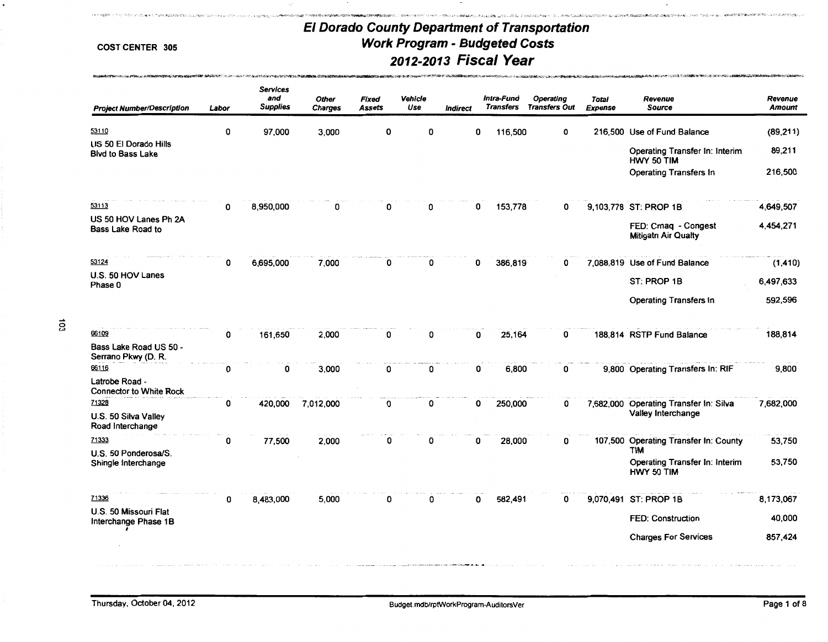しているかたうませきなくなるように、このように、このことは、このように、そのように、このようなので、このようなので、このように、このように、このように、このように、このように、このように、このように、そのようには、このようなので、このように、そのように、このように、このように、このように、このように、このように、このように、このように、このように、このように、このように

.<br>የኢትዮ/ዲንፍ አም/ሮ**ሽተርዳም ጫ**ባትና አዋልተለይቷት: 2 ለምንምት የአቀፍሮ የ**ተገ**ለጸ በመልኩ ቀር ላለ በመን

### COST CENTER 305

**ROTTER MARINE PRINCE IN MONTH ROYAL MICHIGAN** 

| <b>Project Number/Description</b>                      | Labor | <b>Services</b><br>and<br><b>Supplies</b> | <b>Other</b><br><b>Charges</b> | Fixed<br>Assets | Vehicle<br>Use | <b>Indirect</b> | Intra-Fund<br><b>Transfers</b> | Operating<br><b>Transfers Out</b> | <b>Total</b><br>Expense | Revenue<br><b>Source</b>                            | Revenue<br><b>Amount</b> |
|--------------------------------------------------------|-------|-------------------------------------------|--------------------------------|-----------------|----------------|-----------------|--------------------------------|-----------------------------------|-------------------------|-----------------------------------------------------|--------------------------|
| 53110                                                  | 0     | 97,000                                    | 3,000                          | O               | O              | 0               | 116,500                        | 0                                 |                         | 216,500 Use of Fund Balance                         | (89, 211)                |
| US 50 El Dorado Hills<br><b>Blvd to Bass Lake</b>      |       |                                           |                                |                 |                |                 |                                |                                   |                         | Operating Transfer In: Interim<br>HWY 50 TIM        | 89,211                   |
|                                                        |       |                                           |                                |                 |                |                 |                                |                                   |                         | <b>Operating Transfers In</b>                       | 216,500                  |
| 53113                                                  | 0     | 8,950,000                                 | 0                              | 0               | 0              | 0               | 153,778                        | 0                                 |                         | 9,103,778 ST: PROP 1B                               | 4,649,507                |
| US 50 HOV Lanes Ph 2A<br>Bass Lake Road to             |       |                                           |                                |                 |                |                 |                                |                                   |                         | FED: Cmaq - Congest<br><b>Mitigatn Air Qualty</b>   | 4,454,271                |
| 53124                                                  | 0     | 6,695,000                                 | 7,000                          | 0               | 0              | 0               | 386,819                        | 0                                 |                         | 7,088,819 Use of Fund Balance                       | (1, 410)                 |
| U.S. 50 HOV Lanes<br>Phase 0                           |       |                                           |                                |                 |                |                 |                                |                                   |                         | ST: PROP 1B                                         | 6,497,633                |
|                                                        |       |                                           |                                |                 |                |                 |                                |                                   |                         | <b>Operating Transfers In</b>                       | 592,596                  |
| 66109<br>Bass Lake Road US 50 -<br>Serrano Pkwy (D. R. | 0     | 161,650                                   | 2,000                          | 0               | 0              | 0               | 25,164                         | 0                                 |                         | 188,814 RSTP Fund Balance                           | 188,814                  |
| 66116                                                  | 0     | 0                                         | 3,000                          | 0               | 0              | 0               | 6,800                          | 0                                 |                         | 9,800 Operating Transfers In: RIF                   | 9,800                    |
| Latrobe Road -<br><b>Connector to White Rock</b>       |       |                                           |                                |                 |                |                 |                                |                                   |                         |                                                     |                          |
| 71328<br>U.S. 50 Silva Valley                          | 0     | 420,000                                   | 7,012,000                      | 0               | 0              |                 | 0<br>250,000                   | 0                                 | 7,682,000               | Operating Transfer In: Silva<br>Valley Interchange  | 7,682,000                |
| Road Interchange<br>71333                              | 0     | 77,500                                    | 2,000                          | 0               | ŋ              | 0               | 28,000                         | 0                                 |                         | 107,500 Operating Transfer In: County               | 53,750                   |
| U.S. 50 Ponderosa/S.<br>Shingle Interchange            |       |                                           |                                |                 |                |                 |                                |                                   |                         | TIM<br>Operating Transfer In: Interim<br>HWY 50 TIM | 53,750                   |
| 71336                                                  | 0     | 8,483,000                                 | 5,000                          | 0               | 0              |                 | 582,491<br>0                   | 0                                 |                         | 9,070,491 ST: PROP 1B                               | 8,173,067                |
| U.S. 50 Missouri Flat<br>Interchange Phase 1B          |       |                                           |                                |                 |                |                 |                                |                                   |                         | <b>FED: Construction</b>                            | 40,000                   |
|                                                        |       |                                           |                                |                 |                |                 |                                |                                   |                         | <b>Charges For Services</b>                         | 857,424                  |
|                                                        |       |                                           |                                |                 |                |                 |                                |                                   |                         |                                                     |                          |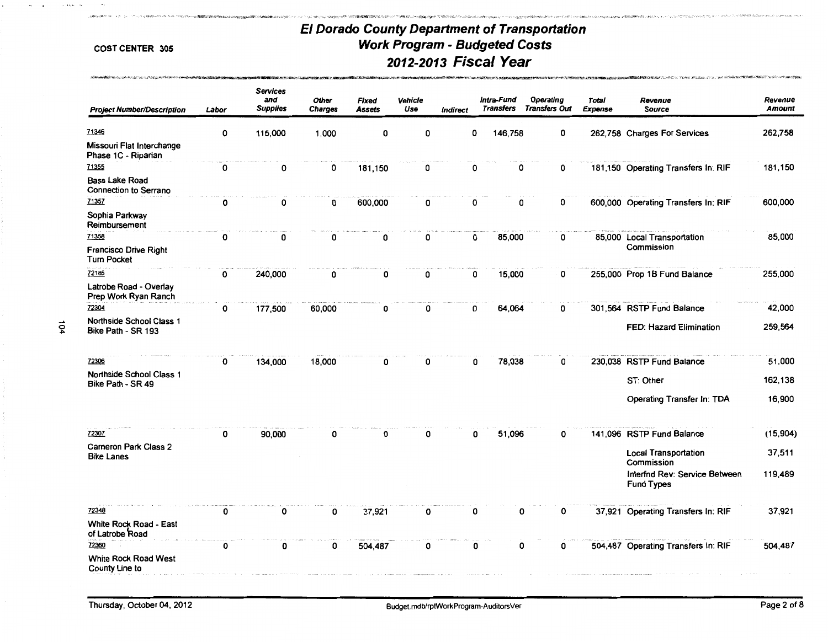.<br>In the Machine School Philosophy and the Control Profit and the Control of the School Profit and the Control of

 $\label{eq:2} \mathcal{L}(\mathcal{L}) = \mathcal{L}(\mathcal{L}(\mathcal{L})) = \mathcal{L}(\mathcal{L}(\mathcal{L})) = \mathcal{L}(\mathcal{L}(\mathcal{L})) = \mathcal{L}(\mathcal{L}(\mathcal{L})) = \mathcal{L}(\mathcal{L}(\mathcal{L})) = \mathcal{L}(\mathcal{L}(\mathcal{L})) = \mathcal{L}(\mathcal{L}(\mathcal{L})) = \mathcal{L}(\mathcal{L}(\mathcal{L})) = \mathcal{L}(\mathcal{L}(\mathcal{L})) = \mathcal{L}(\mathcal{L}(\mathcal{L})) = \mathcal{L}(\mathcal{$ 

**のことには、そのこと、ことには、こうしたので、このことを見えることができます。 しかいしょう こうしんかい こうしんかい こうかいしょう こうしんかい こうしょう こうしょう こうしょう こうしょう こうしょう こうしょう こうしょう こうしょう こうしょう こうしょうかい こうしょうかい こうしょうかい こうしょう** 

довым пользования составления

| <b>Project Number/Description</b>                     | Labor        | <b>Services</b><br>and<br><b>Supplies</b> | <b>Other</b><br><b>Charges</b> | <b>Fixed</b><br>Assets | Vehicle<br>Use | Indirect | Intra-Fund<br><b>Transfers</b> | Operating<br><b>Transfers Out</b> | Total<br><b>Expense</b> | Revenue<br><b>Source</b>                           | Revenue<br><b>Amount</b> |
|-------------------------------------------------------|--------------|-------------------------------------------|--------------------------------|------------------------|----------------|----------|--------------------------------|-----------------------------------|-------------------------|----------------------------------------------------|--------------------------|
| 71346                                                 | 0            | 115,000                                   | 1,000                          | 0                      | 0              |          | 146,758<br>0                   | 0                                 |                         | 262,758 Charges For Services                       | 262,758                  |
| Missouri Flat Interchange<br>Phase 1C - Riparian      |              |                                           |                                |                        |                |          |                                |                                   |                         |                                                    |                          |
| 71355                                                 | $\mathbf{o}$ | 0                                         | 0                              | 181,150                | 0              |          | 0                              | 0<br>0                            |                         | 181,150 Operating Transfers In: RIF                | 181,150                  |
| <b>Bass Lake Road</b><br><b>Connection to Serrano</b> |              |                                           |                                |                        |                |          |                                |                                   |                         |                                                    |                          |
| 71357                                                 | 0            | 0                                         | 0                              | 600,000                | 0              |          | 0                              | 0<br>0                            |                         | 600,000 Operating Transfers In: RIF                | 600,000                  |
| Sophia Parkway<br>Reimbursement                       |              |                                           |                                |                        |                |          |                                |                                   |                         |                                                    |                          |
| 71358                                                 | 0            | 0                                         | 0                              | 0                      | 0              |          | 85,000<br>0                    | 0                                 |                         | 85,000 Local Transportation<br>Commission          | 85,000                   |
| <b>Francisco Drive Right</b><br><b>Turn Pocket</b>    |              |                                           |                                |                        |                |          |                                |                                   |                         |                                                    |                          |
| 72185                                                 | 0            | 240,000                                   | 0                              | 0                      | 0              |          | 15,000<br>0                    | 0                                 |                         | 255,000 Prop 1B Fund Balance                       | 255,000                  |
| Latrobe Road - Overlay<br>Prep Work Ryan Ranch        |              |                                           |                                |                        |                |          |                                |                                   |                         |                                                    |                          |
| 72304                                                 | 0            | 177,500                                   | 60,000                         | 0                      | 0              |          | 64,064<br>0                    | 0                                 |                         | 301,564 RSTP Fund Balance                          | 42,000                   |
| Northside School Class 1<br>Bike Path - SR 193        |              |                                           |                                |                        |                |          |                                |                                   |                         | FED: Hazard Elimination                            | 259,564                  |
| 72306                                                 | 0            | 134,000                                   | 18,000                         | 0                      | n              |          | 78,038<br>0                    | 0                                 |                         | 230,038 RSTP Fund Balance                          | 51,000                   |
| <b>Northside School Class 1</b><br>Bike Path - SR 49  |              |                                           |                                |                        |                |          |                                |                                   |                         | ST: Other                                          | 162,138                  |
|                                                       |              |                                           |                                |                        |                |          |                                |                                   |                         | Operating Transfer In: TDA                         | 16,900                   |
| 72307                                                 | 0            | 90,000                                    | 0                              | 0                      | 0              |          | 51,096<br>Ω                    | 0                                 |                         | 141,096 RSTP Fund Balance                          | (15,904)                 |
| Carneron Park Class 2<br><b>Bike Lanes</b>            |              |                                           |                                |                        |                |          |                                |                                   |                         | <b>Local Transportation</b><br>Commission          | 37,511                   |
|                                                       |              |                                           |                                |                        |                |          |                                |                                   |                         | Interfnd Rev: Service Between<br><b>Fund Types</b> | 119,489                  |
| 72348                                                 | 0            | 0                                         | 0                              | 37,921                 | 0              |          | 0                              | n<br>0                            |                         | 37,921 Operating Transfers In: RIF                 | 37,921                   |
| White Rock Road - East<br>of Latrobe Road             |              |                                           |                                |                        |                |          |                                |                                   |                         |                                                    |                          |
| 72360                                                 | 0            | 0                                         | 0                              | 504,487                | 0              |          | 0                              | 0<br>0                            |                         | 504,487 Operating Transfers In: RIF                | 504,487                  |
| White Rock Road West<br>County Line to                |              |                                           |                                |                        |                |          |                                |                                   |                         |                                                    |                          |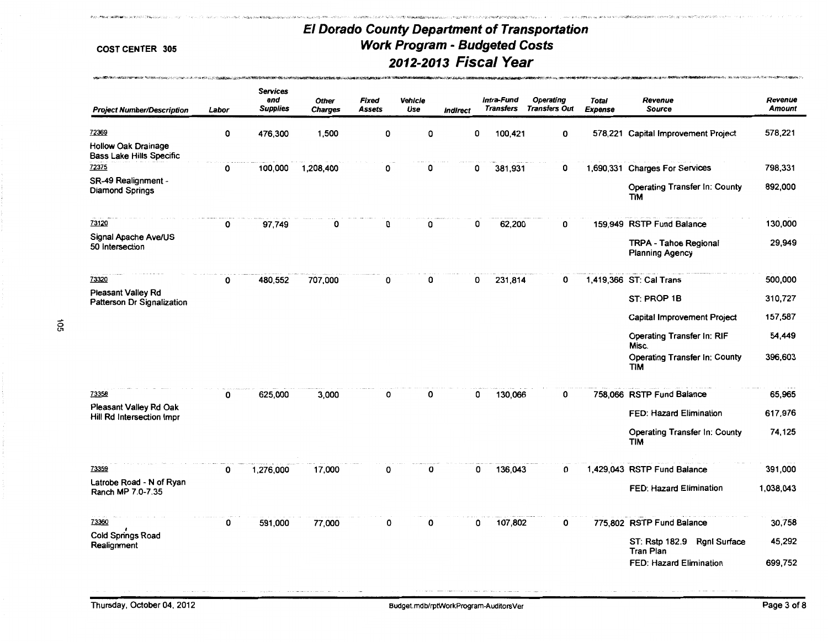A SAME OF CALL AND MANUSCRIPT TO A SHOP OF A SAMPLING SAMPAIGN CONTRACT OF A

included invasions receptions and a

AND A CONTROL OF A CARD OF THE REPORT OF A STATISTIC CONTROL OF THE CONTROL OF A CONTROL OF A CONTROL OF A CONTROL OF A CONTROL OF A CONTROL OF A CONTROL OF A CONTROL OF A CONTROL OF A CONTROL OF A CONTROL OF A CONTROL OF

.<br>La facilitata constantino de la facilitación de esplicituda Estadounia.

# Services and Other Fixed Vehicle Intra-Fund Operating Total Revenue Revenue Project Number/Description Labor Supplies Charges Assets Use Indirect Transfers Transfers Out Expense Source Mount 72369 0 476,300 1,500 0 0 0 100,421 0 578,221 Capital Improvement Project 578,221 Hollow Oak Drainage Bass lake Hills Specific 72375 0 100,000 1,208,400 0 0 0 381,931 0 1,690,331 Charges For Services 798,331 SR-49 Realignment -<br>Diamond Springs the County to the State of County of the State of County of County 892,000<br>TIM TIM 73120 0 97,749 0 0 0 0 62,200 0 159,949 RSTP Fund Balance 130,000 Signal Apache Ave/US TRPA- Tahoe Regional 29,949 50 Intersection Planning Agency .. .. 73320 0 480,552 707,000 0 0 0 231,814 0 1 ,419,366 ST: Cal Trans 500,000 Pleasant Valley Rd ST: PROP 1B 310,727 Patterson Dr Signalization Capital Improvement Project 157,587 Operating Transfer In: RIF 54,449 Misc. Operating Transfer In: County 396,603 TIM 73358 0 625,000 3,000 0 0 0 130,066 0 758,066 RSTP Fund Balance 65,965 Pleasant Valley Rd Oak FED: Hazard Elimination 617,976 Hill Rd Intersection lmpr Operating Transfer In: County 74,125 TIM 73359 0 1,276,000 17,000 0 0 0 136,043 0 1 ,429,043 RSTP Fund Balance 391,000 latrobe Road - N of Ryan FED: Hazard Elimination 1,038,043 Ranch MP 7.0-7.35 73360 0 591,000 77,000 0 0 0 107,802 0 775,802 RSTP Fund Balance 30,758 I Cold Springs Road ST: Rstp 182.9 Rgnl Surface 45,292 Realignment Tran Plan FED: Hazard Elimination 699,752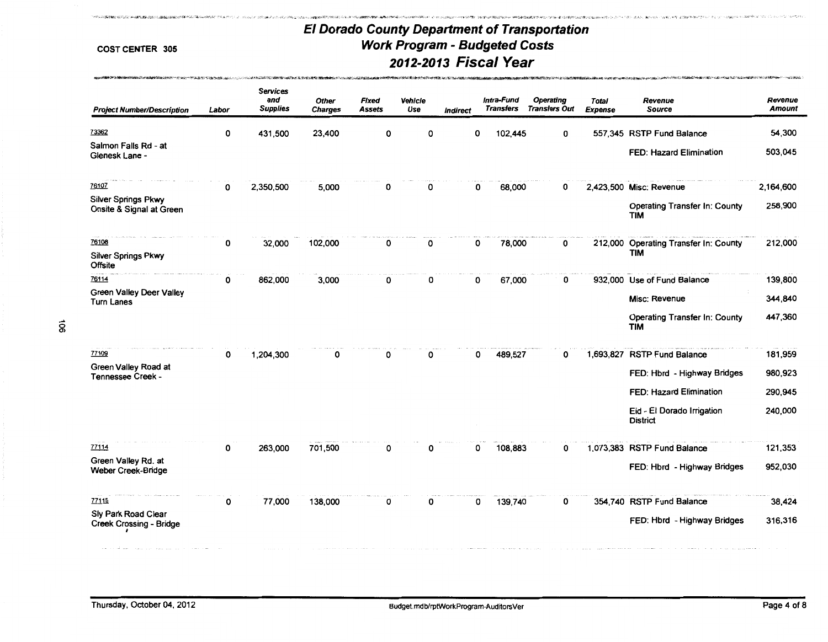# Services and Other Fixed Vehicle Intra-Fund Operating Total Revenue Revenue Project Number/Description Labor Supplies Charges Assets Use Indirect Transfers Transfers Out Expense Source Source Amount 73362 13362 131,500 23,400 0 0 0 102,445 0 557,345 RSTP Fund Balance 54,300 Salmon Falls Rd - at FED: Hazard Elimination 503,045 Glenesk Lane - 76107 2,350,500 5,000 0 0 0 68,000 0 2,423,500 Misc: Revenue 2,164,600 Silver Springs Pkwy 258,900<br>Onsite & Signal at Green 258,900 Particle and Structure of Structure of Structure of Times 258,900 Particle an<br>TIM <sup>76108</sup>0 32,000 102,000 0 0 0 78,000 0 212,000 Operating Transfer In: County 212,000 Silver Springs Pkwy TIM Offsite 76114 2000 139,800 3,000 0 0 0 67,000 0 932,000 Use of Fund Balance 139,800 Green Valley Deer Valley (1998) 1999 - 1999 - 1999 - 1999 - 1999 - 1999 - 1999 - 1999 - 1999 - 1999 - 1999 - 1<br>Turn Lanes Operating Transfer In: County 447,360  $\sim$  50  $\,$  Time  $\,$  Time  $\,$  Time  $\,$  Time  $\,$  Time  $\,$  Time  $\,$  Time  $\,$  Time  $\,$  Time  $\,$  Time  $\,$  Time  $\,$  Time  $\,$  Time  $\,$  Time  $\,$  Time  $\,$  Time  $\,$  Time  $\,$  Time  $\,$  Time  $\,$  Time  $\,$  Time  $\,$ 77109 1,204,300 0 0 0 0 0 489,527 0 1,693,827 RSTP Fund Balance 181,959 Green Valley Road at Chronic Communications of the Same Creen Valley Road at The Same Creek - Same States of the Same States of the Same States of the Same States of the Same States of the Same States of the Same States of FED: Hazard Elimination 290,945 Eid - El Dorado Irrigation 240,000 **District** 77114 27114 0 263,000 701,500 0 0 0 0 108,883 0 1,073,383 RSTP Fund Balance 121,353 Green Valley Rd. at weber Creek-Bridge Creek-Bridges 952,030 Creek-Bridges 952,030 <sup>77115</sup>0 77,000 138,000 0 0 0 139,740 0 354,740 RSTP Fund Balance 38,424 Sly Park Road Clear FED: Hbrd - Highway Bridges 316,316 Creek Crossing - Bridge t

**҄҄ӠѦӿҀҘӾҘӃѴӎӺҘѩӽ҂ӵӢѶҍӵӐӤӱѴҠ҃ҘѦҊӿҊѬҵѩӂ҂Ҙ҂҉ӅҍҘӵҟѧѦѦѦѦѦѬѬӂҀӎӢѬҾҍӵӎҋҀ҃ҌӊҀӒҍҘӉҾ҄**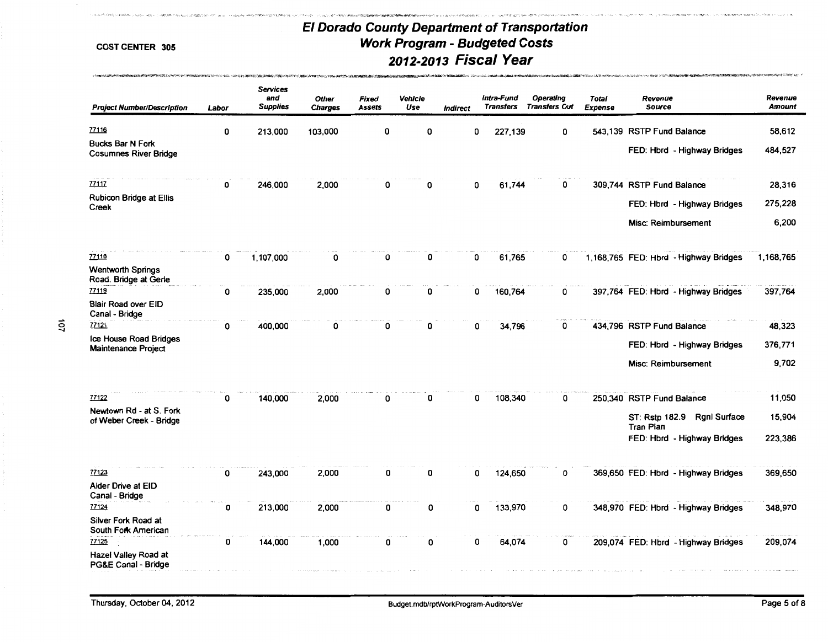።<br>የመንግሞው የሚገባል የሚያስት የሚገባው የተገባው የሚገባው የሚገባውን የሚያስል የሚያስል የሚያስት በመልክ የሚያስት የሚያስት እንደ የሚገባውን የሚያስት የሚገባው የሚገባው የሚገባው የሚገባው የሚገባውን

John Sandhord (1999) - John Stock (1999)

| <b>Project Number/Description</b>                       | Labor | <b>Services</b><br>and<br><b>Supplies</b> | <b>Other</b><br><b>Charges</b> | Fixed<br><b>Assets</b> | Vehicle<br>Use | <b>Indirect</b> | Intra-Fund<br><b>Transfers</b> | Operating<br><b>Transfers Out</b> | <b>Total</b><br>Expense | Revenue<br><b>Source</b>                                  | Revenue<br><b>Amount</b> |
|---------------------------------------------------------|-------|-------------------------------------------|--------------------------------|------------------------|----------------|-----------------|--------------------------------|-----------------------------------|-------------------------|-----------------------------------------------------------|--------------------------|
| 77116                                                   | 0     | 213,000                                   | 103,000                        | 0                      | 0              |                 | 227,139<br>0                   | 0                                 |                         | 543,139 RSTP Fund Balance                                 | 58,612                   |
| <b>Bucks Bar N Fork</b><br><b>Cosumnes River Bridge</b> |       |                                           |                                |                        |                |                 |                                |                                   |                         | FED: Hbrd - Highway Bridges                               | 484,527                  |
| 77117                                                   | 0     | 246,000                                   | 2,000                          | 0                      | 0              |                 | 61,744<br>0                    | 0                                 |                         | 309,744 RSTP Fund Balance                                 | 28,316                   |
| <b>Rubicon Bridge at Ellis</b><br>Creek                 |       |                                           |                                |                        |                |                 |                                |                                   |                         | FED: Hbrd - Highway Bridges                               | 275,228                  |
|                                                         |       |                                           |                                |                        |                |                 |                                |                                   |                         | Misc: Reimbursement                                       | 6,200                    |
| 77118                                                   | 0     | 1,107,000                                 | $\Omega$                       | 0                      | 0              |                 | 61,765<br>O                    | 0                                 |                         | 1,168,765 FED: Hbrd - Highway Bridges                     | 1,168,765                |
| <b>Wentworth Springs</b><br>Road. Bridge at Gerle       |       |                                           |                                |                        |                |                 |                                |                                   |                         |                                                           |                          |
| 77119                                                   | 0     | 235,000                                   | 2,000                          | 0                      | 0              |                 | 160,764<br>0                   | 0                                 |                         | 397,764 FED: Hbrd - Highway Bridges                       | 397,764                  |
| <b>Blair Road over EID</b><br>Canal - Bridge            |       |                                           |                                |                        |                |                 |                                |                                   |                         |                                                           |                          |
| 77121                                                   | 0     | 400,000                                   | 0                              | 0                      | 0              |                 | 34,796<br>0                    | 0                                 |                         | 434,796 RSTP Fund Balance                                 | 48,323                   |
| Ice House Road Bridges<br><b>Maintenance Project</b>    |       |                                           |                                |                        |                |                 |                                |                                   |                         | FED: Hbrd - Highway Bridges                               | 376,771                  |
|                                                         |       |                                           |                                |                        |                |                 |                                |                                   |                         | Misc: Reimbursement                                       | 9,702                    |
| 77122                                                   | 0     | 140,000                                   | 2,000                          | 0                      | O              |                 | 108,340<br>0                   | 0                                 |                         | 250,340 RSTP Fund Balance                                 | 11,050                   |
| Newtown Rd - at S. Fork<br>of Weber Creek - Bridge      |       |                                           |                                |                        |                |                 |                                |                                   |                         | <b>Rgnl Surface</b><br>ST: Rstp 182.9<br><b>Tran Plan</b> | 15,904                   |
|                                                         |       |                                           |                                |                        |                |                 |                                |                                   |                         | FED: Hbrd - Highway Bridges                               | 223,386                  |
| 77123                                                   | 0     | 243.000                                   | 2,000                          | 0                      | 0              |                 | 124,650<br>0                   | 0                                 |                         | 369,650 FED: Hbrd - Highway Bridges                       | 369,650                  |
| Alder Drive at EID<br>Canal - Bridge                    |       |                                           |                                |                        |                |                 |                                |                                   |                         |                                                           |                          |
| 77124                                                   | 0     | 213,000                                   | 2,000                          | 0                      | 0              |                 | 133,970<br>0                   | 0                                 |                         | 348,970 FED: Hbrd - Highway Bridges                       | 348,970                  |
| Silver Fork Road at<br>South Fork American              |       |                                           |                                |                        |                |                 |                                |                                   |                         |                                                           |                          |
| 77125<br>Hazel Valley Road at                           | 0     | 144,000                                   | 1,000                          | 0                      | 0              |                 | 0<br>64,074                    | 0                                 |                         | 209,074 FED: Hbrd - Highway Bridges                       | 209,074                  |
| <b>PG&amp;E Canal - Bridge</b>                          |       |                                           |                                |                        |                |                 |                                |                                   |                         |                                                           |                          |

.<br>Слова с колическа собраза населения словода собраза да името собраза при представления на селото на собраза со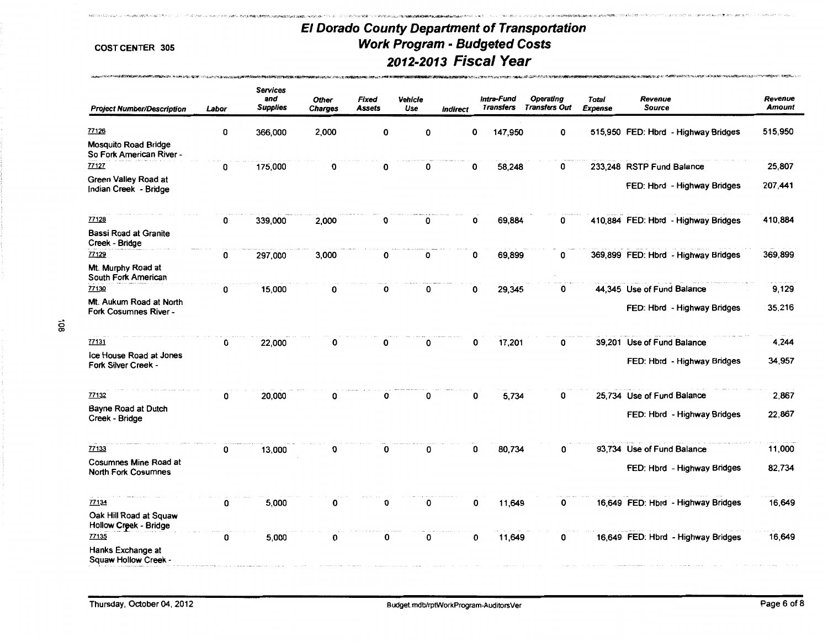..• .... '"'"' .,. ':!: , ..

....... •

http://www.adjackabook.com/www.adjackabook.com/www.adjackabook.com/www.adjackabook.com/www.adjackabook.com/www

**Processing communities of the community of the control of the control of the control of the control of the control of the control of the control of the control of the control of the control of the control of the control o** 

| <b>Project Number/Description</b>                          | Labor | <b>Services</b><br>and<br><b>Supplies</b> | Other<br><b>Charges</b> | Fixed<br><b>Assets</b> | Vehicle<br>Use | <b>Indirect</b> | Intra-Fund<br><b>Transfers</b> | <b>Operating</b><br><b>Transfers Out</b> | Total<br><b>Expense</b> | Revenue<br><b>Source</b>            | Revenue<br><b>Amount</b> |
|------------------------------------------------------------|-------|-------------------------------------------|-------------------------|------------------------|----------------|-----------------|--------------------------------|------------------------------------------|-------------------------|-------------------------------------|--------------------------|
| 77126<br><b>Mosquito Road Bridge</b>                       | 0     | 366,000                                   | 2,000                   | 0                      | 0              | 0               | 147,950                        | 0                                        |                         | 515,950 FED: Hbrd - Highway Bridges | 515,950                  |
| So Fork American River -                                   |       |                                           |                         |                        |                |                 |                                |                                          |                         |                                     |                          |
| 77127                                                      | 0     | 175,000                                   | 0                       | 0                      | 0              | 0               | 58,248                         | 0                                        |                         | 233,248 RSTP Fund Balance           | 25,807                   |
| Green Valley Road at<br>Indian Creek - Bridge              |       |                                           |                         |                        |                |                 |                                |                                          |                         | FED: Hbrd - Highway Bridges         | 207,441                  |
| 77128                                                      | 0     | 339,000                                   | 2.000                   | 0                      | 0              | 0               | 69,884                         | 0                                        |                         | 410,884 FED: Hbrd - Highway Bridges | 410,884                  |
| <b>Bassi Road at Granite</b><br>Creek - Bridge             |       |                                           |                         |                        |                |                 |                                |                                          |                         |                                     |                          |
| 77129                                                      | 0     | 297,000                                   | 3,000                   | 0                      | 0              | 0               | 69,899                         | 0                                        |                         | 369,899 FED: Hbrd - Highway Bridges | 369,899                  |
| Mt. Murphy Road at<br>South Fork American                  |       |                                           |                         |                        |                |                 |                                |                                          |                         |                                     |                          |
| 77130                                                      | 0     | 15,000                                    | 0                       | 0                      | 0              | 0               | 29,345                         | 0                                        |                         | 44,345 Use of Fund Balance          | 9,129                    |
| Mt. Aukum Road at North<br>Fork Cosumnes River -           |       |                                           |                         |                        |                |                 |                                |                                          |                         | FED: Hbrd - Highway Bridges         | 35,216                   |
| 77131                                                      | 0     | 22,000                                    | 0                       | 0                      | 0              | 0               | 17,201                         | 0                                        |                         | 39,201 Use of Fund Balance          | 4,244                    |
| Ice House Road at Jones<br>Fork Silver Creek -             |       |                                           |                         |                        |                |                 |                                |                                          |                         | FED: Hbrd - Highway Bridges         | 34,957                   |
| 77132                                                      | 0     | 20,000                                    | n                       | 0                      | 0              | O               | 5,734                          | 0                                        |                         | 25,734 Use of Fund Balance          | 2,867                    |
| Bayne Road at Dutch<br>Creek - Bridge                      |       |                                           |                         |                        |                |                 |                                |                                          |                         | FED: Hbrd - Highway Bridges         | 22,867                   |
| 77133                                                      | 0     | 13,000                                    | 0                       | 0                      | 0              | 0               | 80,734                         | 0                                        |                         | 93,734 Use of Fund Balance          | 11,000                   |
| <b>Cosumnes Mine Road at</b><br><b>North Fork Cosumnes</b> |       |                                           |                         |                        |                |                 |                                |                                          |                         | FED: Hbrd - Highway Bridges         | 82,734                   |
| 77134                                                      | 0     | 5,000                                     | 0                       | 0                      | 0              | 0               | 11,649                         | 0                                        |                         | 16,649 FED: Hbrd - Highway Bridges  | 16,649                   |
| Oak Hill Road at Squaw<br>Hollow Creek - Bridge            |       |                                           |                         |                        |                |                 |                                |                                          |                         |                                     |                          |
| 77135<br>Hanks Exchange at<br>Squaw Hollow Creek -         | 0     | 5,000                                     | 0                       | 0                      | 0              | 0               | 11,649                         | 0                                        |                         | 16,649 FED: Hbrd - Highway Bridges  | 16,649                   |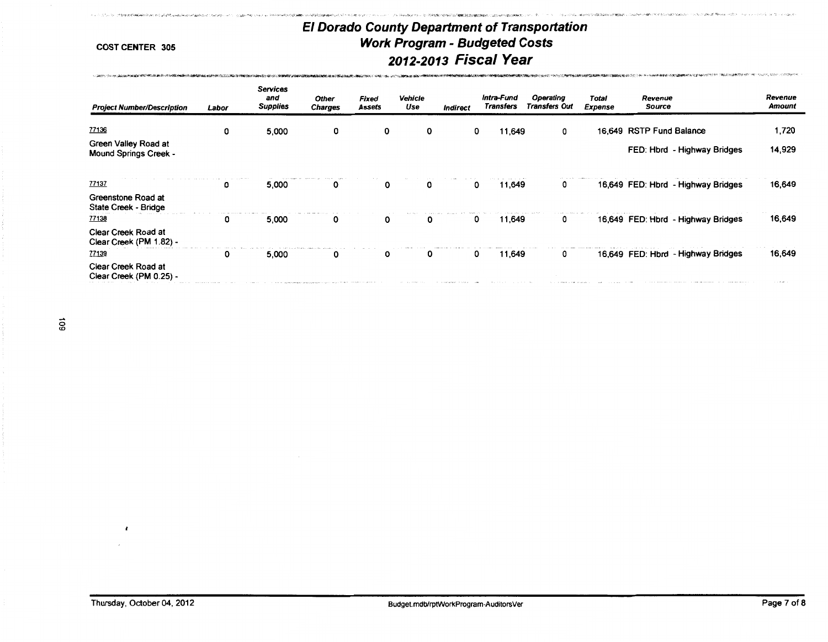'iO>.

「そのことには、そのトーマーケート、アニュートの部分の場所であることが、そのことを、そのことを、そのことを、このことを、その時には、それは、1990年のことを、1990年のことを、1990年には、19

COST CENTER 305

A 2005 TO STAND THE CONSTRUCTION OF A STATE OF THE ANNUAL PROPERTY AND RELEASE TO A MARINE.

2012年12月20日, 2012年12月10日, 2012年12月, 2012年12月, 2012年12月, 2012年12月, 2012年12月, 2012年12月, 2012年12月, 2012

| <b>Project Number/Description</b>                       | Labor | <b>Services</b><br>and<br><b>Supplies</b> | <b>Other</b><br><b>Charges</b> | Fixed<br><b>Assets</b> | Vehicle<br>Use | Indirect | Intra-Fund<br>Transfers | Operating<br><b>Transfers Out</b> | Total<br>Expense | Revenue<br>Source                  | Revenue<br><b>Amount</b> |
|---------------------------------------------------------|-------|-------------------------------------------|--------------------------------|------------------------|----------------|----------|-------------------------|-----------------------------------|------------------|------------------------------------|--------------------------|
| 77136                                                   | 0     | 5,000                                     | 0                              | 0                      | 0              |          | 11,649<br>0             | 0                                 |                  | 16,649 RSTP Fund Balance           | 1,720                    |
| Green Valley Road at<br><b>Mound Springs Creek -</b>    |       |                                           |                                |                        |                |          |                         |                                   |                  | FED: Hbrd - Highway Bridges        | 14,929                   |
| 77137<br>Greenstone Road at                             | 0     | 5,000                                     | 0                              | 0                      | 0              |          | 11,649<br>0             | 0                                 |                  | 16,649 FED: Hbrd - Highway Bridges | 16,649                   |
| State Creek - Bridge<br>77138                           | 0     | 5,000                                     | 0                              | 0                      |                |          | 11,649<br>0             | 0                                 |                  | 16,649 FED: Hbrd - Highway Bridges | 16,649                   |
| Clear Creek Road at<br>Clear Creek (PM 1.82) -          |       |                                           |                                |                        |                |          |                         |                                   |                  |                                    |                          |
| 77139<br>Clear Creek Road at<br>Clear Creek (PM 0.25) - | 0     | 5,000                                     | 0                              | 0                      | 0              |          | 11,649<br>0             | 0                                 |                  | 16,649 FED: Hbrd - Highway Bridges | 16,649                   |

ន

 $\cdot$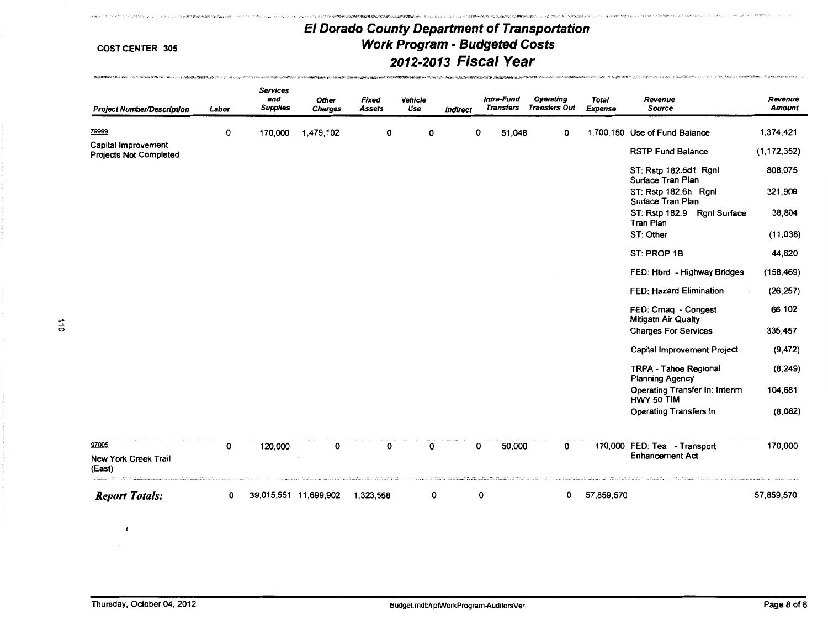.<br>Prie skološijama sprijanim Albrichi i samkritatu valdati (Nachta da 1970.) i skolo 1920. od metatorija primata

A control of the control of the control of the control of the control of the control of the control of the control of the control of the control of the control of the control of the control of the control of the control of

**創作は期間を開催したサイトを行うことがないのかいと思っているから、**このサイトをしているのでは、その他には、「その他には、「その他には、「その他には、「その他には

| <b>Project Number/Description</b>                    | Labor | <b>Services</b><br>and<br><b>Supplies</b> | <b>Other</b><br><b>Charges</b> | <b>Fixed</b><br><b>Assets</b> | Vehicle<br>Use | Indirect                                                                                                                                                                                                                                                                                                                                                                                                                                               | Intra-Fund<br>Transfers | <b>Operating</b><br><b>Transfers Out</b> | <b>Total</b><br><b>Expense</b> | Revenue<br><b>Source</b>                                  | Revenue<br>Amount |
|------------------------------------------------------|-------|-------------------------------------------|--------------------------------|-------------------------------|----------------|--------------------------------------------------------------------------------------------------------------------------------------------------------------------------------------------------------------------------------------------------------------------------------------------------------------------------------------------------------------------------------------------------------------------------------------------------------|-------------------------|------------------------------------------|--------------------------------|-----------------------------------------------------------|-------------------|
| 79999                                                | 0     | 170,000                                   | 1,479,102                      | 0                             | 0              |                                                                                                                                                                                                                                                                                                                                                                                                                                                        | 0<br>51,048             | 0                                        |                                | 1,700,150 Use of Fund Balance                             | 1,374,421         |
| Capital Improvement<br><b>Projects Not Completed</b> |       |                                           |                                |                               |                |                                                                                                                                                                                                                                                                                                                                                                                                                                                        |                         |                                          |                                | <b>RSTP Fund Balance</b>                                  | (1, 172, 352)     |
|                                                      |       |                                           |                                |                               |                |                                                                                                                                                                                                                                                                                                                                                                                                                                                        |                         |                                          |                                | ST: Rstp 182.6d1 Rgnl<br>Surface Tran Plan                | 808,075           |
|                                                      |       |                                           |                                |                               |                |                                                                                                                                                                                                                                                                                                                                                                                                                                                        |                         |                                          |                                | ST: Rstp 182.6h Rgnl<br>Surface Tran Plan                 | 321,909           |
|                                                      |       |                                           |                                |                               |                |                                                                                                                                                                                                                                                                                                                                                                                                                                                        |                         |                                          |                                | ST: Rstp 182.9<br><b>Rgnl Surface</b><br><b>Tran Plan</b> | 38,804            |
|                                                      |       |                                           |                                |                               |                |                                                                                                                                                                                                                                                                                                                                                                                                                                                        |                         |                                          |                                | ST: Other                                                 | (11, 038)         |
|                                                      |       |                                           |                                |                               |                |                                                                                                                                                                                                                                                                                                                                                                                                                                                        |                         |                                          |                                | ST: PROP 1B                                               | 44,620            |
|                                                      |       |                                           |                                |                               |                |                                                                                                                                                                                                                                                                                                                                                                                                                                                        |                         |                                          |                                | FED: Hbrd - Highway Bridges                               | (158, 469)        |
|                                                      |       |                                           |                                |                               |                |                                                                                                                                                                                                                                                                                                                                                                                                                                                        |                         |                                          |                                | <b>FED: Hazard Elimination</b>                            | (26, 257)         |
|                                                      |       |                                           |                                |                               |                |                                                                                                                                                                                                                                                                                                                                                                                                                                                        |                         |                                          |                                | FED: Cmag - Congest<br><b>Mitigatn Air Qualty</b>         | 66,102            |
|                                                      |       |                                           |                                |                               |                |                                                                                                                                                                                                                                                                                                                                                                                                                                                        |                         |                                          |                                | <b>Charges For Services</b>                               | 335,457           |
|                                                      |       |                                           |                                |                               |                |                                                                                                                                                                                                                                                                                                                                                                                                                                                        |                         |                                          |                                | <b>Capital Improvement Project</b>                        | (9, 472)          |
|                                                      |       |                                           |                                |                               |                |                                                                                                                                                                                                                                                                                                                                                                                                                                                        |                         |                                          |                                | <b>TRPA - Tahoe Regional</b><br><b>Planning Agency</b>    | (8, 249)          |
|                                                      |       |                                           |                                |                               |                |                                                                                                                                                                                                                                                                                                                                                                                                                                                        |                         |                                          |                                | Operating Transfer In: Interim<br>HWY 50 TIM              | 104,681           |
|                                                      |       |                                           |                                |                               |                |                                                                                                                                                                                                                                                                                                                                                                                                                                                        |                         |                                          |                                | <b>Operating Transfers In</b>                             | (8,082)           |
| 97005                                                | 0     | 120,000                                   | 0                              | 0                             | 0              |                                                                                                                                                                                                                                                                                                                                                                                                                                                        | 50,000<br>0             | 0                                        |                                | 170,000 FED: Tea - Transport                              | 170,000           |
| New York Creek Trail<br>(East)                       |       |                                           |                                |                               |                | $\label{eq:2} \begin{split} \mathcal{L}_{\mathcal{A}}(x,y) &= \mathcal{L}_{\mathcal{A}}(x,y) + \mathcal{L}_{\mathcal{A}}(x,y) + \mathcal{L}_{\mathcal{A}}(x,y) + \mathcal{L}_{\mathcal{A}}(x,y) + \mathcal{L}_{\mathcal{A}}(x,y) \\ &= \mathcal{L}_{\mathcal{A}}(x,y) + \mathcal{L}_{\mathcal{A}}(x,y) + \mathcal{L}_{\mathcal{A}}(x,y) + \mathcal{L}_{\mathcal{A}}(x,y) + \mathcal{L}_{\mathcal{A}}(x,y) + \mathcal{L}_{\mathcal{A}}(x,y) + \mathcal$ |                         |                                          | contract and the contract      | <b>Enhancement Act</b>                                    |                   |
| <b>Report Totals:</b>                                | 0     | 39,015,551 11,699,902                     |                                | 1,323,558                     | 0              |                                                                                                                                                                                                                                                                                                                                                                                                                                                        | 0                       | 0                                        | 57,859,570                     | a de la calculata.<br>Taxono, con anguno                  | 57,859,570        |

 $\pmb{t}$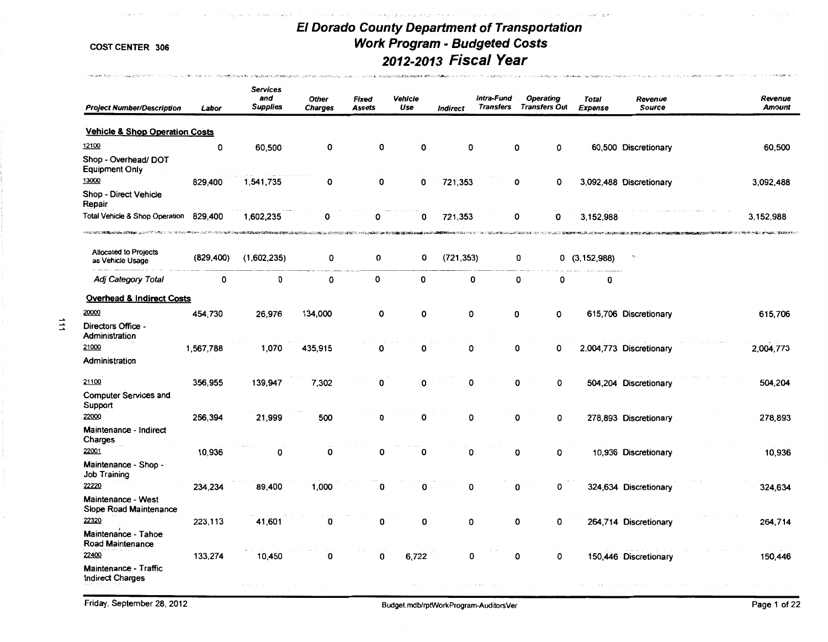$\gamma \rightarrow \gamma \gamma \rightarrow \rho \rho \rho \gamma \gamma \rho \rho \gamma \sigma \gamma$ 

30年1月10日(1990)1990年1990年1990年1990年1990年19月1日1月1日1日1月1日1日1日1日1月1日1日1月1日1日1月1日1日1月1日1日1日1日1日1日1日1日1日1日

.<br>Taalikii taa taariikka keessaalinnostalista hilaattiin onto

**MARINE STREET CONSUMING CONTRACTOR** 

 $\vec{=}$ 

 $\gamma_{\ell} \leq \eta_{\ell} \gamma_{\ell} \leq \eta_{\ell}$ 

.<br>Such donn an it wantedna hina languidt

.<br>Standitz verstig definition Bronzhi, in 1989 dan 1 Juni 2010 von der

Those investigation and construction beneficted to

| <b>Project Number/Description</b>                                                                                  | Labor      | <b>Services</b><br>and<br><b>Supplies</b>                                                                                                                                                                                                         | <b>Other</b><br><b>Charges</b> | Fixed<br>Assets                                                                                                      | Vehicle<br>Use | <b>Indirect</b>          | Intra-Fund<br><b>Transfers</b> | <b>Operating</b><br><b>Transfers Out</b> |             | Total<br><b>Expense</b> | Revenue<br><b>Source</b> | Revenue<br><b>Amount</b> |
|--------------------------------------------------------------------------------------------------------------------|------------|---------------------------------------------------------------------------------------------------------------------------------------------------------------------------------------------------------------------------------------------------|--------------------------------|----------------------------------------------------------------------------------------------------------------------|----------------|--------------------------|--------------------------------|------------------------------------------|-------------|-------------------------|--------------------------|--------------------------|
| <b>Vehicle &amp; Shop Operation Costs</b>                                                                          |            |                                                                                                                                                                                                                                                   |                                |                                                                                                                      |                |                          |                                |                                          |             |                         |                          |                          |
| 12100                                                                                                              | 0          | 60,500                                                                                                                                                                                                                                            | 0                              | 0                                                                                                                    | 0              | 0                        |                                | 0                                        | 0           |                         | 60,500 Discretionary     | 60,500                   |
| Shop - Overhead/ DOT<br><b>Equipment Only</b>                                                                      |            |                                                                                                                                                                                                                                                   |                                |                                                                                                                      |                |                          |                                |                                          |             |                         |                          |                          |
| 13000                                                                                                              | 829,400    | 1,541,735                                                                                                                                                                                                                                         | 0                              | 0                                                                                                                    | 0              | 721,353                  |                                | 0                                        | 0           |                         | 3,092,488 Discretionary  | 3,092,488                |
| Shop - Direct Vehicle<br>Repair                                                                                    |            |                                                                                                                                                                                                                                                   |                                |                                                                                                                      |                |                          |                                |                                          |             |                         |                          |                          |
| Total Vehicle & Shop Operation<br><b>VANDE REPORTED THE REPORT OF THE CONTROL OF A STATE OF THE REAL PROPERTY.</b> | 829,400    | 1,602,235<br><b>THE SEARCH AND THE REPORT OF A RESIDENCE OF A RESIDENCE OF A RESIDENCE OF A RESIDENCE OF A RESIDENCE OF A RESIDENCE OF A RESIDENCE OF A RESIDENCE OF A RESIDENCE OF A RESIDENCE OF A RESIDENCE OF A RESIDENCE OF A RESIDENCE </b> | Ω                              | 0<br>A DESCRIPTION OF THE STATE OF THE CONTRACTOR OF THE CONTRACTOR OF A STATE OF THE STATE OF THE CONTRACTOR OF THE | 0              | 721,353<br>■■のみんののあいへいいか |                                | 0                                        | $\mathbf 0$ | 3,152,988               |                          | 3,152,988                |
| <b>Allocated to Projects</b><br>as Vehicle Usage                                                                   | (829, 400) | (1,602,235)                                                                                                                                                                                                                                       | 0                              | 0                                                                                                                    | О              | (721, 353)               |                                | 0                                        |             | 0(3, 152, 988)          |                          |                          |
| Adj Category Total                                                                                                 | 0          | 0                                                                                                                                                                                                                                                 | 0                              | 0                                                                                                                    | 0              | 0                        |                                | 0                                        | 0           | 0                       |                          |                          |
| <b>Overhead &amp; Indirect Costs</b>                                                                               |            |                                                                                                                                                                                                                                                   |                                |                                                                                                                      |                |                          |                                |                                          |             |                         |                          |                          |
| 20000                                                                                                              | 454,730    | 26,976                                                                                                                                                                                                                                            | 134,000                        | 0                                                                                                                    | 0              | 0                        |                                | 0                                        | 0           |                         | 615,706 Discretionary    | 615,706                  |
| Directors Office -<br>Administration                                                                               |            |                                                                                                                                                                                                                                                   |                                |                                                                                                                      |                |                          |                                |                                          |             |                         |                          |                          |
| 21000                                                                                                              | 1,567,788  | 1,070                                                                                                                                                                                                                                             | 435,915                        | 0                                                                                                                    | 0              | 0                        |                                | 0                                        | 0           |                         | 2,004,773 Discretionary  | 2,004,773                |
| Administration                                                                                                     |            |                                                                                                                                                                                                                                                   |                                |                                                                                                                      |                |                          |                                |                                          |             |                         |                          |                          |
| 21100                                                                                                              | 356,955    | 139,947                                                                                                                                                                                                                                           | 7,302                          | 0                                                                                                                    | 0              | 0                        |                                | 0                                        | 0           |                         | 504,204 Discretionary    | 504,204                  |
| <b>Computer Services and</b><br>Support                                                                            |            |                                                                                                                                                                                                                                                   |                                |                                                                                                                      |                |                          |                                |                                          |             |                         |                          |                          |
| 22000                                                                                                              | 256,394    | 21,999                                                                                                                                                                                                                                            | 500                            | 0                                                                                                                    | 0              | 0                        |                                | 0                                        | 0           |                         | 278,893 Discretionary    | 278,893                  |
| Maintenance - Indirect<br>Charges                                                                                  |            |                                                                                                                                                                                                                                                   |                                |                                                                                                                      |                |                          |                                |                                          |             |                         |                          |                          |
| 22001                                                                                                              | 10,936     | 0                                                                                                                                                                                                                                                 | 0                              | 0                                                                                                                    | 0              | 0                        |                                | 0                                        | 0           |                         | 10,936 Discretionary     | 10,936                   |
| Maintenance - Shop -<br>Job Training                                                                               |            |                                                                                                                                                                                                                                                   |                                |                                                                                                                      |                |                          |                                |                                          |             |                         |                          |                          |
| 22220                                                                                                              | 234,234    | 89,400                                                                                                                                                                                                                                            | 1,000                          | 0                                                                                                                    | 0              | 0                        |                                | 0                                        | 0           |                         | 324,634 Discretionary    | 324,634                  |
| Maintenance - West<br>Slope Road Maintenance                                                                       |            |                                                                                                                                                                                                                                                   |                                |                                                                                                                      |                |                          |                                |                                          |             |                         |                          |                          |
| 22320                                                                                                              | 223,113    | 41,601                                                                                                                                                                                                                                            | 0                              | 0                                                                                                                    | 0              | 0                        |                                | 0                                        | 0           |                         | 264,714 Discretionary    | 264,714                  |
| Maintenance - Tahoe<br>Road Maintenance                                                                            |            |                                                                                                                                                                                                                                                   |                                |                                                                                                                      |                |                          |                                |                                          |             |                         |                          |                          |
| 22400                                                                                                              | 133,274    | 10,450                                                                                                                                                                                                                                            | 0                              | 0                                                                                                                    | 6,722          | 0                        |                                | 0                                        | 0           |                         | 150,446 Discretionary    | 150,446                  |
| Maintenance - Traffic<br><b>Indirect Charges</b>                                                                   |            |                                                                                                                                                                                                                                                   |                                |                                                                                                                      |                |                          |                                |                                          |             |                         |                          |                          |

**CENT UNIVERSITY OF THE ASSEMBLY**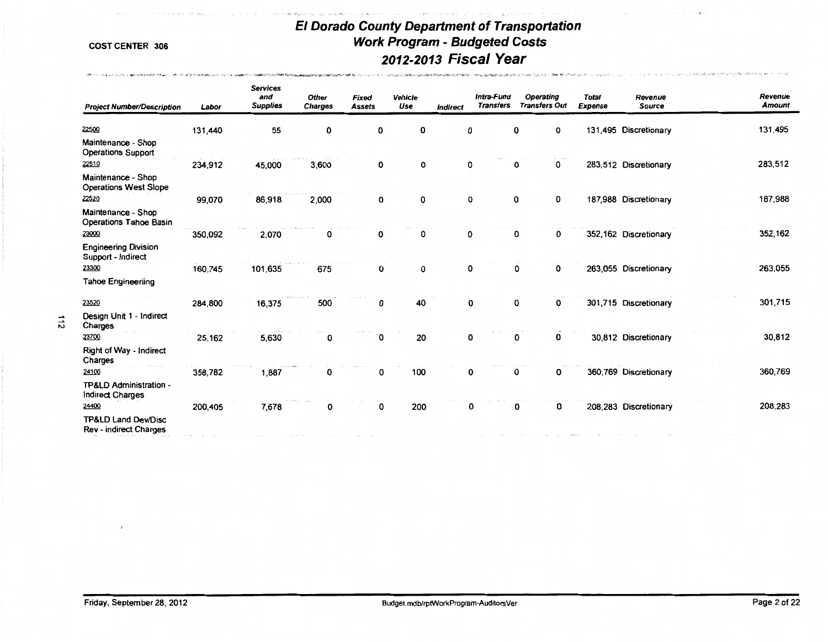*SARRAHANG MANASIA SEKARA SA PERANG SA* **PA** 

 $\rightarrow$  and  $\alpha$  and  $\alpha$ 

pay of processing approximation.

-<br>이 사이에 있는 것은 이 2008 08/2014/09/2012 PER PROPERTY OF THE THIRD HOTEL OF THE PROPERTY APPROXIMATE PROPERTY OF THE

後のことにつきませんから、どうしょ 風熱の 中心にの気ないでしょう

| <b>Project Number/Description</b>                               | Labor   | <b>Services</b><br>and<br><b>Supplies</b> | <b>Other</b><br><b>Charges</b> | <b>Fixed</b><br><b>Assets</b> | Vehicle<br>Use | <b>Indirect</b> | Intra-Fund<br><b>Transfers</b> |   | <b>Operating</b><br><b>Transfers Out</b> | <b>Total</b><br><b>Expense</b> | Revenue<br><b>Source</b> | Revenue<br><b>Amount</b> |
|-----------------------------------------------------------------|---------|-------------------------------------------|--------------------------------|-------------------------------|----------------|-----------------|--------------------------------|---|------------------------------------------|--------------------------------|--------------------------|--------------------------|
| 22500                                                           | 131,440 | 55                                        | 0                              | 0                             | 0              | 0               |                                | 0 | 0                                        |                                | 131,495 Discretionary    | 131,495                  |
| Maintenance - Shop<br><b>Operations Support</b>                 |         |                                           |                                |                               |                |                 |                                |   |                                          |                                |                          |                          |
| 22510                                                           | 234,912 | 45,000                                    | 3,600                          | 0                             | 0              | 0               |                                | 0 | 0                                        |                                | 283,512 Discretionary    | 283,512                  |
| Maintenance - Shop<br><b>Operations West Slope</b>              |         |                                           |                                |                               |                |                 |                                |   |                                          |                                |                          |                          |
| 22520                                                           | 99,070  | 86,918                                    | 2,000                          | 0                             | 0              | 0               |                                | 0 | 0                                        |                                | 187,988 Discretionary    | 187,988                  |
| Maintenance - Shop<br><b>Operations Tahoe Basin</b>             |         |                                           |                                |                               |                |                 |                                |   |                                          |                                |                          |                          |
| 23000                                                           | 350,092 | 2,070                                     | 0                              | 0                             | 0              | 0               |                                | 0 | 0                                        |                                | 352,162 Discretionary    | 352,162                  |
| <b>Engineering Division</b><br>Support - Indirect               |         |                                           |                                |                               |                |                 |                                |   |                                          |                                |                          |                          |
| 23300                                                           | 160,745 | 101,635                                   | 675                            | 0                             | 0              | 0               |                                | 0 | 0                                        |                                | 263,055 Discretionary    | 263,055                  |
| <b>Tahoe Engineeriing</b>                                       |         |                                           |                                |                               |                |                 |                                |   |                                          |                                |                          |                          |
| 23520                                                           | 284,800 | 16,375                                    | 500                            | 0                             | 40             | 0               |                                | 0 | 0                                        |                                | 301,715 Discretionary    | 301,715                  |
| Design Unit 1 - Indirect<br>Charges                             |         |                                           |                                |                               |                |                 |                                |   |                                          |                                |                          |                          |
| 23700                                                           | 25.162  | 5,630                                     | 0                              | 0                             | 20             | 0               |                                | 0 | 0                                        |                                | 30,812 Discretionary     | 30,812                   |
| Right of Way - Indirect<br>Charges                              |         |                                           |                                |                               |                |                 |                                |   |                                          |                                |                          |                          |
| 24100                                                           | 358,782 | 1,887                                     | 0                              | 0                             | 100            | 0               |                                | 0 | 0                                        |                                | 360,769 Discretionary    | 360,769                  |
| TP&LD Administration -<br><b>Indirect Charges</b>               |         |                                           |                                |                               |                |                 |                                |   |                                          |                                |                          |                          |
| 24400                                                           | 200,405 | 7,678                                     | 0                              | 0                             | 200            | 0               |                                | 0 | 0                                        |                                | 208,283 Discretionary    | 208,283                  |
| <b>TP&amp;LD Land Dev/Disc</b><br><b>Rev - indirect Charges</b> |         |                                           |                                |                               |                |                 |                                |   |                                          |                                |                          |                          |

 $\pmb{i}$ 

 $115$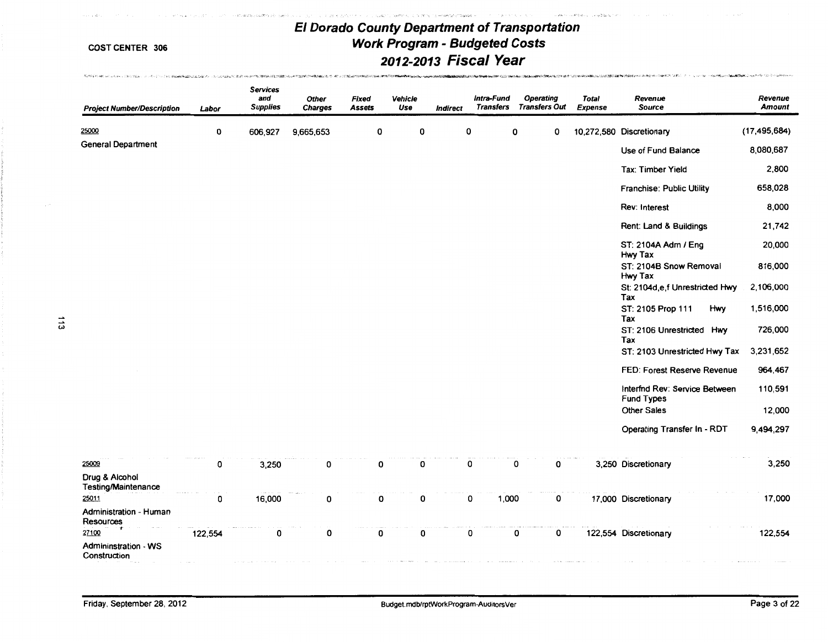Country Automotive Professional Control of the Country and Countries and Countries and Countries and Countries

,' ;J,i-• - •

 $\mu \approx 2.5 \mu$   $\approx 10^{-1}$ 

 $\label{eq:Ricci} RicR(k)P(AB) \text{ for all } k \geq 0, \forall k \geq 1 \, (k \, (k \, (k \, (k \, k)) \times \ldots \times \cdots \times \cdots \times \cdots) \times \ldots) \text{ for all } k \geq 0, \forall k \geq 1, \forall k \geq 0, \forall k \geq 1, \forall k \geq 1, \forall k \geq 1, \forall k \geq 1, \forall k \geq 1, \forall k \geq 1, \forall k \geq 1, \forall k \geq 1, \forall k \geq 1, \forall k \geq 1, \forall k \geq 1, \forall k \$ 

| <b>Project Number/Description</b>                    | Labor       | <b>Services</b><br>and<br><b>Supplies</b> | Other<br><b>Charges</b> | Fixed<br><b>Assets</b> | <b>Vehicle</b><br>Use | <b>Indirect</b> | Intra-Fund<br><b>Transfers</b> | <b>Operating</b><br><b>Transfers Out</b> | <b>Total</b><br><b>Expense</b> | Revenue<br><b>Source</b>                           | Revenue<br>Amount |
|------------------------------------------------------|-------------|-------------------------------------------|-------------------------|------------------------|-----------------------|-----------------|--------------------------------|------------------------------------------|--------------------------------|----------------------------------------------------|-------------------|
| 25000                                                | 0           | 606,927                                   | 9,665,653               | 0                      | 0                     |                 | 0                              | 0<br>0                                   |                                | 10,272,580 Discretionary                           | (17, 495, 684)    |
| <b>General Department</b>                            |             |                                           |                         |                        |                       |                 |                                |                                          |                                | Use of Fund Balance                                | 8,080,687         |
|                                                      |             |                                           |                         |                        |                       |                 |                                |                                          |                                | Tax: Timber Yield                                  | 2,800             |
|                                                      |             |                                           |                         |                        |                       |                 |                                |                                          |                                | <b>Franchise: Public Utility</b>                   | 658,028           |
|                                                      |             |                                           |                         |                        |                       |                 |                                |                                          |                                | Rev: Interest                                      | 8,000             |
|                                                      |             |                                           |                         |                        |                       |                 |                                |                                          |                                | Rent: Land & Buildings                             | 21,742            |
|                                                      |             |                                           |                         |                        |                       |                 |                                |                                          |                                | ST: 2104A Adm / Eng<br>Hwy Tax                     | 20,000            |
|                                                      |             |                                           |                         |                        |                       |                 |                                |                                          |                                | ST: 2104B Snow Removal<br>Hwy Tax                  | 816,000           |
|                                                      |             |                                           |                         |                        |                       |                 |                                |                                          |                                | St: 2104d,e,f Unrestricted Hwy<br>Tax              | 2,106,000         |
|                                                      |             |                                           |                         |                        |                       |                 |                                |                                          |                                | ST: 2105 Prop 111<br>Hwy<br>Tax                    | 1,516,000         |
| $\frac{1}{3}$                                        |             |                                           |                         |                        |                       |                 |                                |                                          |                                | ST: 2106 Unrestricted Hwy<br>Tax                   | 726,000           |
|                                                      |             |                                           |                         |                        |                       |                 |                                |                                          |                                | ST: 2103 Unrestricted Hwy Tax                      | 3,231,652         |
|                                                      |             |                                           |                         |                        |                       |                 |                                |                                          |                                | FED: Forest Reserve Revenue                        | 964,467           |
|                                                      |             |                                           |                         |                        |                       |                 |                                |                                          |                                | Interfnd Rev: Service Between<br><b>Fund Types</b> | 110,591           |
|                                                      |             |                                           |                         |                        |                       |                 |                                |                                          |                                | <b>Other Sales</b>                                 | 12,000            |
|                                                      |             |                                           |                         |                        |                       |                 |                                |                                          |                                | Operating Transfer In - RDT                        | 9,494,297         |
| 25009                                                | 0           | 3,250                                     | 0                       | 0                      | 0                     |                 | 0                              | 0<br>0                                   |                                | 3,250 Discretionary                                | 3,250             |
| Drug & Alcohol<br><b>Testing/Maintenance</b>         |             |                                           |                         |                        |                       |                 |                                |                                          |                                |                                                    |                   |
| 25011                                                | $\mathbf 0$ | 16,000                                    | 0                       | O                      | 0                     |                 | 0<br>1,000                     | 0                                        |                                | 17,000 Discretionary                               | 17,000            |
| Administration - Human<br>Resources                  |             |                                           |                         |                        |                       |                 |                                |                                          |                                |                                                    |                   |
| 27100<br><b>Admininstration - WS</b><br>Construction | 122,554     | 0                                         | 0                       | 0                      | 0                     |                 | 0                              | 0<br>0                                   |                                | 122,554 Discretionary                              | 122,554           |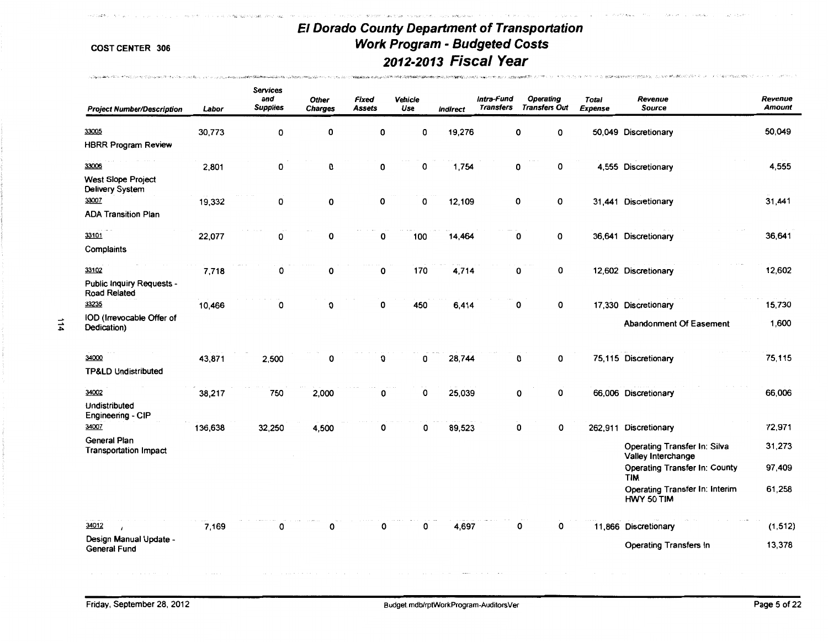**Children and Card** 

The Controller of

concern and advance

- The Philodic By Law Philosophy (2008年) (2008年) の中国語 アルコード コンプリートの地域の中国語の大学部門の中国語系の大学部門 (2008年) (2008年) (2009年)

or tags.

| <b>Project Number/Description</b>                | Labor   | <b>Services</b><br>and<br><b>Supplies</b> | <b>Other</b><br><b>Charges</b> | Fixed<br><b>Assets</b> | Vehicle<br>Use | <b>Indirect</b> | Intra-Fund<br><b>Transfers</b> | Operating<br><b>Transfers Out</b> | Total<br><b>Expense</b> | Revenue<br><b>Source</b>                           | Revenue<br><b>Amount</b> |
|--------------------------------------------------|---------|-------------------------------------------|--------------------------------|------------------------|----------------|-----------------|--------------------------------|-----------------------------------|-------------------------|----------------------------------------------------|--------------------------|
| 33005                                            | 30,773  | 0                                         | 0                              | 0                      | 0              | 19,276          |                                | 0<br>0                            |                         | 50,049 Discretionary                               | 50,049                   |
| <b>HBRR Program Review</b>                       |         |                                           |                                |                        |                |                 |                                |                                   |                         |                                                    |                          |
| 33006                                            | 2,801   | 0                                         | 0                              | 0                      | 0              | 1,754           |                                | 0<br>0                            |                         | 4,555 Discretionary                                | 4,555                    |
| <b>West Slope Project</b><br>Delivery System     |         |                                           |                                |                        |                |                 |                                |                                   |                         |                                                    |                          |
| 33007                                            | 19,332  | 0                                         | 0                              | 0                      | 0              | 12,109          |                                | 0<br>0                            |                         | 31,441 Discretionary                               | 31,441                   |
| <b>ADA Transition Plan</b>                       |         |                                           |                                |                        |                |                 |                                |                                   |                         |                                                    |                          |
| 33101                                            | 22,077  | 0                                         | 0                              | 0                      | 100            | 14,464          |                                | 0<br>0                            |                         | 36,641 Discretionary                               | 36,641                   |
| Complaints                                       |         |                                           |                                |                        |                |                 |                                |                                   |                         |                                                    |                          |
| 33102                                            | 7,718   | 0                                         | О                              | 0                      | 170            | 4,714           |                                | 0<br>0                            |                         | 12,602 Discretionary                               | 12,602                   |
| <b>Public Inquiry Requests -</b><br>Road Related |         |                                           |                                |                        |                |                 |                                |                                   |                         |                                                    |                          |
| 33235                                            | 10,466  | 0                                         | 0                              | 0                      | 450            | 6,414           |                                | $\pmb{0}$<br>0                    |                         | 17,330 Discretionary                               | 15,730                   |
| IOD (Irrevocable Offer of<br>Dedication)         |         |                                           |                                |                        |                |                 |                                |                                   |                         | Abandonment Of Easement                            | 1,600                    |
| 34000                                            | 43,871  | 2,500                                     | 0                              | 0                      | 0              | 28,744          |                                | 0<br>0                            |                         | 75,115 Discretionary                               | 75,115                   |
| <b>TP&amp;LD Undistributed</b>                   |         |                                           |                                |                        |                |                 |                                |                                   |                         |                                                    |                          |
| 34002                                            | 38,217  | 750                                       | 2,000                          | 0                      | 0              | 25,039          |                                | 0<br>0                            |                         | 66,006 Discretionary                               | 66,006                   |
| Undistributed<br>Engineering - CIP               |         |                                           |                                |                        |                |                 |                                |                                   |                         |                                                    |                          |
| 34007                                            | 136,638 | 32,250                                    | 4,500                          | 0                      | 0              | 89,523          |                                | 0<br>0                            |                         | 262,911 Discretionary                              | 72,971                   |
| General Plan<br><b>Transportation Impact</b>     |         |                                           |                                |                        |                |                 |                                |                                   |                         | Operating Transfer In: Silva<br>Valley Interchange | 31,273                   |
|                                                  |         |                                           |                                |                        |                |                 |                                |                                   |                         | Operating Transfer In: County<br><b>TIM</b>        | 97,409                   |
|                                                  |         |                                           |                                |                        |                |                 |                                |                                   |                         | Operating Transfer In: Interim<br>HWY 50 TIM       | 61,258                   |
| 34012                                            | 7,169   | 0                                         | 0                              | 0                      | 0              | 4,697           |                                | 0<br>0                            |                         | 11,866 Discretionary                               | (1, 512)                 |
| Design Manual Update -<br>General Fund           |         |                                           |                                |                        |                |                 |                                |                                   |                         | Operating Transfers In                             | 13,378                   |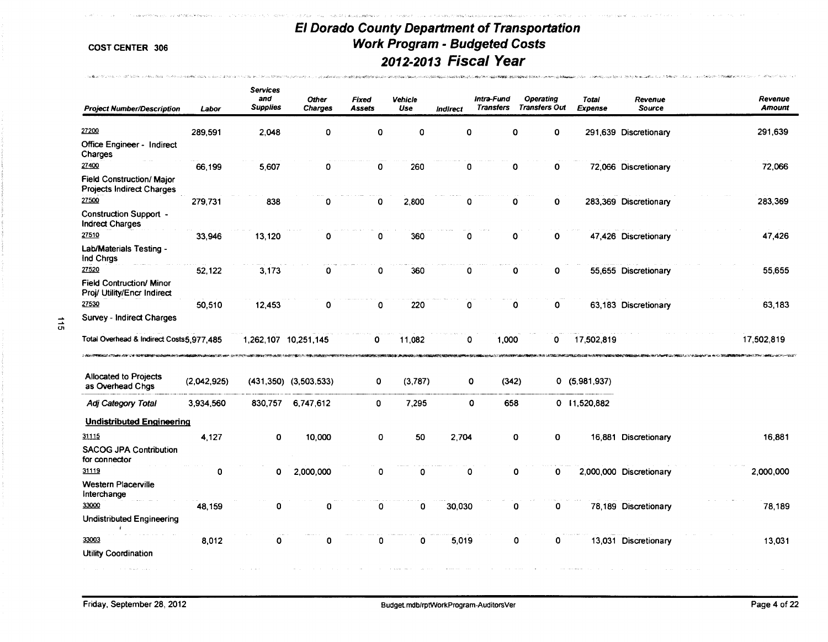Contract of the sales of themself was industry an acquired Mission of

**的复数化学的 计数据中心器 在海军的运用** 分析器 一天在地的地方的现在分词 化二溴化乙基甲氧乙烯酸氢亚汞 医无色素 的复数电子 的复数人名英格兰人姓氏科克的变体 医神经病毒

 $.1.00$ 

.<br>2010 - Alfrid Andersoff Barther Alberta C

Tackboard Municipal Co., 2011 WORK, Suice May 2002, Chrystian Co., 2014 Wall

 $\frac{1}{9}$ 

| <b>Project Number/Description</b>                                    | Labor       | <b>Services</b><br>and<br><b>Supplies</b> | Other<br><b>Charges</b>   | Fixed<br>Assets | Vehicle<br>Use | Indirect    | Intra-Fund<br><b>Transfers</b> | <b>Operating</b><br><b>Transfers Out</b> | <b>Total</b><br>Expense | Revenue<br>Source       | Revenue<br><b>Amount</b> |
|----------------------------------------------------------------------|-------------|-------------------------------------------|---------------------------|-----------------|----------------|-------------|--------------------------------|------------------------------------------|-------------------------|-------------------------|--------------------------|
| 27200                                                                | 289,591     | 2.048                                     | 0                         | O               | 0              | $\mathbf 0$ |                                | 0<br>0                                   |                         | 291,639 Discretionary   | 291,639                  |
| Office Engineer - Indirect<br>Charges                                |             |                                           |                           |                 |                |             |                                |                                          |                         |                         |                          |
| 27400                                                                | 66,199      | 5,607                                     | 0                         | 0               | 260            | 0           |                                | 0<br>0                                   |                         | 72,066 Discretionary    | 72,066                   |
| <b>Field Construction/ Major</b><br><b>Projects Indirect Charges</b> |             |                                           |                           |                 |                |             |                                |                                          |                         |                         |                          |
| 27500                                                                | 279,731     | 838                                       | 0                         | 0               | 2,800          | 0           |                                | $\mathbf{0}$<br>0                        |                         | 283,369 Discretionary   | 283,369                  |
| <b>Construction Support -</b><br><b>Indrect Charges</b>              |             |                                           |                           |                 |                |             |                                |                                          |                         |                         |                          |
| 27510                                                                | 33,946      | 13,120                                    | 0                         | 0               | 360            | $\mathbf 0$ |                                | 0<br>0                                   |                         | 47,426 Discretionary    | 47,426                   |
| Lab/Materials Testing -<br>Ind Chrgs                                 |             |                                           |                           |                 |                |             |                                |                                          |                         |                         |                          |
| 27520                                                                | 52,122      | 3,173                                     | 0                         | 0               | 360            | 0           |                                | $\mathbf 0$<br>0                         |                         | 55,655 Discretionary    | 55,655                   |
| <b>Field Contruction/ Minor</b><br>Proj/ Utility/Encr Indirect       |             |                                           |                           |                 |                |             |                                |                                          |                         |                         |                          |
| 27530                                                                | 50,510      | 12,453                                    | 0                         | 0               | 220            | 0           |                                | 0<br>0                                   |                         | 63,183 Discretionary    | 63,183                   |
| Survey - Indirect Charges                                            |             |                                           |                           |                 |                |             |                                |                                          |                         |                         |                          |
| Total Overhead & Indirect Costs5,977,485                             |             |                                           | 1,262,107 10,251,145      | 0               | 11,082         | 0           | 1,000                          | 0                                        | 17,502,819              |                         | 17,502,819               |
| <b>Allocated to Projects</b><br>as Overhead Chgs                     | (2,042,925) |                                           | $(431,350)$ $(3,503,533)$ | 0               | (3,787)        |             | 0<br>(342)                     |                                          | 0(5,981,937)            |                         |                          |
| Adj Category Total                                                   | 3,934,560   | 830,757                                   | 6,747,612                 | 0               | 7,295          |             | 0<br>658                       |                                          | 0 11,520,882            |                         |                          |
| <b>Undistributed Engineering</b>                                     |             |                                           |                           |                 |                |             |                                |                                          |                         |                         |                          |
| 31115                                                                | 4,127       | 0                                         | 10,000                    | 0               | 50             | 2,704       |                                | 0<br>0                                   |                         | 16,881 Discretionary    | 16,881                   |
| <b>SACOG JPA Contribution</b><br>for connector                       |             |                                           |                           |                 |                |             |                                |                                          |                         |                         |                          |
| 31119                                                                | 0           | 0                                         | 2,000,000                 | 0               | 0              | 0           |                                | 0<br>0                                   |                         | 2,000,000 Discretionary | 2,000,000                |
| <b>Western Placerville</b><br>Interchange                            |             |                                           |                           |                 |                |             |                                |                                          |                         |                         |                          |
| 33000                                                                | 48,159      | 0                                         | 0                         | $\mathbf 0$     | 0              | 30,030      |                                | 0<br>0                                   |                         | 78,189 Discretionary    | 78,189                   |
| <b>Undistributed Engineering</b>                                     |             |                                           |                           |                 |                |             |                                |                                          |                         |                         |                          |
| 33003                                                                | 8,012       | 0                                         | 0                         | 0               | 0              | 5,019       |                                | 0<br>0                                   |                         | 13,031 Discretionary    | 13,031                   |
| <b>Utility Coordination</b>                                          |             |                                           |                           |                 |                |             |                                |                                          |                         |                         |                          |
|                                                                      |             |                                           |                           |                 |                |             |                                |                                          |                         |                         |                          |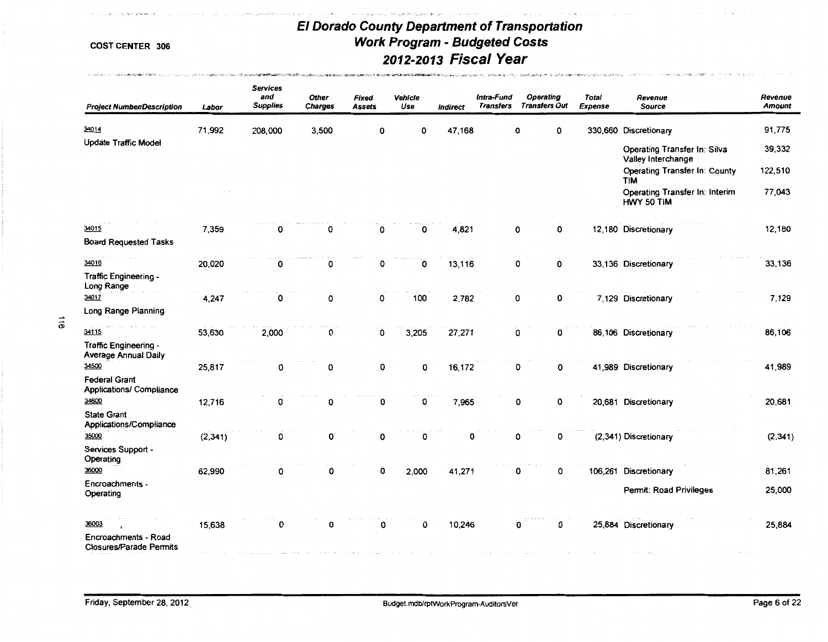**ፘፙፙቚዸዸዸ**ቚቚኯፙቑፙዀ፟ቑፙፙቑቑዸፚዄዿ፞ዿቝቑፙቑጜዸኇኇቜ፼ፙፙዄፙቚቝዄኇዹጞዹቚዼፙቑቘ

expected the company of the

**HEROLD AT A CARROLL COMPANY OF A CONTRACTOR COMPANY OF THE CONTRACT OF A CONSTRUCTION OF A CONSTRUCTION OF A CONSTRUCTION OF A CONSTRUCTION OF A CONSTRUCTION OF A CONSTRUCTION OF A CONSTRUCTION OF A CONSTRUCTION OF A CONS** 

 $\omega^*=\omega_c$ 

**COST CENTER 306** 

the constant of a constant with the state of the con-

| <b>Project Number/Description</b>                               | Labor    | <b>Services</b><br>and<br><b>Supplies</b> | <b>Other</b><br><b>Charges</b> | Fixed<br>Assets | Vehicle<br>Use | <b>Indirect</b> | Intra-Fund<br><b>Transfers</b> | Operating<br><b>Transfers Out</b> | <b>Total</b><br><b>Expense</b> | Revenue<br>Source                                  | Revenue<br><b>Amount</b> |
|-----------------------------------------------------------------|----------|-------------------------------------------|--------------------------------|-----------------|----------------|-----------------|--------------------------------|-----------------------------------|--------------------------------|----------------------------------------------------|--------------------------|
| 34014                                                           | 71,992   | 208,000                                   | 3,500                          | 0               | 0              | 47,168          |                                | 0<br>0                            |                                | 330,660 Discretionary                              | 91,775                   |
| <b>Update Traffic Model</b>                                     |          |                                           |                                |                 |                |                 |                                |                                   |                                | Operating Transfer In: Silva<br>Valley Interchange | 39,332                   |
|                                                                 |          |                                           |                                |                 |                |                 |                                |                                   |                                | <b>Operating Transfer In: County</b><br><b>TIM</b> | 122,510                  |
|                                                                 |          |                                           |                                |                 |                |                 |                                |                                   |                                | Operating Transfer In: Interim<br>HWY 50 TIM       | 77,043                   |
| 34015<br><b>Board Requested Tasks</b>                           | 7,359    | 0                                         | 0                              | 0               | 0              | 4,821           |                                | 0<br>0                            |                                | 12,180 Discretionary                               | 12,180                   |
| 34016                                                           | 20,020   | 0                                         | 0                              | 0               | 0              | 13,116          |                                | 0<br>0                            |                                | 33,136 Discretionary                               | 33,136                   |
| Traffic Engineering -<br>Long Range                             |          |                                           |                                |                 |                |                 |                                |                                   |                                |                                                    |                          |
| 34017                                                           | 4,247    | 0                                         | 0                              | 0               | 100            | 2,782           |                                | 0<br>0                            |                                | 7,129 Discretionary                                | 7,129                    |
| Long Range Planning                                             |          |                                           |                                |                 |                |                 |                                |                                   |                                |                                                    |                          |
| 34115                                                           | 53,630   | 2,000                                     | 0                              | 0               | 3,205          | 27,271          |                                | 0<br>0                            |                                | 86,106 Discretionary                               | 86,106                   |
| Traffic Engineering -<br><b>Average Annual Daily</b>            |          |                                           |                                |                 |                |                 |                                |                                   |                                |                                                    |                          |
| 34500                                                           | 25,817   | 0                                         | 0                              | 0               | 0              | 16,172          |                                | 0<br>0                            |                                | 41,989 Discretionary                               | 41,989                   |
| <b>Federal Grant</b><br><b>Applications/ Compliance</b>         |          |                                           |                                |                 |                |                 |                                |                                   |                                |                                                    |                          |
| 34600<br><b>State Grant</b>                                     | 12,716   | 0                                         | 0                              | 0               | 0              | 7,965           |                                | 0<br>0                            |                                | 20,681 Discretionary                               | 20,681                   |
| Applications/Compliance<br>35000                                | (2, 341) | 0                                         | 0                              | 0               | 0              | 0               |                                | 0<br>0                            |                                | (2,341) Discretionary                              | (2, 341)                 |
| Services Support -<br>Operating                                 |          |                                           |                                |                 |                |                 |                                |                                   |                                |                                                    |                          |
| 36000                                                           | 62,990   | 0                                         | 0                              | 0               | 2,000          | 41,271          |                                | 0<br>0                            |                                | 106,261 Discretionary                              | 81,261                   |
| Encroachments -<br>Operating                                    |          |                                           |                                |                 |                |                 |                                |                                   |                                | Permit: Road Privileges                            | 25,000                   |
| 36003<br>Encroachments - Road<br><b>Closures/Parade Permits</b> | 15,638   | 0                                         | 0                              | 0               | 0              | 10,246          |                                | 0<br>0                            |                                | 25,884 Discretionary                               | 25,884                   |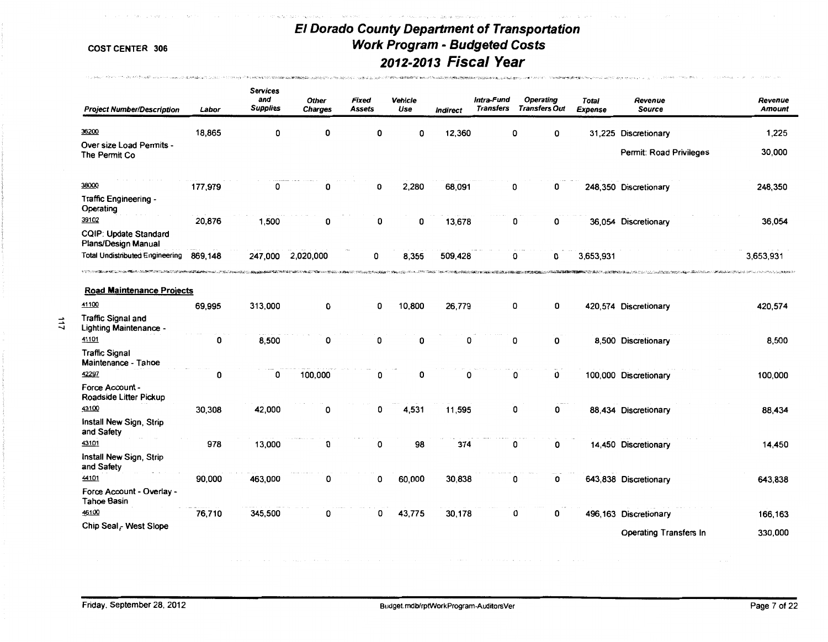Premier was made to a construction of the second control of the second control of the second control of the second control of the second control of the second control of the second control of the second control of the seco

and standard in

Contribution for the China of the President Contribution Company (2) All form March of

The Matter of California Service Program assessment and the company and the terminal assessment

| <b>Project Number/Description</b>                            | Labor   | <b>Services</b><br>and<br><b>Supplies</b> | <b>Other</b><br><b>Charges</b> | Fixed<br><b>Assets</b> | Vehicle<br>Use | <b>Indirect</b> | Intra-Fund<br><b>Transfers</b> | <b>Operating</b><br><b>Transfers Out</b> | Total<br><b>Expense</b> | Revenue<br>Source                                                                                              | Revenue<br><b>Amount</b>                                |
|--------------------------------------------------------------|---------|-------------------------------------------|--------------------------------|------------------------|----------------|-----------------|--------------------------------|------------------------------------------|-------------------------|----------------------------------------------------------------------------------------------------------------|---------------------------------------------------------|
| 36200                                                        | 18,865  | 0                                         | 0                              | 0                      | 0              | 12,360          |                                | 0<br>0                                   |                         | 31,225 Discretionary                                                                                           | 1,225                                                   |
| Over size Load Permits -<br>The Permit Co                    |         |                                           |                                |                        |                |                 |                                |                                          |                         | Permit: Road Privileges                                                                                        | 30,000                                                  |
| 38000                                                        | 177,979 | 0                                         | 0                              | 0                      | 2,280          | 68,091          |                                | 0<br>0                                   |                         | 248,350 Discretionary                                                                                          | 248,350                                                 |
| Traffic Engineering -<br>Operating                           |         |                                           |                                |                        |                |                 |                                |                                          |                         |                                                                                                                |                                                         |
| 39102<br>CQIP: Update Standard<br>Plans/Design Manual        | 20,876  | 1,500                                     | 0                              | 0                      | 0              | 13,678          |                                | 0<br>0                                   |                         | 36,054 Discretionary                                                                                           | 36,054                                                  |
| <b>Total Undistributed Engineering</b>                       | 869,148 | 247,000                                   | 2,020,000                      | 0                      | 8,355          | 509,428         |                                | 0<br>0                                   | 3,653,931               |                                                                                                                | 3,653,931                                               |
| <b>Road Maintenance Projects</b>                             |         |                                           |                                |                        |                |                 |                                |                                          |                         | <b>10. <sup>不</sup>为不是。不以心无疑?</b> 被说 <b>说的不是我的心的。""我们的话?""你的心情的话?""我们不是我们在我们的话</b> 。""我们的话,我们也不能不能不能不能不能不能不能不能 | <b>©ALLA VELLOPERILLE GROVALE NOVA POSSE DI LA AURA</b> |
| 41100<br><b>Traffic Signal and</b><br>Lighting Maintenance - | 69,995  | 313,000                                   | 0                              | 0                      | 10,800         | 26,779          |                                | 0<br>0                                   |                         | 420,574 Discretionary                                                                                          | 420,574                                                 |
| 41101<br><b>Traffic Signal</b><br>Maintenance - Tahoe        | 0       | 8,500                                     | 0                              | 0                      | 0              | 0               |                                | 0<br>0                                   |                         | 8,500 Discretionary                                                                                            | 8,500                                                   |
| 42297<br>Force Account -                                     | 0       | 0                                         | 100,000                        | 0                      | 0              | 0               |                                | 0<br>0                                   |                         | 100,000 Discretionary                                                                                          | 100.000                                                 |
| Roadside Litter Pickup<br>43100                              | 30,308  | 42,000                                    | 0                              | 0                      | 4,531          | 11,595          |                                | 0<br>0                                   |                         | 88,434 Discretionary                                                                                           | 88,434                                                  |
| Install New Sign, Strip<br>and Safety<br>43101               | 978     | 13,000                                    |                                | 0                      | 98             | 374             |                                |                                          |                         |                                                                                                                |                                                         |
| Install New Sign, Strip<br>and Safety                        |         |                                           | 0                              |                        |                |                 |                                | 0<br>0                                   |                         | 14,450 Discretionary                                                                                           | 14,450                                                  |
| 44101<br>Force Account - Overlay -                           | 90,000  | 463,000                                   | 0                              | 0                      | 60,000         | 30,838          |                                | 0<br>0                                   |                         | 643,838 Discretionary                                                                                          | 643,838                                                 |
| <b>Tahoe Basin</b><br>46100                                  | 76,710  | 345,500                                   | 0                              | 0                      | 43,775         | 30,178          |                                | 0<br>0                                   |                         | 496,163 Discretionary                                                                                          | 166,163                                                 |
| Chip Seal $r$ West Slope                                     |         |                                           |                                |                        |                |                 |                                |                                          |                         | <b>Operating Transfers In</b>                                                                                  | 330,000                                                 |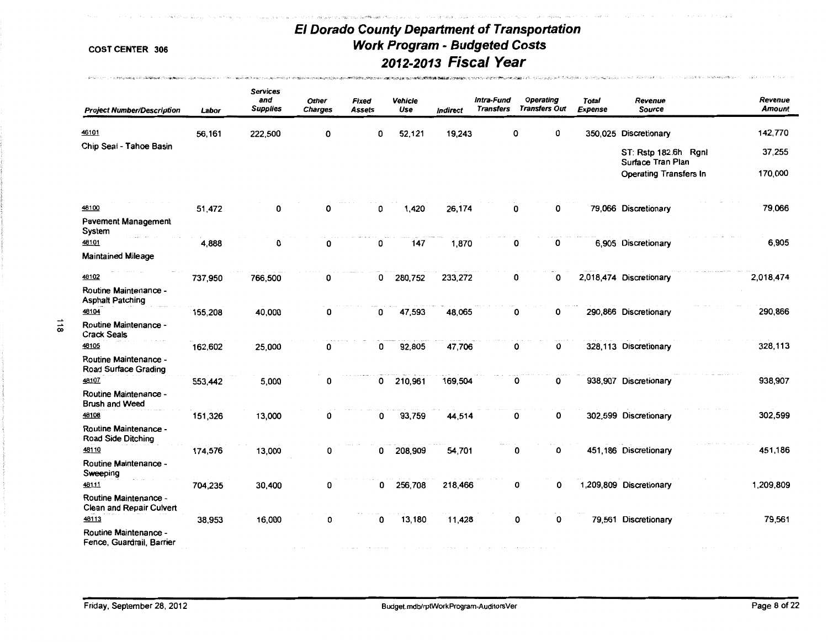ールールールーム<br>アイディアールーム・アイディアールームの<mark>アイディアールールーム(イインディアンディアンド</mark>ルームのディアールーム・インディアールーム

-<br>中国情報のおようだが、あるからのから、イー・ディー・ディアルートのディアング・ディー・ディー・ディー・ディー・ディー・ディー・ディー・ディアング・ディー・ディアング・ディー・ディー・ディー・ディー・ディー・ディー・ディー

 $\label{eq:2.1} \begin{split} \mathcal{L}_1(\mathcal{L}_1^{\alpha_1} \times \mathcal{L}_2^{\alpha_1} \times \mathcal{L}_1^{\alpha_2} \times \mathcal{L}_2^{\alpha_3} \mathcal{H}_1^{\alpha_4} \otimes \mathcal{H}_2^{\alpha_5} \otimes \mathcal{L}_1^{\alpha_4} \otimes \mathcal{L}_2^{\alpha_5} \mathcal{H}_1^{\alpha_6} \otimes \mathcal{H}_2^{\alpha_7} \otimes \mathcal{H}_1^{\alpha_7} \otimes \mathcal{H}_2^{\alpha_8} \otimes \mathcal{H}_1^{\alpha_8} \otimes$ 

,,.,..

| <b>Project Number/Description</b>                  | Labor   | <b>Services</b><br>and<br><b>Supplies</b> | <b>Other</b><br><b>Charges</b> | Fixed<br>Assets | Vehicle<br>Use | Indirect | Intra-Fund<br><b>Transfers</b> | <b>Operating</b><br><b>Transfers Out</b> | Total<br><b>Expense</b> | Revenue<br><b>Source</b>                  | Revenue<br><b>Amount</b> |
|----------------------------------------------------|---------|-------------------------------------------|--------------------------------|-----------------|----------------|----------|--------------------------------|------------------------------------------|-------------------------|-------------------------------------------|--------------------------|
| 46101                                              | 56,161  | 222,500                                   | 0                              | 0               | 52,121         | 19,243   |                                | 0<br>0                                   |                         | 350,025 Discretionary                     | 142,770                  |
| Chip Seal - Tahoe Basin                            |         |                                           |                                |                 |                |          |                                |                                          |                         | ST: Rstp 182.6h Rgnl<br>Surface Tran Plan | 37,255                   |
|                                                    |         |                                           |                                |                 |                |          |                                |                                          |                         | <b>Operating Transfers In</b>             | 170,000                  |
| 48100                                              | 51,472  | 0                                         | 0                              | 0               | 1,420          | 26,174   |                                | 0<br>0                                   |                         | 79,066 Discretionary                      | 79,066                   |
| <b>Pavement Management</b><br>System               |         |                                           |                                |                 |                |          |                                |                                          |                         |                                           |                          |
| 48101                                              | 4,888   | 0                                         | 0                              | 0               | 147            | 1,870    |                                | 0<br>0                                   |                         | 6.905 Discretionary                       | 6,905                    |
| <b>Maintained Mileage</b>                          |         |                                           |                                |                 |                |          |                                |                                          |                         |                                           |                          |
| 48102                                              | 737,950 | 766,500                                   | 0                              | $\mathbf{0}$    | 280,752        | 233,272  |                                | 0<br>0                                   |                         | 2,018,474 Discretionary                   | 2,018,474                |
| Routine Maintenance -<br><b>Asphalt Patching</b>   |         |                                           |                                |                 |                |          |                                |                                          |                         |                                           |                          |
| 48104                                              | 155,208 | 40,000                                    | 0                              | 0               | 47,593         | 48,065   |                                | 0<br>0                                   |                         | 290,866 Discretionary                     | 290,866                  |
| Routine Maintenance -<br><b>Crack Seals</b>        |         |                                           |                                |                 |                |          |                                |                                          |                         |                                           |                          |
| 48105                                              | 162,602 | 25,000                                    | 0                              | 0               | 92,805         | 47,706   |                                | 0<br>0                                   |                         | 328,113 Discretionary                     | 328,113                  |
| Routine Maintenance -<br>Road Surface Grading      |         |                                           |                                |                 |                |          |                                |                                          |                         |                                           |                          |
| 48107                                              | 553,442 | 5,000                                     | 0                              | $\mathbf{0}$    | 210,961        | 169,504  |                                | 0<br>0                                   |                         | 938,907 Discretionary                     | 938,907                  |
| Routine Maintenance -<br><b>Brush and Weed</b>     |         |                                           |                                |                 |                |          |                                |                                          |                         |                                           |                          |
| 48108                                              | 151,326 | 13,000                                    | 0                              | 0               | 93,759         | 44,514   |                                | 0<br>0                                   |                         | 302,599 Discretionary                     | 302,599                  |
| Routine Maintenance -<br><b>Road Side Ditching</b> |         |                                           |                                |                 |                |          |                                |                                          |                         |                                           |                          |
| 48110                                              | 174,576 | 13,000                                    | 0                              | 0               | 208,909        | 54,701   |                                | 0<br>0                                   |                         | 451,186 Discretionary                     | 451,186                  |
| Routine Maintenance -<br>Sweeping                  |         |                                           |                                |                 |                |          |                                |                                          |                         |                                           |                          |
| 48111                                              | 704,235 | 30,400                                    | 0                              | 0               | 256,708        | 218,466  |                                | 0<br>0                                   |                         | 1,209,809 Discretionary                   | 1,209,809                |
| Routine Maintenance -<br>Clean and Repair Culvert  |         |                                           |                                |                 |                |          |                                |                                          |                         |                                           |                          |
| 48113<br>Routine Maintenance -                     | 38,953  | 16,000                                    | 0                              | 0               | 13,180         | 11,428   |                                | 0<br>0                                   |                         | 79,561 Discretionary                      | 79,561                   |
| Fence, Guardrail, Barrier                          |         |                                           |                                |                 |                |          |                                |                                          |                         |                                           |                          |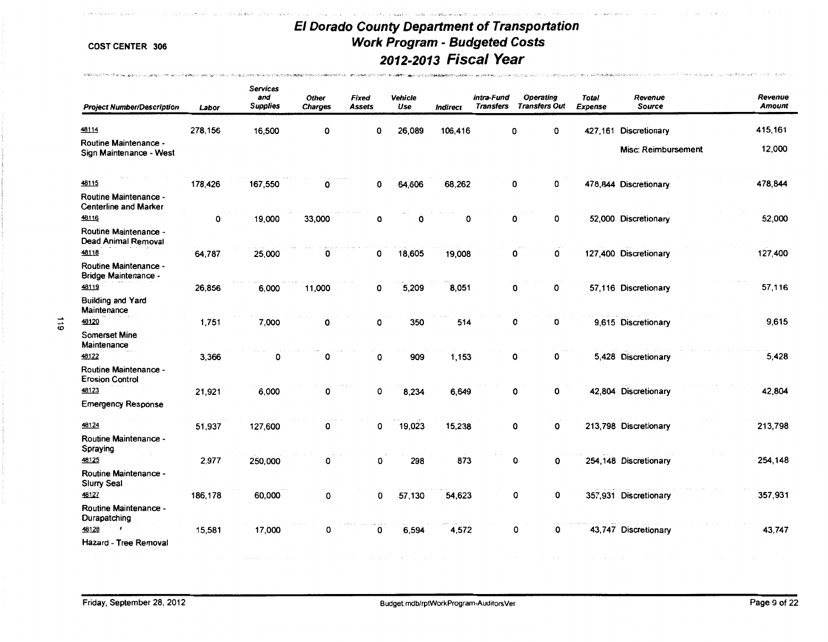.<br>Waxaa qoraa qaafii u qaarii wee aabu wilaya qoreey iyo

mentende a presidente a una esta especie en el menor en la calendaria

 $\sim$ 

**STRESS ARRANGEMENT** 

and project the off and access to

|           | <b>Project Number/Description</b>                       | Labor   | <b>Services</b><br>and<br><b>Supplies</b> | Other<br><b>Charges</b> | <b>Fixed</b><br>Assets | Venicle<br>Use | <b>Indirect</b> | Intra-Fund<br><b>Transfers</b> | <b>Operating</b><br><b>Transfers Out</b> | <b>Total</b><br><b>Expense</b> | Revenue<br><b>Source</b> | Revenue<br><b>Amount</b> |
|-----------|---------------------------------------------------------|---------|-------------------------------------------|-------------------------|------------------------|----------------|-----------------|--------------------------------|------------------------------------------|--------------------------------|--------------------------|--------------------------|
|           | 48114                                                   | 278,156 | 16,500                                    | O                       | 0                      | 26,089         | 106,416         |                                | 0<br>0                                   |                                | 427.161 Discretionary    | 415,161                  |
|           | <b>Routine Maintenance -</b><br>Sign Maintenance - West |         |                                           |                         |                        |                |                 |                                |                                          |                                | Misc: Reimbursement      | 12,000                   |
|           | 48115                                                   | 178,426 | 167,550                                   | O                       | 0                      | 64,606         | 68,262          |                                | 0<br>0                                   |                                | 478,844 Discretionary    | 478,844                  |
|           | Routine Maintenance -<br><b>Centerline and Marker</b>   |         |                                           |                         |                        |                |                 |                                |                                          |                                |                          |                          |
|           | 48116<br>Routine Maintenance -<br>Dead Animal Removal   | 0       | 19,000                                    | 33,000                  | 0                      | О              | 0               |                                | 0<br>0                                   |                                | 52,000 Discretionary     | 52,000                   |
|           | 48118                                                   | 64,787  | 25,000                                    | 0                       | 0                      | 18,605         | 19,008          |                                | 0<br>0                                   |                                | 127,400 Discretionary    | 127,400                  |
|           | <b>Routine Maintenance -</b><br>Bridge Maintenance -    |         |                                           |                         |                        |                |                 |                                |                                          |                                |                          |                          |
|           | 48119                                                   | 26,856  | 6,000                                     | 11,000                  | 0                      | 5,209          | 8,051           |                                | 0<br>0                                   |                                | 57,116 Discretionary     | 57,116                   |
|           | <b>Building and Yard</b><br>Maintenance                 |         |                                           |                         |                        |                |                 |                                |                                          |                                |                          |                          |
| $\vec{5}$ | 48120                                                   | 1,751   | 7,000                                     | 0                       | 0                      | 350            | 514             |                                | 0<br>0                                   |                                | 9,615 Discretionary      | 9,615                    |
|           | <b>Somerset Mine</b><br>Maintenance<br>48122            | 3,366   | O                                         | O                       | 0                      | 909            | 1,153           |                                | 0<br>0                                   |                                | 5,428 Discretionary      | 5,428                    |
|           | <b>Routine Maintenance -</b><br><b>Erosion Control</b>  |         |                                           |                         |                        |                |                 |                                |                                          |                                |                          |                          |
|           | 48123                                                   | 21,921  | 6,000                                     | 0                       | 0                      | 8,234          | 6,649           |                                | 0<br>0                                   |                                | 42,804 Discretionary     | 42,804                   |
|           | <b>Emergency Response</b>                               |         |                                           |                         |                        |                |                 |                                |                                          |                                |                          |                          |
|           | 48124                                                   | 51,937  | 127,600                                   | 0                       | 0                      | 19,023         | 15,238          |                                | 0<br>0                                   |                                | 213,798 Discretionary    | 213,798                  |
|           | Routine Maintenance -<br>Spraying                       |         |                                           |                         |                        |                |                 |                                |                                          |                                |                          |                          |
|           | 48125                                                   | 2,977   | 250,000                                   | 0                       | 0                      | 298            | 873             |                                | 0<br>O                                   |                                | 254,148 Discretionary    | 254,148                  |
|           | Routine Maintenance -<br>Slurry Seal                    |         |                                           |                         |                        |                |                 |                                |                                          |                                |                          |                          |
|           | 48127                                                   | 186,178 | 60,000                                    | 0                       | 0                      | 57,130         | 54,623          |                                | 0<br>0                                   |                                | 357,931 Discretionary    | 357,931                  |
|           | Routine Maintenance -<br>Durapatching                   |         |                                           |                         |                        |                |                 |                                |                                          |                                |                          |                          |
|           | 48128<br>Hazard - Tree Removal                          | 15,581  | 17,000                                    | О                       | 0                      | 6,594          | 4,572           |                                | О<br>0                                   |                                | 43,747 Discretionary     | 43,747                   |
|           |                                                         |         |                                           |                         |                        |                |                 |                                |                                          |                                |                          |                          |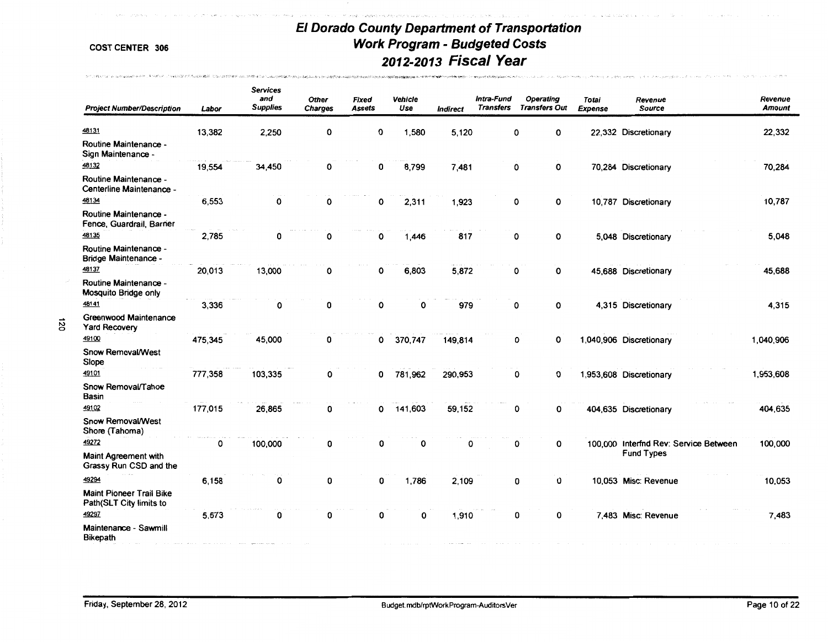an na kalendari ang kilometro

.<br>20. biologic Hamborn (Photosophy) and Candridge and Perry Service Project of the

 $\mathcal{D} \subset \mathcal{D} \left( \mathcal{B}_{\mathcal{N}} \right) \cap \mathcal{D} \cap \mathcal{D} \cap \mathcal{D} \cap \mathcal{D} \cap \mathcal{D} \cap \mathcal{D} \cap \mathcal{D} \cap \mathcal{D} \cap \mathcal{D} \cap \mathcal{D} \cap \mathcal{D} \cap \mathcal{D} \cap \mathcal{D} \cap \mathcal{D} \cap \mathcal{D} \cap \mathcal{D} \cap \mathcal{D} \cap \mathcal{D} \cap \mathcal{D} \cap \mathcal{D} \cap \mathcal{D} \cap \mathcal{D} \cap \mathcal{D} \cap \math$ 

*io* -""

.<br>http://www.holester.com/www.com/www.holester.com/www.holester.com/www.holester.com/www.holester.com/www.holest

| <b>Project Number/Description</b>                           | Labor   | <b>Services</b><br>and<br><b>Supplies</b> | <b>Other</b><br><b>Charges</b> | Fixed<br><b>Assets</b> | Vehicle<br>Use | <b>Indirect</b> | Intra-Fund<br><b>Transfers</b> | Operating<br><b>Transfers Out</b> | Totai<br>Expense | Revenue<br><b>Source</b>              | Revenue<br><b>Amount</b> |
|-------------------------------------------------------------|---------|-------------------------------------------|--------------------------------|------------------------|----------------|-----------------|--------------------------------|-----------------------------------|------------------|---------------------------------------|--------------------------|
| 48131                                                       | 13,382  | 2,250                                     | 0                              | 0                      | 1,580          | 5,120           |                                | 0<br>0                            |                  | 22,332 Discretionary                  | 22,332                   |
| Routine Maintenance -<br>Sign Maintenance -                 |         |                                           |                                |                        |                |                 |                                |                                   |                  |                                       |                          |
| 48132                                                       | 19,554  | 34,450                                    | 0                              | 0                      | 8,799          | 7,481           |                                | 0<br>0                            |                  | 70,284 Discretionary                  | 70,284                   |
| Routine Maintenance -<br>Centerline Maintenance -           |         |                                           |                                |                        |                |                 |                                |                                   |                  |                                       |                          |
| 48134                                                       | 6,553   | 0                                         | 0                              | 0                      | 2,311          | 1,923           |                                | $\mathbf 0$<br>0                  |                  | 10,787 Discretionary                  | 10,787                   |
| <b>Routine Maintenance -</b><br>Fence, Guardrail, Barrier   |         |                                           |                                |                        |                |                 |                                |                                   |                  |                                       |                          |
| 48135                                                       | 2,785   | 0                                         | 0                              | 0                      | 1,446          | 817             |                                | 0<br>0                            |                  | 5,048 Discretionary                   | 5,048                    |
| <b>Routine Maintenance -</b><br><b>Bridge Maintenance -</b> |         |                                           |                                |                        |                |                 |                                |                                   |                  |                                       |                          |
| 48137                                                       | 20,013  | 13,000                                    | 0                              | 0                      | 6,803          | 5,872           |                                | 0<br>0                            |                  | 45,688 Discretionary                  | 45,688                   |
| Routine Maintenance -<br>Mosquito Bridge only               |         |                                           |                                |                        |                |                 |                                |                                   |                  |                                       |                          |
| 48141                                                       | 3,336   | 0                                         | 0                              | 0                      | 0              | 979             |                                | 0<br>0                            |                  | 4,315 Discretionary                   | 4,315                    |
| Greenwood Maintenance<br><b>Yard Recovery</b>               |         |                                           |                                |                        |                |                 |                                |                                   |                  |                                       |                          |
| 49100                                                       | 475,345 | 45,000                                    | 0                              | 0                      | 370,747        | 149,814         |                                | 0<br>0                            |                  | 1,040,906 Discretionary               | 1,040,906                |
| Snow Removal/West<br>Slope                                  |         |                                           |                                |                        |                |                 |                                |                                   |                  |                                       |                          |
| 49101                                                       | 777,358 | 103,335                                   | 0                              | 0                      | 781,962        | 290,953         |                                | 0<br>0                            |                  | 1,953,608 Discretionary               | 1,953,608                |
| Snow Removal/Tahoe<br><b>Basin</b>                          |         |                                           |                                |                        |                |                 |                                |                                   |                  |                                       |                          |
| 49102                                                       | 177,015 | 26,865                                    | 0                              | 0                      | 141,603        | 59,152          |                                | 0<br>0                            |                  | 404,635 Discretionary                 | 404,635                  |
| Snow Removal/West<br>Shore (Tahoma)                         |         |                                           |                                |                        |                |                 |                                |                                   |                  |                                       |                          |
| 49272                                                       | 0       | 100,000                                   | 0                              | 0                      | 0              | 0               |                                | 0<br>0                            |                  | 100,000 Interfnd Rev: Service Between | 100,000                  |
| <b>Maint Agreement with</b><br>Grassy Run CSD and the       |         |                                           |                                |                        |                |                 |                                |                                   |                  | <b>Fund Types</b>                     |                          |
| 49294                                                       | 6,158   | 0                                         | 0                              | 0                      | 1,786          | 2,109           |                                | 0<br>0                            |                  | 10,053 Misc: Revenue                  | 10,053                   |
| <b>Maint Pioneer Trail Bike</b><br>Path(SLT City limits to  |         |                                           |                                |                        |                |                 |                                |                                   |                  |                                       |                          |
| 49297                                                       | 5,573   | 0                                         | 0                              | 0                      | 0              | 1,910           |                                | 0<br>0                            |                  | 7,483 Misc: Revenue                   | 7,483                    |
| Maintenance - Sawmill<br><b>Bikepath</b>                    |         |                                           |                                |                        |                |                 |                                |                                   |                  |                                       |                          |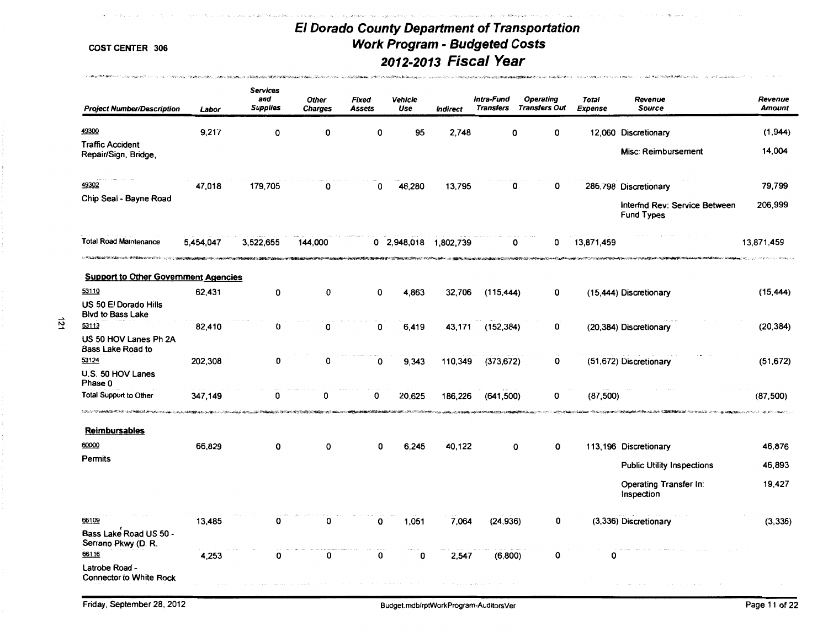**PERSYSTEMS CONDITIONS INTO REPORT AND CONDITIONS CONTINUES OF A STATE OF A STATEMENT OF THE CONDITIONS OF THE** 

and work and the experiment of the company of the state of the state of the state of the state of the state of

highway and other and contact and

COST CENTER 306

 $\label{eq:3.1} \langle \varphi^{\prime} \circ \varphi \rangle_{\text{M}} \simeq \langle \nabla \varphi, \varphi \rangle_{\text{M}} \otimes \langle \varphi^{\prime} \circ \varphi \rangle_{\text{M}} \simeq \langle \varphi^{\prime} \circ \varphi \rangle_{\text{M}} \simeq \langle \varphi^{\prime} \circ \varphi \circ \varphi \rangle_{\text{M}} \simeq \langle \varphi^{\prime} \circ \varphi \circ \varphi \circ \varphi \rangle_{\text{M}} \simeq \langle \varphi^{\prime} \circ \varphi \circ \varphi \circ \varphi \circ \varphi \rangle_{\text{M}}$ 

--" N --"

| Labor                             | <b>Services</b><br>and<br><b>Supplies</b> | Other<br><b>Charges</b>                                                                                                                                                | <b>Fixed</b><br><b>Assets</b> | Vehicle<br>Use | <i><b>Indirect</b></i>             | <b>Transfers</b> | Operating                                                    | <b>Total</b><br><b>Expense</b>                                                                                                                 | Revenue<br><b>Source</b>                           | Revenue<br><b>Amount</b>                                                                                                                                                                        |
|-----------------------------------|-------------------------------------------|------------------------------------------------------------------------------------------------------------------------------------------------------------------------|-------------------------------|----------------|------------------------------------|------------------|--------------------------------------------------------------|------------------------------------------------------------------------------------------------------------------------------------------------|----------------------------------------------------|-------------------------------------------------------------------------------------------------------------------------------------------------------------------------------------------------|
| 9,217                             | 0                                         | 0                                                                                                                                                                      | O                             | 95             | 2,748                              | 0                | 0                                                            |                                                                                                                                                |                                                    | (1,944)                                                                                                                                                                                         |
|                                   |                                           |                                                                                                                                                                        |                               |                |                                    |                  |                                                              |                                                                                                                                                | Misc: Reimbursement                                | 14,004                                                                                                                                                                                          |
| 47,018                            | 179,705                                   | 0                                                                                                                                                                      | 0                             | 46,280         | 13,795                             | 0                | 0                                                            |                                                                                                                                                |                                                    | 79,799                                                                                                                                                                                          |
|                                   |                                           |                                                                                                                                                                        |                               |                |                                    |                  |                                                              |                                                                                                                                                | Interfnd Rev: Service Between<br><b>Fund Types</b> | 206,999                                                                                                                                                                                         |
| 5,454,047                         | 3,522,655                                 | 144,000                                                                                                                                                                |                               |                | 1,802,739                          | 0                | 0                                                            |                                                                                                                                                |                                                    | 13.871.459                                                                                                                                                                                      |
|                                   |                                           |                                                                                                                                                                        |                               |                |                                    |                  |                                                              |                                                                                                                                                |                                                    |                                                                                                                                                                                                 |
| 62,431                            | 0                                         | 0                                                                                                                                                                      | 0                             | 4.863          | 32,706                             |                  | 0                                                            |                                                                                                                                                |                                                    | (15, 444)                                                                                                                                                                                       |
|                                   |                                           |                                                                                                                                                                        |                               |                |                                    |                  |                                                              |                                                                                                                                                |                                                    |                                                                                                                                                                                                 |
| 82,410                            | 0                                         | 0                                                                                                                                                                      | 0                             |                | 43,171                             |                  | 0                                                            |                                                                                                                                                |                                                    | (20, 384)                                                                                                                                                                                       |
|                                   |                                           |                                                                                                                                                                        |                               |                |                                    |                  |                                                              |                                                                                                                                                |                                                    |                                                                                                                                                                                                 |
|                                   |                                           |                                                                                                                                                                        |                               |                |                                    |                  |                                                              |                                                                                                                                                |                                                    | (51, 672)                                                                                                                                                                                       |
| 347,149                           | O                                         | n                                                                                                                                                                      | O                             | 20,625         |                                    |                  | 0                                                            |                                                                                                                                                |                                                    | (87, 500)                                                                                                                                                                                       |
|                                   |                                           |                                                                                                                                                                        |                               |                |                                    |                  |                                                              |                                                                                                                                                |                                                    |                                                                                                                                                                                                 |
| 66,829                            | 0                                         | O                                                                                                                                                                      | 0                             | 6,245          |                                    | 0                | 0                                                            |                                                                                                                                                |                                                    | 46,876                                                                                                                                                                                          |
|                                   |                                           |                                                                                                                                                                        |                               |                |                                    |                  |                                                              |                                                                                                                                                | <b>Public Utility Inspections</b>                  | 46,893                                                                                                                                                                                          |
|                                   |                                           |                                                                                                                                                                        |                               |                |                                    |                  |                                                              |                                                                                                                                                | Operating Transfer In:<br>Inspection               | 19,427                                                                                                                                                                                          |
| 13,485                            | 0                                         | 0                                                                                                                                                                      | O                             | 1,051          |                                    |                  | 0                                                            |                                                                                                                                                |                                                    | (3,336)                                                                                                                                                                                         |
| 4,253                             | 0                                         | 0                                                                                                                                                                      |                               | 0              |                                    |                  | 0                                                            |                                                                                                                                                |                                                    |                                                                                                                                                                                                 |
| <b>Project Number/Description</b> | 202,308                                   | <b>Support to Other Government Agencies</b><br>0<br>A SERVICA PRESENTATION DE SON LOCALISME DE MAYBARDO NOVADO CON LOCALISME DE LA CARACTERÍSTICA DE LA CARACTERÍSTICA | 0                             | 0              | 0 2.948,018<br>6,419<br>9,343<br>0 |                  | Intra-Fund<br>110,349<br>186,226<br>40.122<br>7,064<br>2,547 | <b>Transfers Out</b><br>ALCOHOL: AND STRATEGIC AREA (ALC)<br>(115, 444)<br>(152, 384)<br>(373, 672)<br>0<br>(641, 500)<br>(24, 936)<br>(6,800) | 13,871,459                                         | 12,060 Discretionary<br>286,798 Discretionary<br>(15,444) Discretionary<br>(20,384) Discretionary<br>(51,672) Discretionary<br>(87, 500)<br>113,196 Discretionary<br>(3,336) Discretionary<br>O |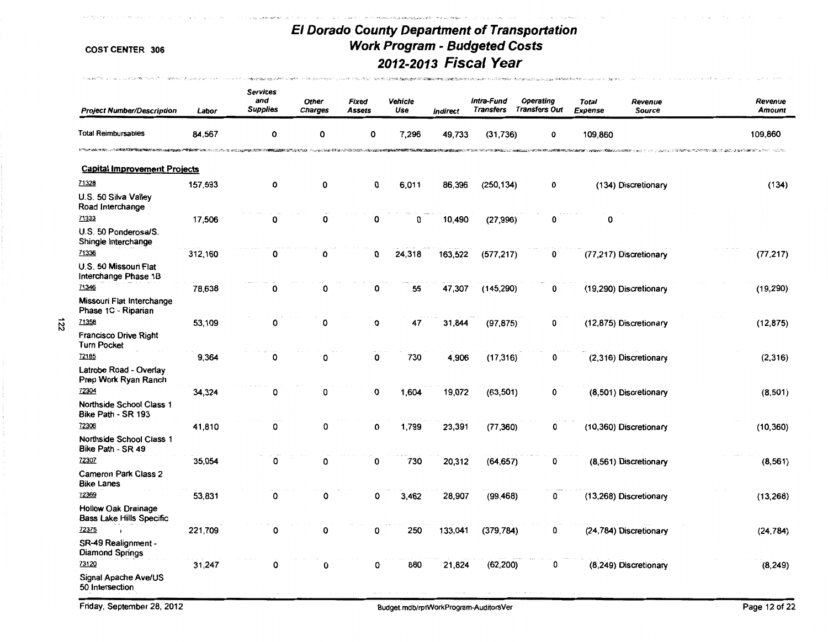.<br>2001 - Carlo de Landel, Antonio de Carlo III (m. 1944).<br>2012 - Carlo de Carlo II (m. 1955).

The company of the company of the

| <b>Project Number/Description</b>                                                                         | Labor                 | <b>Services</b><br>and<br><b>Supplies</b>                                                                                                                                                                                      | <b>Other</b><br><b>Charges</b> | <b>Fixed</b><br>Assets                                                                         | Venicle<br>Use | Indirect                     | Intra-Fund<br><b>Transfers</b> | <b>Operating</b><br><b>Transfers Out</b>                        | <b>Total</b><br><b>Expense</b> | Revenue<br><b>Source</b> | Revenue<br><b>Amount</b> |
|-----------------------------------------------------------------------------------------------------------|-----------------------|--------------------------------------------------------------------------------------------------------------------------------------------------------------------------------------------------------------------------------|--------------------------------|------------------------------------------------------------------------------------------------|----------------|------------------------------|--------------------------------|-----------------------------------------------------------------|--------------------------------|--------------------------|--------------------------|
| <b>Total Reimbursables</b>                                                                                | 84,567                | 0                                                                                                                                                                                                                              | 0                              | 0                                                                                              | 7,296          | 49,733                       | (31, 736)                      | 0                                                               | 109,860                        |                          | 109,860                  |
| <b>STEACH ANN HORN LOCALITY AND ACCORDING THE PRESENTIAL FIELD</b><br><b>Capital Improvement Projects</b> | <b>NUMBER</b> OF REAL | STATE AND DESCRIPTIONS OF A REAL PROPERTY OF A REAL PROPERTY OF A REAL PROPERTY OF A REAL PROPERTY OF A REAL PROPERTY OF A REAL PROPERTY OF A REAL PROPERTY OF A REAL PROPERTY OF A REAL PROPERTY OF A REAL PROPERTY OF A REAL |                                | http://www.android.com/2010/08/2010/http://www.android.com/2010/http://www.android.com/2020009 |                | <b>CROSS CONTROL PRODUCT</b> |                                | <b>THE CONTRACTOR OF THE CONTRACTOR OF A STATE OF THE PROOF</b> |                                |                          |                          |
| 71328                                                                                                     |                       |                                                                                                                                                                                                                                |                                |                                                                                                |                |                              |                                |                                                                 |                                |                          |                          |
| U.S. 50 Silva Valley<br>Road Interchange                                                                  | 157,593               | 0                                                                                                                                                                                                                              | 0                              | 0                                                                                              | 6,011          | 86,396                       | (250, 134)                     | 0                                                               |                                | (134) Discretionary      | (134)                    |
| 71333                                                                                                     | 17,506                | 0                                                                                                                                                                                                                              | 0                              | 0                                                                                              | 0              | 10,490                       | (27, 996)                      | 0                                                               | 0                              |                          |                          |
| U.S. 50 Ponderosa/S.<br>Shingle Interchange                                                               |                       |                                                                                                                                                                                                                                |                                |                                                                                                |                |                              |                                |                                                                 |                                |                          |                          |
| 71336<br>U.S. 50 Missouri Flat<br>Interchange Phase 1B                                                    | 312,160               | 0                                                                                                                                                                                                                              | 0                              | 0                                                                                              | 24,318         | 163,522                      | (577, 217)                     | 0                                                               |                                | (77,217) Discretionary   | (77, 217)                |
| 71346                                                                                                     | 78,638                | 0                                                                                                                                                                                                                              | 0                              | 0                                                                                              | 55             | 47,307                       | (145, 290)                     | 0                                                               |                                | (19,290) Discretionary   | (19, 290)                |
| Missouri Flat Interchange<br>Phase 1C - Riparian                                                          |                       |                                                                                                                                                                                                                                |                                |                                                                                                |                |                              |                                |                                                                 |                                |                          |                          |
| 71358                                                                                                     | 53,109                | 0                                                                                                                                                                                                                              | 0                              | 0                                                                                              | 47             | 31,844                       | (97, 875)                      | 0                                                               |                                | (12,875) Discretionary   | (12, 875)                |
| Francisco Drive Right<br><b>Turn Pocket</b>                                                               |                       |                                                                                                                                                                                                                                |                                |                                                                                                |                |                              |                                |                                                                 |                                |                          |                          |
| 72185                                                                                                     | 9,364                 | 0                                                                                                                                                                                                                              | O                              | 0                                                                                              | 730            | 4,906                        | (17, 316)                      | 0                                                               |                                | (2,316) Discretionary    | (2,316)                  |
| Latrobe Road - Overlay<br>Prep Work Ryan Ranch                                                            |                       |                                                                                                                                                                                                                                |                                |                                                                                                |                |                              |                                |                                                                 |                                |                          |                          |
| 72304<br>Northside School Class 1<br>Bike Path - SR 193                                                   | 34,324                | 0                                                                                                                                                                                                                              | 0                              | 0                                                                                              | 1.604          | 19,072                       | (63, 501)                      | 0                                                               |                                | (8.501) Discretionary    | (8,501)                  |
| 72306                                                                                                     | 41,810                | 0                                                                                                                                                                                                                              | 0                              | 0                                                                                              | 1,799          | 23,391                       | (77, 360)                      | 0                                                               |                                | (10,360) Discretionary   | (10, 360)                |
| Northside School Class 1<br>Bike Path - SR 49                                                             |                       |                                                                                                                                                                                                                                |                                |                                                                                                |                |                              |                                |                                                                 |                                |                          |                          |
| 72307                                                                                                     | 35,054                | 0                                                                                                                                                                                                                              | 0                              | 0                                                                                              | 730            | 20,312                       | (64, 657)                      | 0                                                               |                                | (8,561) Discretionary    | (8, 561)                 |
| <b>Cameron Park Class 2</b><br><b>Bike Lanes</b>                                                          |                       |                                                                                                                                                                                                                                |                                |                                                                                                |                |                              |                                |                                                                 |                                |                          |                          |
| 72369                                                                                                     | 53,831                | 0                                                                                                                                                                                                                              | 0                              | 0                                                                                              | 3,462          | 28,907                       | (99, 468)                      | 0                                                               |                                | (13,268) Discretionary   | (13, 268)                |
| <b>Hollow Oak Drainage</b><br><b>Bass Lake Hills Specific</b>                                             |                       |                                                                                                                                                                                                                                |                                |                                                                                                |                |                              |                                |                                                                 |                                |                          |                          |
| 72375                                                                                                     | 221,709               | 0                                                                                                                                                                                                                              | 0                              | O                                                                                              | 250            | 133,041                      | (379, 784)                     | 0                                                               |                                | (24,784) Discretionary   | (24, 784)                |
| SR-49 Realignment -<br><b>Diamond Springs</b>                                                             |                       |                                                                                                                                                                                                                                |                                |                                                                                                |                |                              |                                |                                                                 |                                |                          |                          |
| 73120<br>Signal Apache Ave/US<br>50 Intersection                                                          | 31,247                | 0                                                                                                                                                                                                                              | 0                              | 0                                                                                              | 880            | 21,824                       | (62, 200)                      | 0                                                               |                                | (8,249) Discretionary    | (8, 249)                 |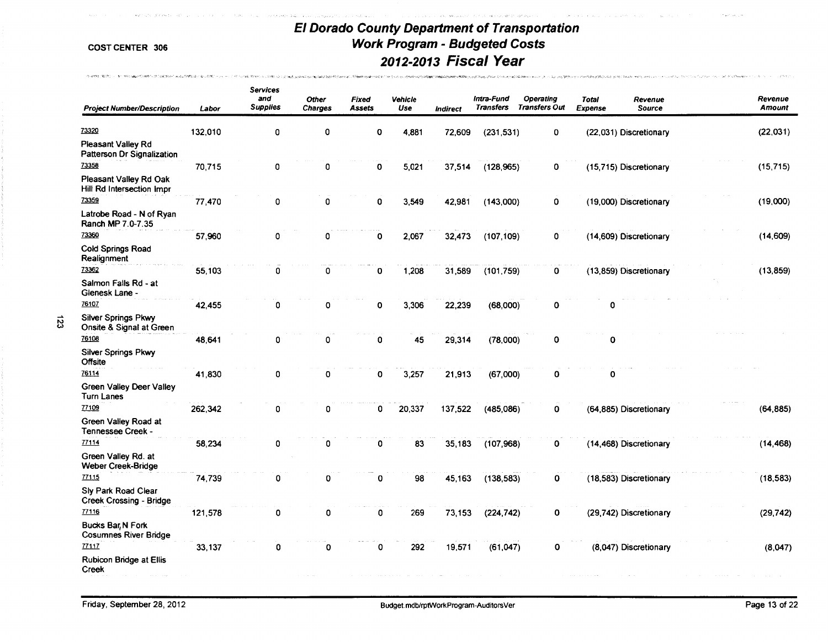and the state of the state of the

.<br>המיישו היה להרימה של המיישו היה השפעי, משפט משפט למול למוצע מלא מלכלים מה היה לשימוש עם היה של היה מונים משפטי

.<br>COMO INTELECCIÓN DE LOS MENORES DE LOS MODERNOS DE LOS MENORES DE LOS MENORES DE LOS MENORES DE LOS MENORES DE

Concert over 1940.

Carlos Constitution

THE REPORT OF A 1990 THE PERSON OF STREET WAS CITED BY A 45 YOM.

| <b>Project Number/Description</b>                      | Labor   | <b>Services</b><br>and<br><b>Supplies</b> | <b>Other</b><br><b>Charges</b> | Fixed<br><b>Assets</b> | Vehicle<br>Use | Indirect | Intra-Fund<br><b>Transfers</b> | <b>Operating</b><br><b>Transfers Out</b> | <b>Total</b><br><b>Expense</b> | Revenue<br>Source      | Revenue<br><b>Amount</b> |
|--------------------------------------------------------|---------|-------------------------------------------|--------------------------------|------------------------|----------------|----------|--------------------------------|------------------------------------------|--------------------------------|------------------------|--------------------------|
| 73320<br>Pleasant Valley Rd                            | 132,010 | 0                                         | 0                              | $\mathbf 0$            | 4,881          | 72,609   | (231, 531)                     | $\mathbf 0$                              |                                | (22,031) Discretionary | (22, 031)                |
| Patterson Dr Signalization<br>73358                    | 70,715  | 0                                         | 0                              | 0                      | 5,021          | 37,514   | (128, 965)                     | 0                                        |                                | (15,715) Discretionary | (15, 715)                |
| Pleasant Valley Rd Oak<br>Hill Rd Intersection Impr    |         |                                           |                                |                        |                |          |                                |                                          |                                |                        |                          |
| 73359                                                  | 77,470  | 0                                         | 0                              | 0                      | 3,549          | 42,981   | (143,000)                      | 0                                        |                                | (19,000) Discretionary | (19,000)                 |
| Latrobe Road - N of Ryan<br>Ranch MP 7.0-7.35          |         |                                           |                                |                        |                |          |                                |                                          |                                |                        |                          |
| 73360                                                  | 57,960  | 0                                         | 0                              | 0                      | 2,067          | 32,473   | (107, 109)                     | 0                                        |                                | (14,609) Discretionary | (14, 609)                |
| <b>Cold Springs Road</b><br>Realignment                |         |                                           |                                |                        |                |          |                                |                                          |                                |                        |                          |
| 73362                                                  | 55,103  | 0                                         | 0                              | 0                      | 1,208          | 31,589   | (101, 759)                     | 0                                        |                                | (13,859) Discretionary | (13, 859)                |
| Salmon Falls Rd - at<br>Gienesk Lane -                 |         |                                           |                                |                        |                |          |                                |                                          |                                |                        |                          |
| 76107                                                  | 42,455  | 0                                         | 0                              | 0                      | 3,306          | 22,239   | (68,000)                       | 0                                        | Ω                              |                        |                          |
| <b>Silver Springs Pkwy</b><br>Onsite & Signal at Green |         |                                           |                                |                        |                |          |                                |                                          |                                |                        |                          |
| 76108                                                  | 48,641  | 0                                         | 0                              | 0                      | 45             | 29,314   | (78,000)                       | 0                                        | $\mathbf 0$                    |                        |                          |
| <b>Silver Springs Pkwy</b><br><b>Offsite</b>           |         |                                           |                                |                        |                |          |                                |                                          |                                |                        |                          |
| 76114                                                  | 41,830  | 0                                         | 0                              | 0                      | 3,257          | 21,913   | (67,000)                       | 0                                        | 0                              |                        |                          |
| <b>Green Valley Deer Valley</b><br><b>Turn Lanes</b>   |         |                                           |                                |                        |                |          |                                |                                          |                                |                        |                          |
| 77109                                                  | 262,342 | 0                                         | 0                              | 0                      | 20,337         | 137,522  | (485,086)                      | 0                                        |                                | (64,885) Discretionary | (64, 885)                |
| Green Valley Road at<br>Tennessee Creek -              |         |                                           |                                |                        |                |          |                                |                                          |                                |                        |                          |
| 77114                                                  | 58,234  | 0                                         | 0                              | 0                      | 83             | 35,183   | (107,968)                      | 0                                        |                                | (14,468) Discretionary | (14, 468)                |
| Green Valley Rd. at<br><b>Weber Creek-Bridge</b>       |         |                                           |                                |                        |                |          |                                |                                          |                                |                        |                          |
| 77115                                                  | 74,739  | 0                                         | 0                              | 0                      | 98             | 45,163   | (138, 583)                     | 0                                        |                                | (18,583) Discretionary | (18, 583)                |
| Sly Park Road Clear<br><b>Creek Crossing - Bridge</b>  |         |                                           |                                |                        |                |          |                                |                                          |                                |                        |                          |
| 77116                                                  | 121,578 | 0                                         | $\mathbf 0$                    | $\mathbf 0$            | 269            | 73,153   | (224, 742)                     | 0                                        |                                | (29,742) Discretionary | (29, 742)                |
| Bucks Bar, N Fork<br><b>Cosumnes River Bridge</b>      |         |                                           |                                |                        |                |          |                                |                                          |                                |                        |                          |
| 77117                                                  | 33,137  | 0                                         | $\mathbf 0$                    | $\mathbf 0$            | 292            | 19,571   | (61.047)                       | 0                                        |                                | (8,047) Discretionary  | (8,047)                  |
| <b>Rubicon Bridge at Ellis</b><br>Creek                |         |                                           |                                |                        |                |          |                                |                                          |                                |                        |                          |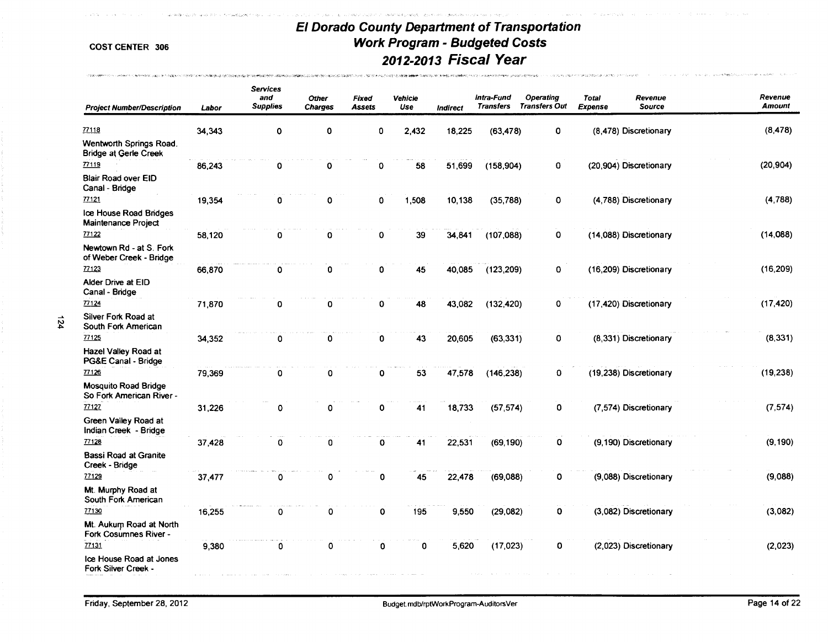.<br>Waliofariki wa mwaka wa

.<br>Samuella

decision and dealership in the control of

.<br>Les pours le soudient de sans l'étoient à la proper de centre de les

A Site

"- > .......

| <b>Project Number/Description</b>                       | Labor  | <b>Services</b><br>and<br><b>Supplies</b> | <b>Other</b><br><b>Charges</b> | Fixed<br>Assets | <b>Vehicle</b><br>Use | Indirect | Intra-Fund<br><b>Transfers</b> | Operating<br><b>Transfers Out</b> | <b>Total</b><br><b>Expense</b> | Revenue<br><b>Source</b> | Revenue<br><b>Amount</b> |
|---------------------------------------------------------|--------|-------------------------------------------|--------------------------------|-----------------|-----------------------|----------|--------------------------------|-----------------------------------|--------------------------------|--------------------------|--------------------------|
| 77118                                                   | 34,343 | 0                                         | 0                              | 0               | 2,432                 | 18,225   | (63, 478)                      | O                                 |                                | (8,478) Discretionary    | (8, 478)                 |
| Wentworth Springs Road.<br><b>Bridge at Gerle Creek</b> |        |                                           |                                |                 |                       |          |                                |                                   |                                |                          |                          |
| 77119                                                   | 86,243 | $\mathbf 0$                               | 0                              | 0               | 58                    | 51,699   | (158, 904)                     | 0                                 |                                | (20,904) Discretionary   | (20, 904)                |
| <b>Blair Road over EID</b><br>Canal - Bridge            |        |                                           |                                |                 |                       |          |                                |                                   |                                |                          |                          |
| 77121                                                   | 19,354 | 0                                         | 0                              | $\mathbf 0$     | 1,508                 | 10,138   | (35, 788)                      | 0                                 |                                | (4,788) Discretionary    | (4, 788)                 |
| Ice House Road Bridges<br>Maintenance Project           |        |                                           |                                |                 |                       |          |                                |                                   |                                |                          |                          |
| 77122                                                   | 58,120 | 0                                         | 0                              | 0               | 39                    | 34,841   | (107, 088)                     | 0                                 |                                | (14,088) Discretionary   | (14,088)                 |
| Newtown Rd - at S. Fork<br>of Weber Creek - Bridge      |        |                                           |                                |                 |                       |          |                                |                                   |                                |                          |                          |
| 77123                                                   | 66,870 | $\mathbf 0$                               | 0                              | 0               | 45                    | 40,085   | (123, 209)                     | 0                                 |                                | (16,209) Discretionary   | (16, 209)                |
| Alder Drive at EID<br>Canal - Bridge                    |        |                                           |                                |                 |                       |          |                                |                                   |                                |                          |                          |
| 77124                                                   | 71,870 | $\mathbf 0$                               | 0                              | 0               | 48                    | 43,082   | (132, 420)                     | 0                                 |                                | (17,420) Discretionary   | (17, 420)                |
| Silver Fork Road at<br>South Fork American              |        |                                           |                                |                 |                       |          |                                |                                   |                                |                          |                          |
| 77125                                                   | 34,352 | 0                                         | 0                              | 0               | 43                    | 20,605   | (63, 331)                      | 0                                 |                                | (8,331) Discretionary    | (8, 331)                 |
| Hazel Valley Road at<br>PG&E Canal - Bridge             |        |                                           |                                |                 |                       |          |                                |                                   |                                |                          |                          |
| 77126                                                   | 79,369 | 0                                         | 0                              | 0               | 53                    | 47,578   | (146, 238)                     | 0                                 |                                | (19,238) Discretionary   | (19, 238)                |
| <b>Mosquito Road Bridge</b><br>So Fork American River - |        |                                           |                                |                 |                       |          |                                |                                   |                                |                          |                          |
| 77127                                                   | 31,226 | 0                                         | 0                              | 0               | 41                    | 18,733   | (57, 574)                      | $\mathbf 0$                       |                                | (7,574) Discretionary    | (7, 574)                 |
| Green Valley Road at<br>Indian Creek - Bridge           |        |                                           |                                |                 |                       |          |                                |                                   |                                |                          |                          |
| 77128                                                   | 37,428 | 0                                         | 0                              | $\mathbf 0$     | 41                    | 22,531   | (69, 190)                      | O                                 |                                | (9,190) Discretionary    | (9, 190)                 |
| <b>Bassi Road at Granite</b><br>Creek - Bridge          |        |                                           |                                |                 |                       |          |                                |                                   |                                |                          |                          |
| 77129                                                   | 37,477 | 0                                         | 0                              | 0               | 45                    | 22,478   | (69,088)                       | O                                 |                                | (9,088) Discretionary    | (9,088)                  |
| Mt. Murphy Road at<br>South Fork American               |        |                                           |                                |                 |                       |          |                                |                                   |                                |                          |                          |
| 77130                                                   | 16,255 | 0                                         | 0                              | 0               | 195                   | 9,550    | (29,082)                       | 0                                 |                                | (3,082) Discretionary    | (3,082)                  |
| Mt. Aukum Road at North<br>Fork Cosumnes River -        |        |                                           |                                |                 |                       |          |                                |                                   |                                |                          |                          |
| 77131                                                   | 9,380  | 0                                         | Ω                              | 0               | 0                     | 5,620    | (17, 023)                      | 0                                 |                                | (2,023) Discretionary    | (2,023)                  |
| Ice House Road at Jones<br>Fork Silver Creek -          |        |                                           |                                |                 |                       |          |                                |                                   |                                |                          |                          |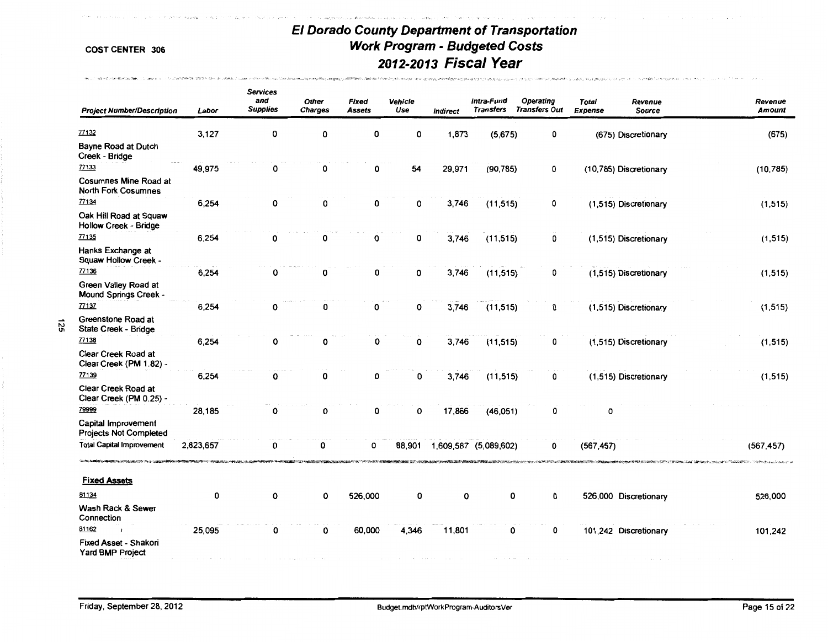-<br>グランス かけるのでは、外国の連携へは、最初の大阪、外国の地域の新たいとからです。 スーパーソン (中国語) しょうがくせい アール

**BELLY REPORT ON HOLD DER** 

N

| <b>Project Number/Description</b>                    | Labor     | <b>Services</b><br>and<br><b>Supplies</b> | <b>Other</b><br><b>Charges</b> | Fixed<br>Assets | Vehicle<br>Use | Indirect | Intra-Fund<br><b>Transfers</b> | Operating<br><b>Transfers Out</b> | Total<br>Revenue<br><b>Source</b><br><b>Expense</b> | Revenue<br><b>Amount</b> |
|------------------------------------------------------|-----------|-------------------------------------------|--------------------------------|-----------------|----------------|----------|--------------------------------|-----------------------------------|-----------------------------------------------------|--------------------------|
| 77132                                                | 3,127     | 0                                         | 0                              | 0               | 0              | 1,873    | (5,675)                        | 0                                 | (675) Discretionary                                 | (675)                    |
| Bayne Road at Dutch<br>Creek - Bridge                |           |                                           |                                |                 |                |          |                                |                                   |                                                     |                          |
| 77133                                                | 49,975    | ٥                                         | 0                              | 0               | 54             | 29,971   | (90, 785)                      | 0                                 | (10,785) Discretionary                              | (10, 785)                |
| Cosumnes Mine Road at<br><b>North Fork Cosumnes</b>  |           |                                           |                                |                 |                |          |                                |                                   |                                                     |                          |
| 77134                                                | 6,254     | 0                                         | 0                              | 0               | 0              | 3,746    | (11, 515)                      | 0                                 | (1,515) Discretionary                               | (1, 515)                 |
| Oak Hill Road at Squaw<br>Hollow Creek - Bridge      |           |                                           |                                |                 |                |          |                                |                                   |                                                     |                          |
| 77135                                                | 6,254     | 0                                         | 0                              | 0               | 0              | 3,746    | (11, 515)                      | 0                                 | (1,515) Discretionary                               | (1, 515)                 |
| Hanks Exchange at<br>Squaw Hollow Creek -            |           |                                           |                                |                 |                |          |                                |                                   |                                                     |                          |
| 77136                                                | 6,254     | 0                                         | 0                              | 0               | 0              | 3,746    | (11, 515)                      | 0                                 | (1,515) Discretionary                               | (1, 515)                 |
| Green Valley Road at<br>Mound Springs Creek -        |           |                                           |                                |                 |                |          |                                |                                   |                                                     |                          |
| 77137                                                | 6,254     | 0                                         | 0                              | 0               | 0              | 3,746    | (11, 515)                      | 0                                 | (1,515) Discretionary                               | (1, 515)                 |
| Greenstone Road at<br>State Creek - Bridge           |           |                                           |                                |                 |                |          |                                |                                   |                                                     |                          |
| 77138                                                | 6,254     | 0                                         | 0                              | 0               | 0              | 3,746    | (11, 515)                      | 0                                 | (1,515) Discretionary                               | (1, 515)                 |
| Clear Creek Road at<br>Clear Creek (PM 1.82) -       |           |                                           |                                |                 |                |          |                                |                                   |                                                     |                          |
| 77139                                                | 6,254     | 0                                         | 0                              | 0               | 0              | 3,746    | (11, 515)                      | 0                                 | (1,515) Discretionary                               | (1, 515)                 |
| Clear Creek Road at<br>Clear Creek (PM 0.25) -       |           |                                           |                                |                 |                |          |                                |                                   |                                                     |                          |
| 79999                                                | 28,185    | 0                                         | 0                              | 0               | 0              | 17,866   | (46, 051)                      | 0                                 | 0                                                   |                          |
| Capital Improvement<br><b>Projects Not Completed</b> |           |                                           |                                |                 |                |          |                                |                                   |                                                     |                          |
| <b>Total Capital Improvement</b>                     | 2,823,657 | 0                                         | 0                              | n               | 88.901         |          | 1,609,587 (5,089,602)          | n                                 | (567, 457)                                          | (567, 457)               |
| <b>Fixed Assets</b>                                  |           |                                           |                                |                 |                |          |                                |                                   |                                                     | こうきゅうしょう しんしょうしょう        |
| 81134                                                | 0         | 0                                         | 0                              | 526,000         | 0              | 0        | 0                              | 0                                 | 526,000 Discretionary                               | 526,000                  |
| Wash Rack & Sewer<br>Connection                      |           |                                           |                                |                 |                |          |                                |                                   |                                                     |                          |
| 81162                                                | 25,095    | 0                                         | 0                              | 60,000          | 4,346          | 11,801   | 0                              | 0                                 | 101,242 Discretionary                               | 101,242                  |
| Fixed Asset - Shakori<br>Yard BMP Project            |           |                                           |                                |                 |                |          |                                |                                   |                                                     |                          |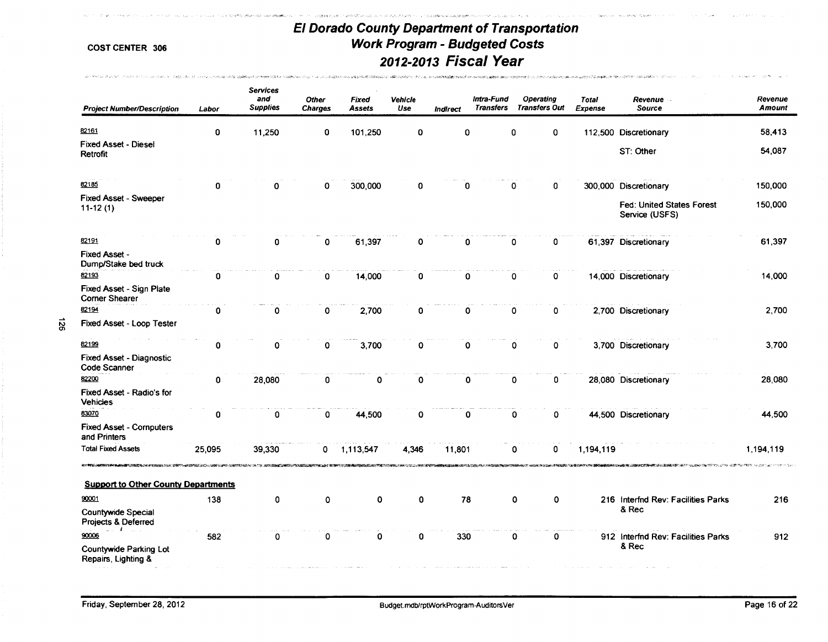**Conservation Care** 

المالية التبا

.<br>במשפט המוניע ביותר במי המוניע במוני היה היה היה היה היה היה מוניע במוני היה בין היה באירופי היה היה היה היה הי

-<br>Gently on the whole classer

.<br>האחרונה " ב-1996 האליוני המוניקס ה-1997 ייקו מאופייה במונים המונים ואופייה מאופייה באופייה היו להיות המונים וא

APPRENT AND A STREET CHARGE STATE CONTRACTOR CONTRACTOR CONTRACTOR CONTRACTOR

.<br>The contribution of the art in the same products

| <b>Project Number/Description</b>                 | Labor  | <b>Services</b><br>and<br><b>Supplies</b> | <b>Other</b><br><b>Charges</b> | <b>Fixed</b><br><b>Assets</b> | Vehicle<br>Use | Indirect | Intra-Fund<br><b>Transfers</b> |             | <b>Operating</b><br><b>Transfers Out</b> | <b>Total</b><br><b>Expense</b> | Revenue<br>Source                           | Revenue<br><b>Amount</b> |
|---------------------------------------------------|--------|-------------------------------------------|--------------------------------|-------------------------------|----------------|----------|--------------------------------|-------------|------------------------------------------|--------------------------------|---------------------------------------------|--------------------------|
| 82161                                             | 0      | 11,250                                    | 0                              | 101,250                       | 0              | 0        |                                | 0           | $\mathbf 0$                              |                                | 112,500 Discretionary                       | 58,413                   |
| <b>Fixed Asset - Diesel</b><br>Retrofit           |        |                                           |                                |                               |                |          |                                |             |                                          |                                | ST: Other                                   | 54,087                   |
| 82185                                             | Ω      |                                           | 0                              | 300,000                       | 0              | n        |                                | 0           | 0                                        |                                | 300,000 Discretionary                       | 150,000                  |
| Fixed Asset - Sweeper<br>$11-12(1)$               |        |                                           |                                |                               |                |          |                                |             |                                          |                                | Fed: United States Forest<br>Service (USFS) | 150,000                  |
| 82191                                             | o      | n                                         | 0                              | 61,397                        | 0              | 0        |                                | 0           | 0                                        |                                | 61,397 Discretionary                        | 61,397                   |
| Fixed Asset -<br>Dump/Stake bed truck             |        |                                           |                                |                               |                |          |                                |             |                                          |                                |                                             |                          |
| 82193                                             | 0      | 0                                         | 0                              | 14,000                        | 0              | 0        |                                | 0           | 0                                        |                                | 14,000 Discretionary                        | 14,000                   |
| Fixed Asset - Sign Plate<br><b>Corner Shearer</b> |        |                                           |                                |                               |                |          |                                |             |                                          |                                |                                             |                          |
| 82194                                             | 0      | $\Omega$                                  | 0                              | 2,700                         | 0              | 0        |                                | 0           | 0                                        |                                | 2,700 Discretionary                         | 2,700                    |
| Fixed Asset - Loop Tester                         |        |                                           |                                |                               |                |          |                                |             |                                          |                                |                                             |                          |
| 82199                                             | 0      | $\Omega$                                  | 0                              | 3,700                         | O              | 0        |                                | $\mathbf 0$ | 0                                        |                                | 3,700 Discretionary                         | 3,700                    |
| <b>Fixed Asset - Diagnostic</b><br>Code Scanner   |        |                                           |                                |                               |                |          |                                |             |                                          |                                |                                             |                          |
| 82200                                             | 0      | 28,080                                    | 0                              | 0                             | $\Omega$       | 0        |                                | 0           | 0                                        |                                | 28,080 Discretionary                        | 28,080                   |
| Fixed Asset - Radio's for<br><b>Vehicles</b>      |        |                                           |                                |                               |                |          |                                |             |                                          |                                |                                             |                          |
| 83070                                             | 0      | 0                                         | 0                              | 44,500                        | 0              | 0        |                                | $\mathbf 0$ | 0                                        |                                | 44,500 Discretionary                        | 44,500                   |
| <b>Fixed Asset - Cornputers</b><br>and Printers   |        |                                           |                                |                               |                |          |                                |             |                                          |                                |                                             |                          |
| <b>Total Fixed Assets</b>                         | 25,095 | 39,330                                    | 0                              | 1,113,547                     | 4,346          | 11,801   |                                | 0           | 0                                        | 1,194,119                      |                                             | 1,194,119                |
| <b>Support to Other County Departments</b>        |        |                                           |                                |                               |                |          |                                |             |                                          |                                |                                             |                          |
| 90001                                             | 138    | 0                                         | 0                              | $\mathbf 0$                   | 0              | 78       |                                | 0           | 0                                        |                                | 216 Interfnd Rev: Facilities Parks          | 216                      |
| <b>Countywide Special</b><br>Projects & Deferred  |        |                                           |                                |                               |                |          |                                |             |                                          |                                | & Rec                                       |                          |
| الله المالية<br>90006                             | 582    | 0                                         | 0                              | 0                             | 0              | 330      |                                | 0           | 0                                        |                                | 912 Interfnd Rev: Facilities Parks          | 912                      |
| Countywide Parking Lot<br>Repairs, Lighting &     |        |                                           |                                |                               |                |          |                                |             |                                          |                                | & Rec                                       |                          |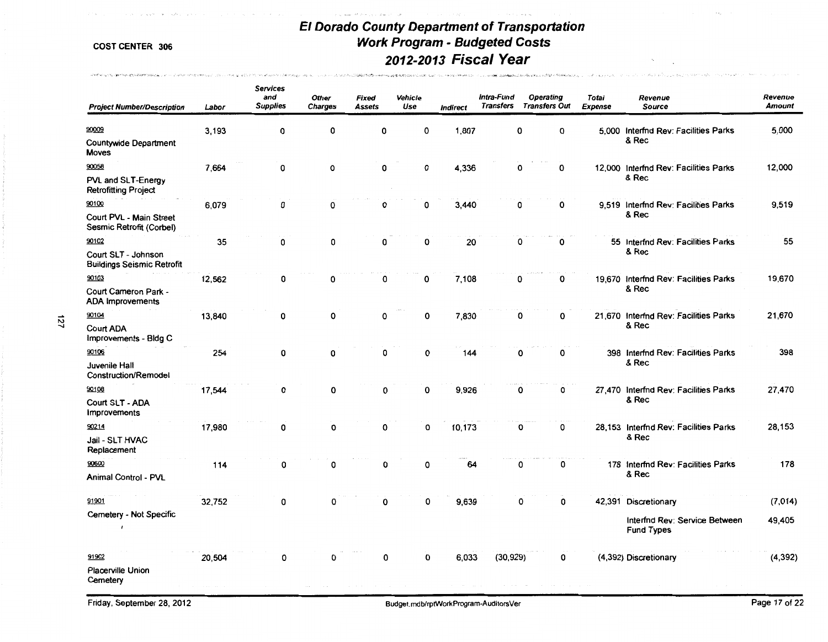2012年10月10日 10月20日 10月11日 10月11日 10月11日 10月11日 10月11日 10月11日 10日

 $\sim 100$  M  $_{\odot}$  $\sim$ 

.<br>**Representative Markets control of the angle of the control of the angle of the Angles Mar** 

 $\tau_{\rm c,0}$  was  $\beta\sigma$  .

**Andret la Charles Community (Latitude Programma)** 

| <b>Project Number/Description</b>                                 | Labor  | <b>Services</b><br>and<br><b>Supplies</b> | <b>Other</b><br>Charges | Fixed<br>Assets | Vehicle<br>Use | <b>Indirect</b> | Intra-Fund | Operating<br>Transfers Transfers Out | Totai<br><b>Expense</b> | Revenue<br><b>Source</b>                                                   | Revenue<br><b>Amount</b> |
|-------------------------------------------------------------------|--------|-------------------------------------------|-------------------------|-----------------|----------------|-----------------|------------|--------------------------------------|-------------------------|----------------------------------------------------------------------------|--------------------------|
| 90009<br><b>Countywide Department</b><br><b>Moves</b>             | 3,193  | 0                                         | 0                       | 0               | $\Omega$       | 1,807           |            | O<br>0                               |                         | 5.000 Interfnd Rev: Facilities Parks<br>& Rec                              | 5,000                    |
| 90058<br>PVL and SLT-Energy<br><b>Retrofitting Project</b>        | 7,664  | $\mathbf 0$                               | 0                       | 0               | 0              | 4,336           |            | 0<br>0                               |                         | 12,000 Interfnd Rev: Facilities Parks<br>& Rec                             | 12,000                   |
| 90100<br>Court PVL - Main Street<br>Sesmic Retrofit (Corbel)      | 6,079  | 0                                         | 0                       | $\mathbf 0$     | 0              | 3,440           |            | 0<br>0                               |                         | 9.519 Interfnd Rev: Facilities Parks<br>& Rec                              | 9,519                    |
| 90102<br>Court SLT - Johnson<br><b>Buildings Seismic Retrofit</b> | 35     | $\mathbf 0$                               | 0                       | 0               | 0              | 20              |            | 0<br>0                               |                         | 55 Interfnd Rev: Facilities Parks<br>& Rec                                 | 55                       |
| 90103<br>Court Cameron Park -<br><b>ADA Improvements</b>          | 12,562 | 0                                         | 0                       | 0               | 0              | 7,108           |            | 0<br>0                               |                         | 19,670 Interfnd Rev: Facilities Parks<br>& Rec                             | 19,670                   |
| 90104<br><b>Court ADA</b><br>Improvements - Bldg C                | 13,840 | 0                                         | 0                       | 0               | 0              | 7,830           |            | O<br>0                               |                         | 21,670 Interfnd Rev: Facilities Parks<br>& Rec                             | 21,670                   |
| 90106<br>Juvenile Hall<br>Construction/Remodel                    | 254    | 0                                         | 0                       | 0               | 0              | 144             |            | 0<br>0                               |                         | 398 Interfnd Rev: Facilities Parks<br>& Rec                                | 398                      |
| 90108<br>Court SLT - ADA<br><b>Improvements</b>                   | 17,544 | 0                                         | 0                       | 0               | $\Omega$       | 9.926           |            | 0<br>0                               |                         | 27.470 Interfnd Rev: Facilities Parks<br>& Rec                             | 27,470                   |
| 90214<br>Jail - SLT HVAC<br>Replacement                           | 17,980 | 0                                         | 0                       | $\Omega$        | $\Omega$       | 10,173          |            | O<br>0                               |                         | 28,153 Interfnd Rev: Facilities Parks<br>& Rec                             | 28,153                   |
| 90600<br>Animal Control - PVL                                     | 114    | 0                                         | 0                       | 0               | 0              | 64              |            | 0<br>0                               |                         | 178 Interfnd Rev: Facilities Parks<br>& Rec                                | 178                      |
| 91901<br>Cemetery - Not Specific                                  | 32,752 | 0                                         | 0                       | 0               | $\Omega$       | 9,639           |            | 0<br>0                               |                         | 42,391 Discretionary<br>Interfnd Rev: Service Between<br><b>Fund Types</b> | (7, 014)<br>49,405       |
| 91902<br><b>Placerville Union</b><br>Cemetery                     | 20,504 | 0                                         | 0                       | 0               | $\Omega$       | 6,033           | (30, 929)  | 0                                    |                         | (4,392) Discretionary                                                      | (4, 392)                 |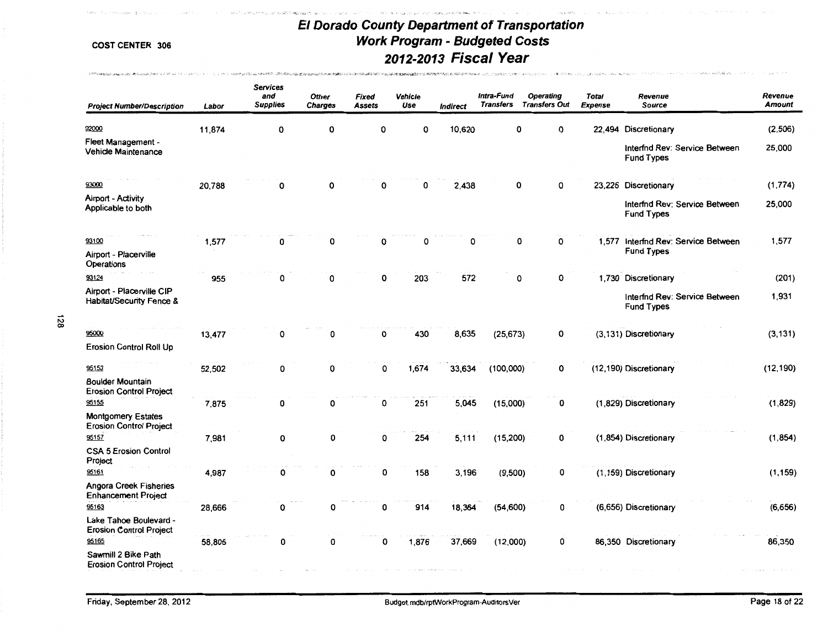cate withdraw

\_\_. I'V co

| <b>Project Number/Description</b>                           | Labor  | <b>Services</b><br>and<br><b>Supplies</b> | <b>Other</b><br><b>Charges</b> | Fixed<br><b>Assets</b> | <b>Vehicle</b><br>Use | <b>Indirect</b> | Intra-Fund<br><b>Transfers</b> | Operating<br><b>Transfers Out</b> | Total<br><b>Expense</b> | Revenue<br>Source                                        | Revenue<br><b>Amount</b> |
|-------------------------------------------------------------|--------|-------------------------------------------|--------------------------------|------------------------|-----------------------|-----------------|--------------------------------|-----------------------------------|-------------------------|----------------------------------------------------------|--------------------------|
| 92000                                                       | 11,874 | 0                                         | O                              | 0                      | O                     | 10,620          | 0                              | 0                                 | 22.494                  | Discretionary                                            | (2,506)                  |
| Fleet Management -<br>Vehicle Maintenance                   |        |                                           |                                |                        |                       |                 |                                |                                   |                         | Interfnd Rev: Service Between<br><b>Fund Types</b>       | 25,000                   |
| 93000                                                       | 20,788 | 0                                         | O                              |                        | $\Omega$              | 2,438           | 0                              | 0                                 |                         | 23,226 Discretionary                                     | (1,774)                  |
| Airport - Activity<br>Applicable to both                    |        |                                           |                                |                        |                       |                 |                                |                                   |                         | Interfnd Rev: Service Between<br><b>Fund Types</b>       | 25,000                   |
| 93100                                                       | 1,577  | 0                                         | O                              | 0                      | O                     | 0               | 0                              | 0                                 |                         | 1,577 Interfnd Rev: Service Between<br><b>Fund Types</b> | 1,577                    |
| Airport - Placerville<br>Operations                         |        |                                           |                                |                        |                       |                 |                                |                                   |                         |                                                          |                          |
| 93124                                                       | 955    | $\Omega$                                  | ი                              | 0                      | 203                   | 572             | 0                              | 0                                 |                         | 1,730 Discretionary                                      | (201)                    |
| Airport - Placerville CIP<br>Habitat/Security Fence &       |        |                                           |                                |                        |                       |                 |                                |                                   |                         | Interfnd Rev: Service Between<br><b>Fund Types</b>       | 1,931                    |
| 95000                                                       | 13,477 | 0                                         | 0                              | 0                      | 430                   | 8,635           | (25, 673)                      | 0                                 |                         | (3,131) Discretionary                                    | (3, 131)                 |
| <b>Erosion Control Roll Up</b>                              |        |                                           |                                |                        |                       |                 |                                |                                   |                         |                                                          |                          |
| 95153                                                       | 52,502 | 0                                         | 0                              | 0                      | 1,674                 | 33,634          | (100,000)                      | 0                                 |                         | (12,190) Discretionary                                   | (12, 190)                |
| <b>Boulder Mountain</b><br><b>Erosion Control Project</b>   |        |                                           |                                |                        |                       |                 |                                |                                   |                         |                                                          |                          |
| 95155                                                       | 7,875  | 0                                         | 0                              | 0                      | 251                   | 5,045           | (15,000)                       | 0                                 |                         | (1,829) Discretionary                                    | (1,829)                  |
| <b>Montgomery Estates</b><br><b>Erosion Control Project</b> |        |                                           |                                |                        |                       |                 |                                |                                   |                         |                                                          |                          |
| 95157                                                       | 7,981  | 0                                         | 0                              | $\mathbf{o}$           | 254                   | 5,111           | (15, 200)                      | 0                                 |                         | (1,854) Discretionary                                    | (1, 854)                 |
| <b>CSA 5 Erosion Control</b><br>Project                     |        |                                           |                                |                        |                       |                 |                                |                                   |                         |                                                          |                          |
| 95161                                                       | 4,987  | 0                                         | 0                              | 0                      | 158                   | 3,196           | (9,500)                        | 0                                 |                         | (1,159) Discretionary                                    | (1, 159)                 |
| Angora Creek Fisheries<br><b>Enhancement Project</b>        |        |                                           |                                |                        |                       |                 |                                |                                   |                         |                                                          |                          |
| 95163                                                       | 28,666 | 0                                         | 0                              | 0                      | 914                   | 18,364          | (54, 600)                      | 0                                 |                         | (6,656) Discretionary                                    | (6,656)                  |
| Lake Tahoe Boulevard -<br><b>Erosion Control Project</b>    |        |                                           |                                |                        |                       |                 |                                |                                   |                         |                                                          |                          |
| 95165                                                       | 58,805 | 0                                         | 0                              | 0                      | 1,876                 | 37,669          | (12,000)                       | 0                                 |                         | 86,350 Discretionary                                     | 86,350                   |
| Sawmill 2 Bike Path<br><b>Erosion Control Project</b>       |        |                                           |                                |                        |                       |                 |                                |                                   |                         |                                                          |                          |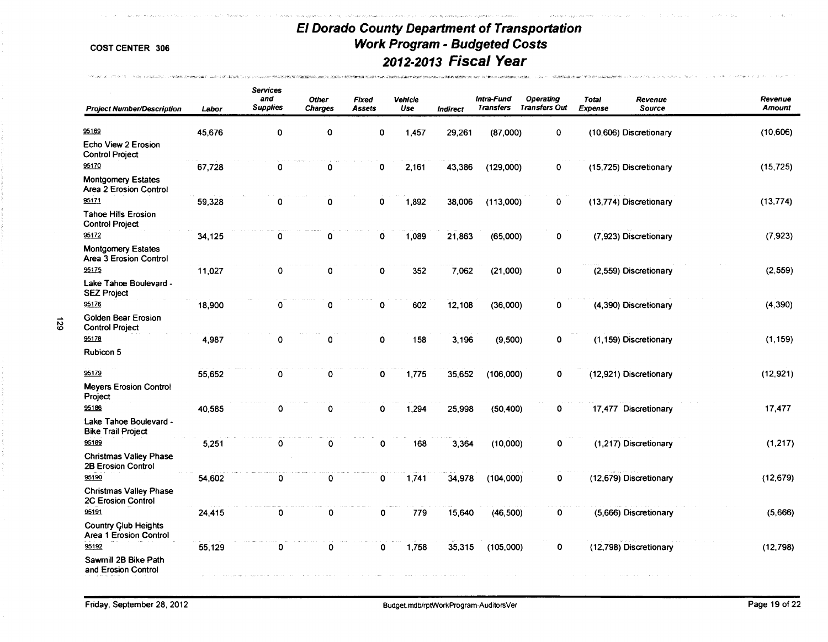.<br>START IN START OF THE TANK OF THE CONSTITUTION OF A START OF THE START OF THE CONSTITUTION OF THE CONSTITUTION

.<br>The completed to a contract the state of the contract of the second complete the state of the contract of the

**Contractor** Contractor

-<br>Walterschaftschaft was 1980sted to the accompany of the control of the control of the control of the control of

**MALON ALL CONFIRMATION** INVESTIGATION ON SERVICE PROPERTY

6Z<sub>1</sub>

| <b>Project Number/Description</b>                          | Labor  | <b>Services</b><br>and<br><b>Supplies</b> | Other<br><b>Charges</b> | Fixed<br>Assets | Vehicle<br>Use | Indirect | Intra-Fund<br><b>Transfers</b> | <b>Operating</b><br><b>Transfers Out</b> | <b>Total</b><br>Expense | Revenue<br>Source      | Revenue<br><b>Amount</b> |
|------------------------------------------------------------|--------|-------------------------------------------|-------------------------|-----------------|----------------|----------|--------------------------------|------------------------------------------|-------------------------|------------------------|--------------------------|
| 95169                                                      | 45,676 | $\mathbf 0$                               | 0                       | $\mathbf 0$     | 1,457          | 29,261   | (87,000)                       | 0                                        |                         | (10,606) Discretionary | (10, 606)                |
| Echo View 2 Erosion<br><b>Control Project</b>              |        |                                           |                         |                 |                |          |                                |                                          |                         |                        |                          |
| 95170                                                      | 67,728 | 0                                         | 0                       | 0               | 2,161          | 43,386   | (129,000)                      | 0                                        |                         | (15,725) Discretionary | (15, 725)                |
| <b>Montgomery Estates</b><br>Area 2 Erosion Control        |        |                                           |                         |                 |                |          |                                |                                          |                         |                        |                          |
| 95171                                                      | 59,328 | 0                                         | 0                       | 0               | 1,892          | 38,006   | (113,000)                      | 0                                        |                         | (13,774) Discretionary | (13, 774)                |
| <b>Tahoe Hills Erosion</b><br><b>Control Project</b>       |        |                                           |                         |                 |                |          |                                |                                          |                         |                        |                          |
| 95172                                                      | 34,125 | 0                                         | $\mathbf o$             | 0               | 1,089          | 21,863   | (65,000)                       | $\mathbf 0$                              |                         | (7,923) Discretionary  | (7, 923)                 |
| <b>Montgomery Estates</b><br>Area 3 Erosion Control        |        |                                           |                         |                 |                |          |                                |                                          |                         |                        |                          |
| 95175                                                      | 11,027 | ٥                                         | 0                       | 0               | 352            | 7,062    | (21,000)                       | 0                                        |                         | (2,559) Discretionary  | (2, 559)                 |
| Lake Tahoe Boulevard -<br><b>SEZ Project</b>               |        |                                           |                         |                 |                |          |                                |                                          |                         |                        |                          |
| 95176                                                      | 18,900 | 0                                         | 0                       | 0               | 602            | 12,108   | (36,000)                       | 0                                        |                         | (4,390) Discretionary  | (4, 390)                 |
| Golden Bear Erosion<br><b>Control Project</b>              |        |                                           |                         |                 |                |          |                                |                                          |                         |                        |                          |
| 95178                                                      | 4,987  | ٥                                         | 0                       | 0               | 158            | 3,196    | (9,500)                        | 0                                        |                         | (1,159) Discretionary  | (1, 159)                 |
| Rubicon 5                                                  |        |                                           |                         |                 |                |          |                                |                                          |                         |                        |                          |
| 95179                                                      | 55,652 | 0                                         | $\mathbf 0$             | 0               | 1,775          | 35,652   | (106,000)                      | 0                                        |                         | (12,921) Discretionary | (12, 921)                |
| <b>Meyers Erosion Control</b><br>Project                   |        |                                           |                         |                 |                |          |                                |                                          |                         |                        |                          |
| 95186                                                      | 40,585 | 0                                         | $\mathbf 0$             | 0               | 1,294          | 25,998   | (50, 400)                      | $\mathbf 0$                              |                         | 17,477 Discretionary   | 17,477                   |
| Lake Tahoe Boulevard -<br><b>Bike Trail Project</b>        |        |                                           |                         |                 |                |          |                                |                                          |                         |                        |                          |
| 95189                                                      | 5,251  | 0                                         | 0                       | 0               | 168            | 3,364    | (10,000)                       | 0                                        |                         | (1,217) Discretionary  | (1, 217)                 |
| <b>Christmas Valley Phase</b><br>2B Erosion Control        |        |                                           |                         |                 |                |          |                                |                                          |                         |                        |                          |
| 95190                                                      | 54,602 | 0                                         | 0                       | 0               | 1,741          | 34,978   | (104,000)                      | 0                                        |                         | (12,679) Discretionary | (12, 679)                |
| <b>Christmas Valley Phase</b><br><b>2C Erosion Control</b> |        |                                           |                         |                 |                |          |                                |                                          |                         |                        |                          |
| 95191                                                      | 24,415 | 0                                         | $\mathbf 0$             | $\Omega$        | 779            | 15,640   | (46, 500)                      | $\mathbf 0$                              |                         | (5,666) Discretionary  | (5,666)                  |
| <b>Country Club Heights</b><br>Area 1 Erosion Control      |        |                                           |                         |                 |                |          |                                |                                          |                         |                        |                          |
| 95192                                                      | 55,129 | 0                                         | 0                       | 0               | 1,758          | 35,315   | (105,000)                      | 0                                        |                         | (12,798) Discretionary | (12, 798)                |
| Sawmill 2B Bike Path<br>and Erosion Control                |        |                                           |                         |                 |                |          |                                |                                          |                         |                        |                          |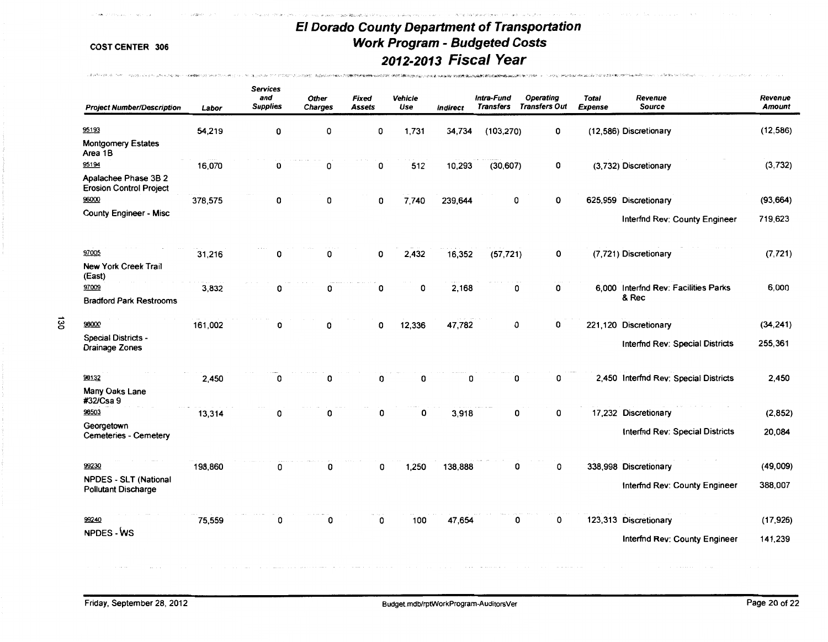TOWN WELL-REVISED FOR THE COLLEGE AND RESIDENCE TO A REPORT

**NUMBER OF STREET** 

TROSPECTRONAL SHANILITY CARD COLLECTS

האומלו המלאומלו במחיר מואי מאוד מולי מולי בלא המאוד מאוד מאוד המיישור ביותר ביותר.

,,,

Caracteristics of the company and a most ex-

|   | <b>Project Number/Description</b>                          | Labor   | <b>Services</b><br>and<br><b>Supplies</b> | <b>Other</b><br><b>Charges</b> | <b>Fixed</b><br><b>Assets</b> | Vehicle<br>Use | Indirect | Intra-Fund<br><b>Transfers</b> | <b>Operating</b><br><b>Transfers Out</b> | <b>Total</b><br><b>Expense</b> | Revenue<br><b>Source</b>                      | Revenue<br><b>Amount</b> |
|---|------------------------------------------------------------|---------|-------------------------------------------|--------------------------------|-------------------------------|----------------|----------|--------------------------------|------------------------------------------|--------------------------------|-----------------------------------------------|--------------------------|
|   | 95193                                                      | 54,219  | 0                                         | 0                              | 0                             | 1,731          | 34,734   | (103, 270)                     | 0                                        |                                | (12,586) Discretionary                        | (12, 586)                |
|   | <b>Montgomery Estates</b><br>Area 1B                       |         |                                           |                                |                               |                |          |                                |                                          |                                |                                               |                          |
|   | 95194                                                      | 16,070  | 0                                         | 0                              | 0                             | 512            | 10,293   | (30, 607)                      | 0                                        |                                | (3,732) Discretionary                         | (3,732)                  |
|   | Apalachee Phase 3B 2<br><b>Erosion Control Project</b>     |         |                                           |                                |                               |                |          |                                |                                          |                                |                                               |                          |
|   | 96000                                                      | 378,575 | 0                                         | 0                              | 0                             | 7,740          | 239,644  | O                              | 0                                        |                                | 625,959 Discretionary                         | (93, 664)                |
|   | <b>County Engineer - Misc</b>                              |         |                                           |                                |                               |                |          |                                |                                          |                                | <b>Interfnd Rev: County Engineer</b>          | 719,623                  |
|   | 97005                                                      | 31,216  | 0                                         | 0                              | 0                             | 2,432          | 16,352   | (57, 721)                      | 0                                        |                                | (7,721) Discretionary                         | (7, 721)                 |
|   | <b>New York Creek Trail</b><br>(East)                      |         |                                           |                                |                               |                |          |                                |                                          |                                |                                               |                          |
|   | 97009                                                      | 3,832   | 0                                         | 0                              | 0                             | 0              | 2,168    | 0                              | 0                                        |                                | 6,000 Interfnd Rev: Facilities Parks<br>& Rec | 6,000                    |
|   | <b>Bradford Park Restrooms</b>                             |         |                                           |                                |                               |                |          |                                |                                          |                                |                                               |                          |
| ឨ | 98000                                                      | 161,002 | 0                                         | 0                              | 0                             | 12,336         | 47,782   | 0                              | 0                                        |                                | 221,120 Discretionary                         | (34, 241)                |
|   | <b>Special Districts -</b><br><b>Drainage Zones</b>        |         |                                           |                                |                               |                |          |                                |                                          |                                | Interfnd Rev: Special Districts               | 255.361                  |
|   | 98132                                                      | 2,450   | 0                                         | 0                              | 0                             | 0              | 0        | 0                              | 0                                        |                                | 2,450 Interfnd Rev: Special Districts         | 2,450                    |
|   | Many Oaks Lane<br>#32/Csa 9                                |         |                                           |                                |                               |                |          |                                |                                          |                                |                                               |                          |
|   | 98503                                                      | 13,314  | ٥                                         | o                              | 0                             | 0              | 3,918    | 0                              | 0                                        |                                | 17,232 Discretionary                          | (2, 852)                 |
|   | Georgetown<br>Cemeteries - Cemetery                        |         |                                           |                                |                               |                |          |                                |                                          |                                | <b>Interfnd Rev: Special Districts</b>        | 20,084                   |
|   | 99230                                                      | 198,860 | 0                                         | 0                              | 0                             | 1,250          | 138,888  | 0                              | 0                                        |                                | 338,998 Discretionary                         | (49,009)                 |
|   | <b>NPDES - SLT (National</b><br><b>Pollutant Discharge</b> |         |                                           |                                |                               |                |          |                                |                                          |                                | Interfnd Rev: County Engineer                 | 388,007                  |
|   | 99240                                                      | 75,559  | 0                                         | 0                              | 0                             | 100            | 47,654   | 0                              | 0                                        |                                | 123,313 Discretionary                         | (17, 926)                |
|   | NPDES - WS                                                 |         |                                           |                                |                               |                |          |                                |                                          |                                | Interfnd Rev: County Engineer                 | 141,239                  |
|   |                                                            |         |                                           |                                |                               |                |          |                                |                                          |                                |                                               |                          |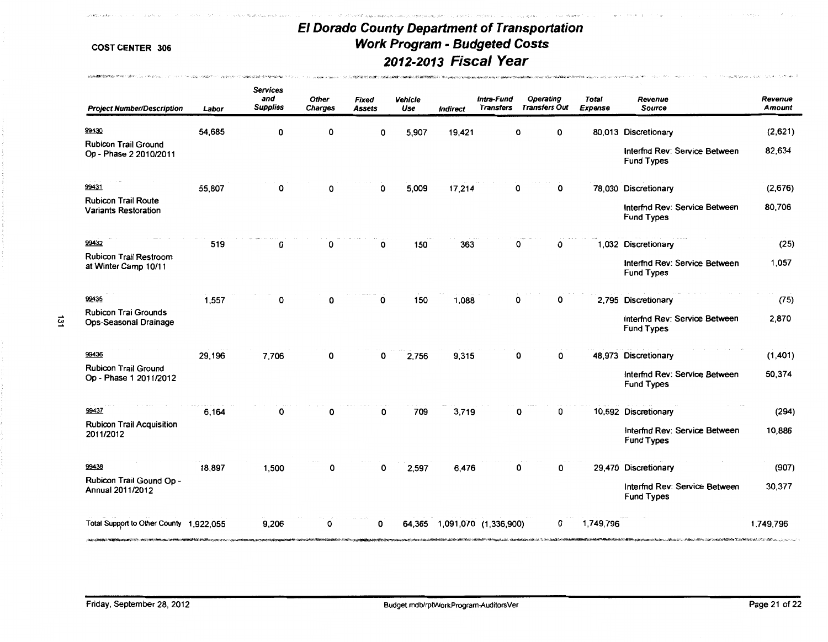أأصحفوه بدأ

.<br>ביותר לאור האשר לאור האשר להיה להיה במהלך היה היה המהלך המהלך להיה לאור האשר להיה להיה להיה בבית המהלך היה המה

and the action of the

 $\sim$ 

**DREWSBREE** 

such to wood at an annual car

sonomianesis media and the construction

مواليف والأقافات

| <b>Project Number/Description</b>                         | Labor  | <b>Services</b><br>and<br><b>Supplies</b> | <b>Other</b><br><b>Charges</b> | Fixed<br><b>Assets</b> | Vehicle<br>Use | <b>Indirect</b>       | Intra-Fund<br><b>Transfers</b> | Operating<br><b>Transfers Out</b> | <b>Total</b><br><b>Expense</b> | Revenue<br><b>Source</b>                           | Revenue<br><b>Amount</b> |
|-----------------------------------------------------------|--------|-------------------------------------------|--------------------------------|------------------------|----------------|-----------------------|--------------------------------|-----------------------------------|--------------------------------|----------------------------------------------------|--------------------------|
| 99430                                                     | 54,685 | 0                                         | 0                              | 0                      | 5,907          | 19,421                |                                | 0<br>0                            |                                | 80,013 Discretionary                               | (2,621)                  |
| <b>Rubicon Trail Ground</b><br>Op - Phase 2 2010/2011     |        |                                           |                                |                        |                |                       |                                |                                   |                                | Interfnd Rev: Service Between<br><b>Fund Types</b> | 82,634                   |
| 99431                                                     | 55,807 | 0                                         | 0                              | 0                      | 5,009          | 17,214                |                                | 0<br>0                            |                                | 78,030 Discretionary                               | (2,676)                  |
| <b>Rubicon Trail Route</b><br><b>Variants Restoration</b> |        |                                           |                                |                        |                |                       |                                |                                   |                                | Interfnd Rev: Service Between<br><b>Fund Types</b> | 80,706                   |
| 99432                                                     | 519    | 0                                         | 0                              | 0                      | 150            | 363                   |                                | 0<br>0                            |                                | 1,032 Discretionary                                | (25)                     |
| <b>Rubicon Trail Restroom</b><br>at Winter Camp 10/11     |        |                                           |                                |                        |                |                       |                                |                                   |                                | Interfnd Rev: Service Between<br><b>Fund Types</b> | 1.057                    |
| 99435                                                     | 1,557  | O                                         | ŋ                              | 0                      | 150            | 1,088                 |                                | 0<br>0                            |                                | 2,795 Discretionary                                | (75)                     |
| <b>Rubicon Trai Grounds</b><br>Ops-Seasonal Drainage      |        |                                           |                                |                        |                |                       |                                |                                   |                                | Interfnd Rev: Service Between<br><b>Fund Types</b> | 2,870                    |
| 99436                                                     | 29,196 | 7,706                                     | o                              | $\Omega$               | 2,756          | 9,315                 |                                | 0<br>0                            |                                | 48,973 Discretionary                               | (1,401)                  |
| <b>Rubicon Trail Ground</b><br>Op - Phase 1 2011/2012     |        |                                           |                                |                        |                |                       |                                |                                   |                                | Interfnd Rev: Service Between<br><b>Fund Types</b> | 50,374                   |
| 99437                                                     | 6,164  |                                           |                                | O                      | 709            | 3.719                 |                                | 0<br>ŋ                            |                                | 10,592 Discretionary                               | (294)                    |
| <b>Rubicon Trail Acquisition</b><br>2011/2012             |        |                                           |                                |                        |                |                       |                                |                                   |                                | Interfnd Rev: Service Between<br><b>Fund Types</b> | 10,886                   |
| 99438                                                     | 18,897 | 1,500                                     | 0                              | $\Omega$               | 2,597          | 6.476                 |                                | 0<br>ი                            |                                | 29,470 Discretionary                               | (907)                    |
| Rubicon Trail Gound Op -<br>Annual 2011/2012              |        |                                           |                                |                        |                |                       |                                |                                   |                                | Interfnd Rev: Service Between<br><b>Fund Types</b> | 30,377                   |
| Total Support to Other County 1,922,055                   |        | 9,206                                     | O                              | ŋ                      | 64.365         | 1,091,070 (1,336,900) |                                | 0                                 | 1,749,796                      |                                                    | 1,749,796                |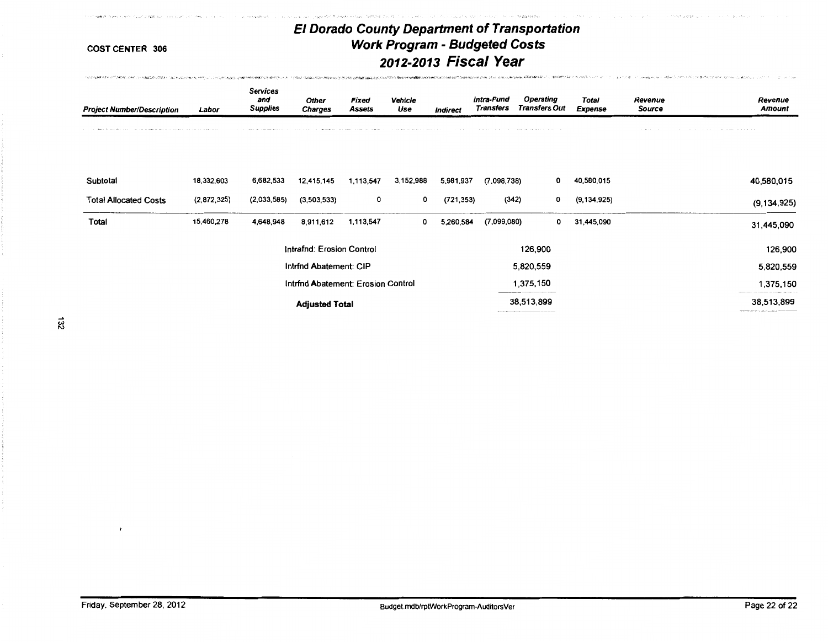**Constantial Constant** 

**Service South Institute** 

 $\label{eq:1} \mathcal{L}_{\mathcal{P}}(\mathcal{L}_{\mathcal{P}}(\mathcal{L}_{\mathcal{P}})) = \mathcal{L}_{\mathcal{P}}^{\mathcal{P}}(\mathcal{L}_{\mathcal{P}}(\mathcal{L}_{\mathcal{P}}) \otimes \mathcal{L}_{\mathcal{P}}^{\mathcal{P}}(\mathcal{L}_{\mathcal{P}}))$ 

。<br>※2010年以**次は必須的には**のの情報を確**認的に必須のことを意味したが、そのこの**のことを見ていた。そのこのことを確認することを確認することをしていることです。このこのことをして、この意味したとしては、このことにいいることを思います。まず、「そのことにしていて、このことに

Linder Levin

**COST CENTER 306** 

of AWA from it, with much a 926 but it as supply

La Cones

CONFIDENTIAL COMMUNISTIC CONSULTANCE ON A CONTINUE OF A CONFIDENCIAL CONFIDENCIAL CONFIDENTIAL CONFIDENTIAL CONFIDENTIAL CONFIDENTIAL CONFIDENTIAL CONFIDENTIAL CONFIDENTIAL CONFIDENTIAL CONFIDENTIAL CONFIDENTIAL CONFIDENTI

 $\label{eq:1} \mathcal{E} = \mathcal{E}_{\text{max}} + \mathcal{E}_{\text{max}} \mathcal{E} = \mathcal{E}_{\text{max}} \mathcal{E}_{\text{max}}$ 

**Standards** Toldard Wood

| <b>Project Number/Description</b>                                                                                 | Labor         | <b>Services</b><br>and<br><b>Supplies</b> | Other<br><b>Charges</b>            | <b>Fixed</b><br>Assets | Vehicle<br>Use | <b>Indirect</b> | Intra-Fund<br><b>Transfers</b> | <b>Operating</b><br><b>Transfers Out</b>   | <b>Total</b><br><b>Expense</b> | Revenue<br>Source   | Revenue<br><b>Amount</b>                                                                  |
|-------------------------------------------------------------------------------------------------------------------|---------------|-------------------------------------------|------------------------------------|------------------------|----------------|-----------------|--------------------------------|--------------------------------------------|--------------------------------|---------------------|-------------------------------------------------------------------------------------------|
| the company from the first company of the property of the company of the company of the company of the company of |               |                                           |                                    |                        |                |                 |                                | the first that the control of the control  |                                | the contract of the | the contract of the contract of the contract of<br>to different the state of the          |
| Subtotal                                                                                                          | 18,332,603    | 6,682,533                                 | 12,415,145                         | 1,113,547              | 3,152,988      | 5,981,937       | (7,098,738)                    | 0                                          | 40,580,015                     |                     | 40,580,015                                                                                |
| <b>Total Allocated Costs</b>                                                                                      | (2, 872, 325) | (2,033,585)                               | (3,503,533)                        | 0                      | 0              | (721, 353)      | (342)                          | 0                                          | (9, 134, 925)                  |                     | (9, 134, 925)                                                                             |
| Total                                                                                                             | 15,460,278    | 4,648,948                                 | 8,911,612                          | 1,113,547              | 0              | 5,260,584       | (7,099,080)                    | 0                                          | 31,445,090                     |                     | 31,445,090                                                                                |
|                                                                                                                   |               |                                           | Intrafnd: Erosion Control          |                        |                |                 |                                | 126,900                                    |                                |                     | 126,900                                                                                   |
|                                                                                                                   |               |                                           | Intrind Abatement: CIP             |                        |                |                 |                                | 5,820,559                                  |                                |                     | 5,820,559                                                                                 |
|                                                                                                                   |               |                                           | Intrind Abatement: Erosion Control |                        |                |                 |                                | 1,375,150                                  |                                |                     | 1,375,150                                                                                 |
|                                                                                                                   |               |                                           | <b>Adjusted Total</b>              |                        |                |                 |                                | 38,513,899<br>____________________________ |                                |                     | 38,513,899<br>management with the control of the control of the control of the control of |

 $\mathbb{S}^1$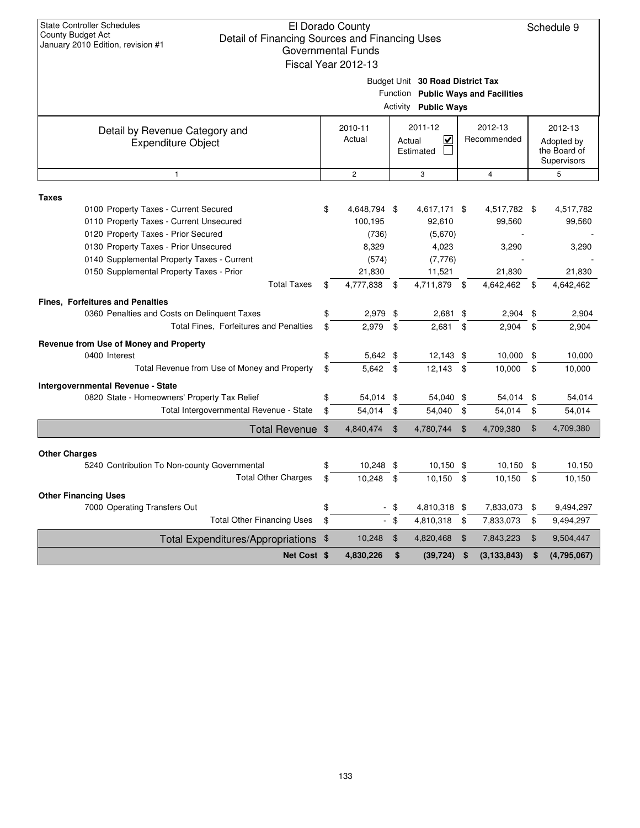Schedule 9

| illielitai Fullus |  |
|-------------------|--|
| Year 2012-13      |  |

Budget Unit **30 Road District Tax**

Function **Public Ways and Facilities**

|                                                             | <b>Activity Public Ways</b> |                |                                     |              |                        |                |                                                      |               |
|-------------------------------------------------------------|-----------------------------|----------------|-------------------------------------|--------------|------------------------|----------------|------------------------------------------------------|---------------|
| Detail by Revenue Category and<br><b>Expenditure Object</b> | 2010-11<br>Actual           |                | 2011-12<br>⋜<br>Actual<br>Estimated |              | 2012-13<br>Recommended |                | 2012-13<br>Adopted by<br>the Board of<br>Supervisors |               |
| $\mathbf{1}$                                                |                             | $\mathbf{2}$   |                                     | 3            |                        | $\overline{4}$ |                                                      | 5             |
| <b>Taxes</b><br>0100 Property Taxes - Current Secured       | \$                          | 4,648,794 \$   |                                     | 4,617,171 \$ |                        | 4,517,782 \$   |                                                      | 4,517,782     |
| 0110 Property Taxes - Current Unsecured                     |                             | 100,195        |                                     | 92,610       |                        | 99,560         |                                                      | 99,560        |
| 0120 Property Taxes - Prior Secured                         |                             | (736)          |                                     | (5,670)      |                        |                |                                                      |               |
| 0130 Property Taxes - Prior Unsecured                       |                             | 8,329          |                                     | 4,023        |                        | 3,290          |                                                      | 3,290         |
| 0140 Supplemental Property Taxes - Current                  |                             | (574)          |                                     | (7, 776)     |                        |                |                                                      |               |
| 0150 Supplemental Property Taxes - Prior                    |                             | 21,830         |                                     | 11,521       |                        | 21,830         |                                                      | 21,830        |
| <b>Total Taxes</b>                                          | \$                          | 4,777,838      | \$                                  | 4,711,879    | \$                     | 4,642,462      | \$                                                   | 4,642,462     |
| Fines, Forfeitures and Penalties                            |                             |                |                                     |              |                        |                |                                                      |               |
| 0360 Penalties and Costs on Delinquent Taxes                | \$                          | 2,979          | - \$                                | $2,681$ \$   |                        | $2,904$ \$     |                                                      | 2,904         |
| Total Fines, Forfeitures and Penalties                      | \$                          | 2.979          | \$                                  | 2.681        | \$                     | 2,904          | \$                                                   | 2,904         |
| Revenue from Use of Money and Property                      |                             |                |                                     |              |                        |                |                                                      |               |
| 0400 Interest                                               | \$                          | 5,642 \$       |                                     | $12,143$ \$  |                        | 10,000         | \$                                                   | 10,000        |
| Total Revenue from Use of Money and Property                | \$                          | $5,642$ \$     |                                     | 12,143       | \$                     | 10,000         | \$                                                   | 10,000        |
| <b>Intergovernmental Revenue - State</b>                    |                             |                |                                     |              |                        |                |                                                      |               |
| 0820 State - Homeowners' Property Tax Relief                | \$                          | 54,014         | \$                                  | 54,040 \$    |                        | 54,014         | \$                                                   | 54,014        |
| Total Intergovernmental Revenue - State                     | \$                          | 54,014         | \$                                  | 54,040       | \$                     | 54,014         | \$                                                   | 54,014        |
| Total Revenue \$                                            |                             | 4,840,474      | $\mathfrak{L}$                      | 4,780,744    | $\mathfrak{F}$         | 4,709,380      | \$                                                   | 4,709,380     |
| <b>Other Charges</b>                                        |                             |                |                                     |              |                        |                |                                                      |               |
| 5240 Contribution To Non-county Governmental                | \$                          | 10,248         | \$                                  | $10,150$ \$  |                        | $10,150$ \$    |                                                      | 10,150        |
| <b>Total Other Charges</b>                                  | \$                          | 10,248         | \$                                  | 10,150       | \$                     | 10,150         | \$                                                   | 10,150        |
| <b>Other Financing Uses</b>                                 |                             |                |                                     |              |                        |                |                                                      |               |
| 7000 Operating Transfers Out                                | \$                          | $\blacksquare$ | \$                                  | 4,810,318 \$ |                        | 7,833,073      | \$                                                   | 9,494,297     |
| <b>Total Other Financing Uses</b>                           | \$                          |                | $-$ \$                              | 4,810,318    | \$                     | 7,833,073      | \$                                                   | 9,494,297     |
| Total Expenditures/Appropriations \$                        |                             | 10,248         | $\mathfrak{L}$                      | 4,820,468    | \$                     | 7,843,223      | \$                                                   | 9,504,447     |
| Net Cost \$                                                 |                             | 4,830,226      | \$                                  | (39, 724)    | \$                     | (3, 133, 843)  | \$                                                   | (4, 795, 067) |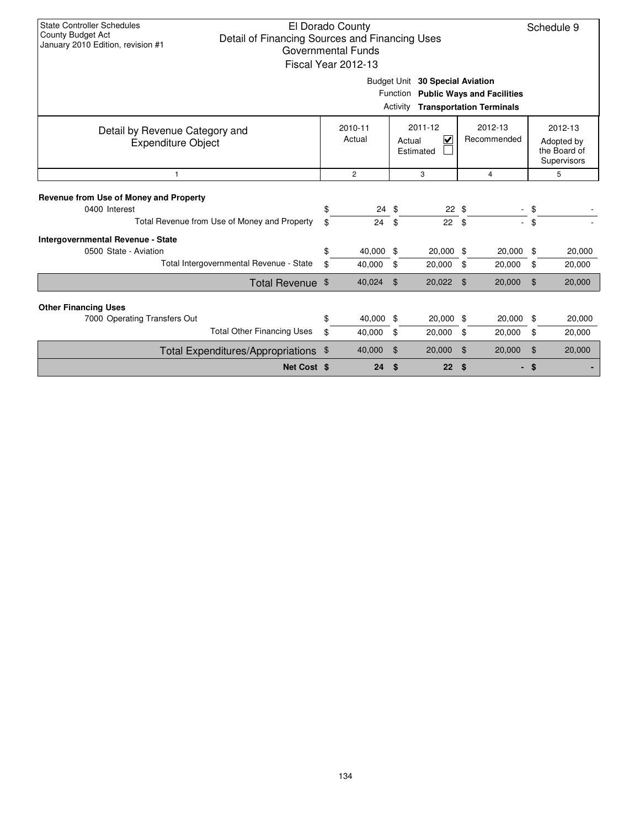| <b>State Controller Schedules</b><br>El Dorado County<br>County Budget Act<br>Detail of Financing Sources and Financing Uses<br>January 2010 Edition, revision #1<br>Governmental Funds<br>Fiscal Year 2012-13 |    |                   |    |                                                           |    |                        |                | Schedule 9                                           |  |  |
|----------------------------------------------------------------------------------------------------------------------------------------------------------------------------------------------------------------|----|-------------------|----|-----------------------------------------------------------|----|------------------------|----------------|------------------------------------------------------|--|--|
| Budget Unit 30 Special Aviation<br>Function<br><b>Public Ways and Facilities</b><br><b>Transportation Terminals</b><br>Activity                                                                                |    |                   |    |                                                           |    |                        |                |                                                      |  |  |
| Detail by Revenue Category and<br><b>Expenditure Object</b>                                                                                                                                                    |    | 2010-11<br>Actual |    | 2011-12<br>$\overline{\mathbf{v}}$<br>Actual<br>Estimated |    | 2012-13<br>Recommended |                | 2012-13<br>Adopted by<br>the Board of<br>Supervisors |  |  |
| 1                                                                                                                                                                                                              |    | $\overline{2}$    |    | 3                                                         |    | $\overline{4}$         | 5              |                                                      |  |  |
| Revenue from Use of Money and Property                                                                                                                                                                         |    |                   |    |                                                           |    |                        |                |                                                      |  |  |
| 0400 Interest                                                                                                                                                                                                  | \$ | $24 \text{ } $$   |    | $22 \text{ } $$                                           |    |                        |                |                                                      |  |  |
| Total Revenue from Use of Money and Property                                                                                                                                                                   | \$ | 24                | \$ | 22 <sub>2</sub>                                           | \$ |                        | \$             |                                                      |  |  |
| <b>Intergovernmental Revenue - State</b>                                                                                                                                                                       |    |                   |    |                                                           |    |                        |                |                                                      |  |  |
| 0500 State - Aviation                                                                                                                                                                                          | \$ | 40,000            | \$ | 20,000 \$                                                 |    | 20,000                 | \$             | 20,000                                               |  |  |
| Total Intergovernmental Revenue - State                                                                                                                                                                        | \$ | 40,000            | \$ | 20,000                                                    | \$ | 20,000                 | \$             | 20,000                                               |  |  |
| Total Revenue \$                                                                                                                                                                                               |    | 40,024            | \$ | 20,022                                                    | \$ | 20,000                 | $\mathfrak{L}$ | 20,000                                               |  |  |
| <b>Other Financing Uses</b>                                                                                                                                                                                    |    |                   |    |                                                           |    |                        |                |                                                      |  |  |
| 7000 Operating Transfers Out                                                                                                                                                                                   | \$ | 40,000            | \$ | 20,000 \$                                                 |    | 20,000                 | \$             | 20,000                                               |  |  |
| <b>Total Other Financing Uses</b>                                                                                                                                                                              | \$ | 40,000            | \$ | 20,000                                                    | \$ | 20,000                 | \$             | 20,000                                               |  |  |
| Total Expenditures/Appropriations                                                                                                                                                                              | \$ | 40,000            | \$ | 20,000                                                    | \$ | 20,000                 | $\mathfrak{F}$ | 20,000                                               |  |  |
| Net Cost \$                                                                                                                                                                                                    |    | 24                | \$ | 22                                                        | \$ |                        | \$             |                                                      |  |  |